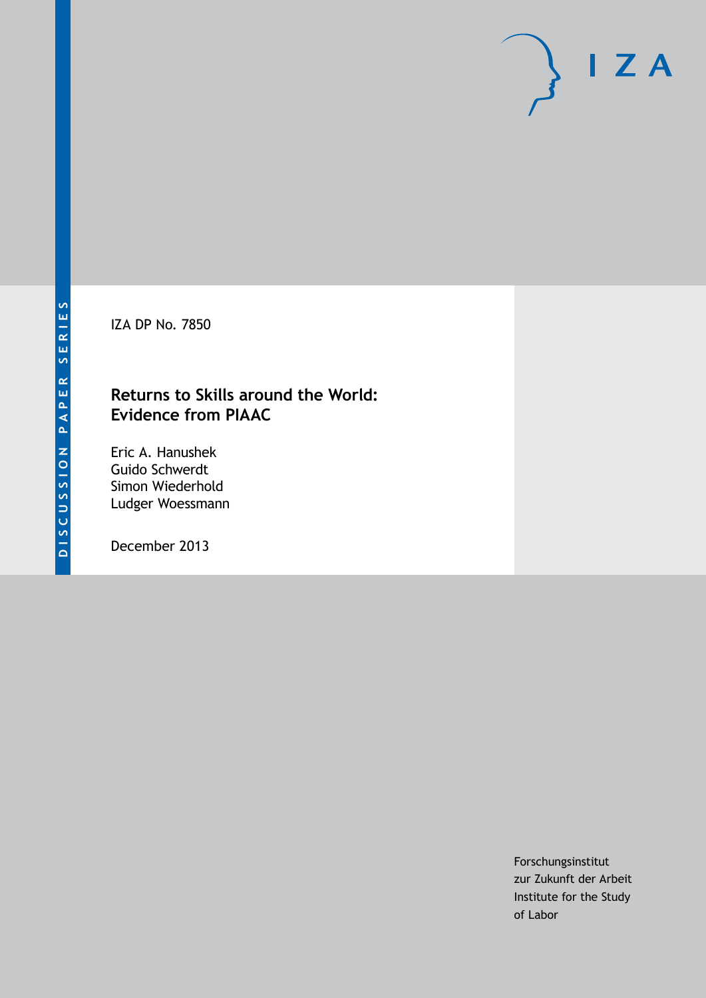IZA DP No. 7850

# **Returns to Skills around the World: Evidence from PIAAC**

Eric A. Hanushek Guido Schwerdt Simon Wiederhold Ludger Woessmann

December 2013

Forschungsinstitut zur Zukunft der Arbeit Institute for the Study of Labor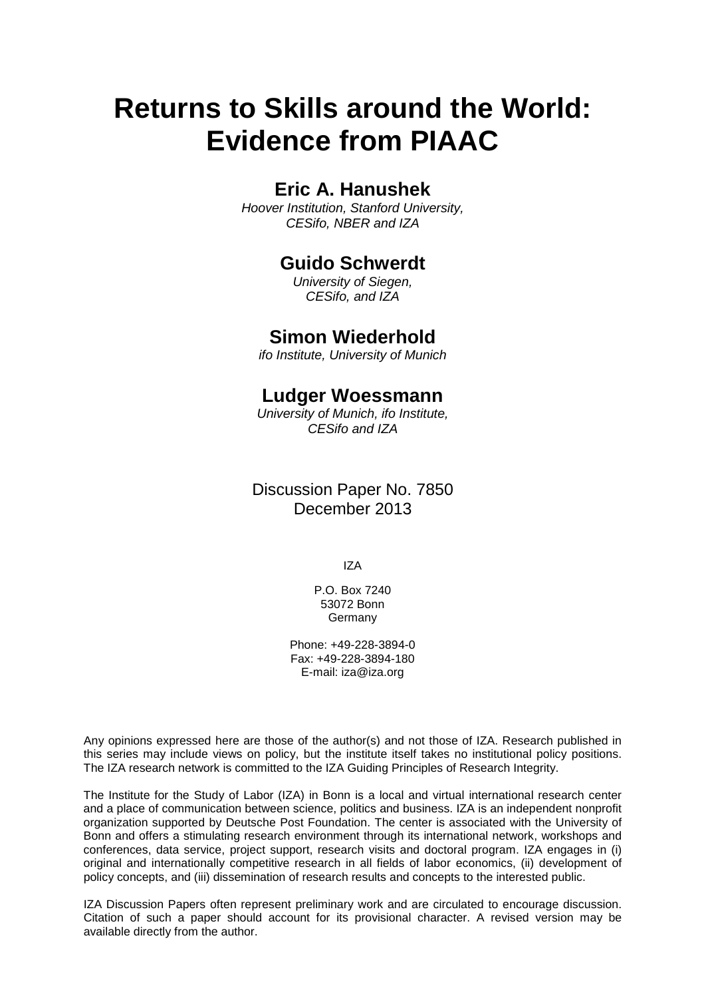# **Returns to Skills around the World: Evidence from PIAAC**

## **Eric A. Hanushek**

*Hoover Institution, Stanford University, CESifo, NBER and IZA*

# **Guido Schwerdt**

*University of Siegen, CESifo, and IZA*

## **Simon Wiederhold**

*ifo Institute, University of Munich*

## **Ludger Woessmann**

*University of Munich, ifo Institute, CESifo and IZA*

Discussion Paper No. 7850 December 2013

IZA

P.O. Box 7240 53072 Bonn Germany

Phone: +49-228-3894-0 Fax: +49-228-3894-180 E-mail: [iza@iza.org](mailto:iza@iza.org)

Any opinions expressed here are those of the author(s) and not those of IZA. Research published in this series may include views on policy, but the institute itself takes no institutional policy positions. The IZA research network is committed to the IZA Guiding Principles of Research Integrity.

The Institute for the Study of Labor (IZA) in Bonn is a local and virtual international research center and a place of communication between science, politics and business. IZA is an independent nonprofit organization supported by Deutsche Post Foundation. The center is associated with the University of Bonn and offers a stimulating research environment through its international network, workshops and conferences, data service, project support, research visits and doctoral program. IZA engages in (i) original and internationally competitive research in all fields of labor economics, (ii) development of policy concepts, and (iii) dissemination of research results and concepts to the interested public.

<span id="page-1-0"></span>IZA Discussion Papers often represent preliminary work and are circulated to encourage discussion. Citation of such a paper should account for its provisional character. A revised version may be available directly from the author.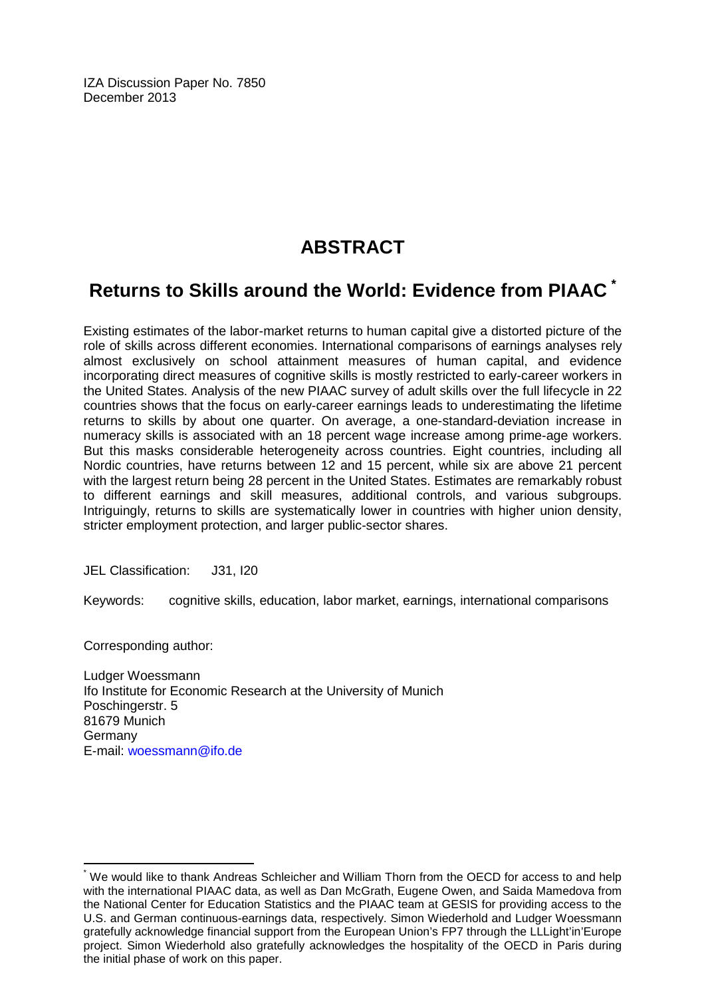IZA Discussion Paper No. 7850 December 2013

# **ABSTRACT**

# **Returns to Skills around the World: Evidence from PIAAC [\\*](#page-1-0)**

Existing estimates of the labor-market returns to human capital give a distorted picture of the role of skills across different economies. International comparisons of earnings analyses rely almost exclusively on school attainment measures of human capital, and evidence incorporating direct measures of cognitive skills is mostly restricted to early-career workers in the United States. Analysis of the new PIAAC survey of adult skills over the full lifecycle in 22 countries shows that the focus on early-career earnings leads to underestimating the lifetime returns to skills by about one quarter. On average, a one-standard-deviation increase in numeracy skills is associated with an 18 percent wage increase among prime-age workers. But this masks considerable heterogeneity across countries. Eight countries, including all Nordic countries, have returns between 12 and 15 percent, while six are above 21 percent with the largest return being 28 percent in the United States. Estimates are remarkably robust to different earnings and skill measures, additional controls, and various subgroups. Intriguingly, returns to skills are systematically lower in countries with higher union density, stricter employment protection, and larger public-sector shares.

JEL Classification: J31, I20

Keywords: cognitive skills, education, labor market, earnings, international comparisons

Corresponding author:

Ludger Woessmann Ifo Institute for Economic Research at the University of Munich Poschingerstr. 5 81679 Munich Germany E-mail: [woessmann@ifo.de](mailto:woessmann@ifo.de)

We would like to thank Andreas Schleicher and William Thorn from the OECD for access to and help with the international PIAAC data, as well as Dan McGrath, Eugene Owen, and Saida Mamedova from the National Center for Education Statistics and the PIAAC team at GESIS for providing access to the U.S. and German continuous-earnings data, respectively. Simon Wiederhold and Ludger Woessmann gratefully acknowledge financial support from the European Union's FP7 through the LLLight'in'Europe project. Simon Wiederhold also gratefully acknowledges the hospitality of the OECD in Paris during the initial phase of work on this paper.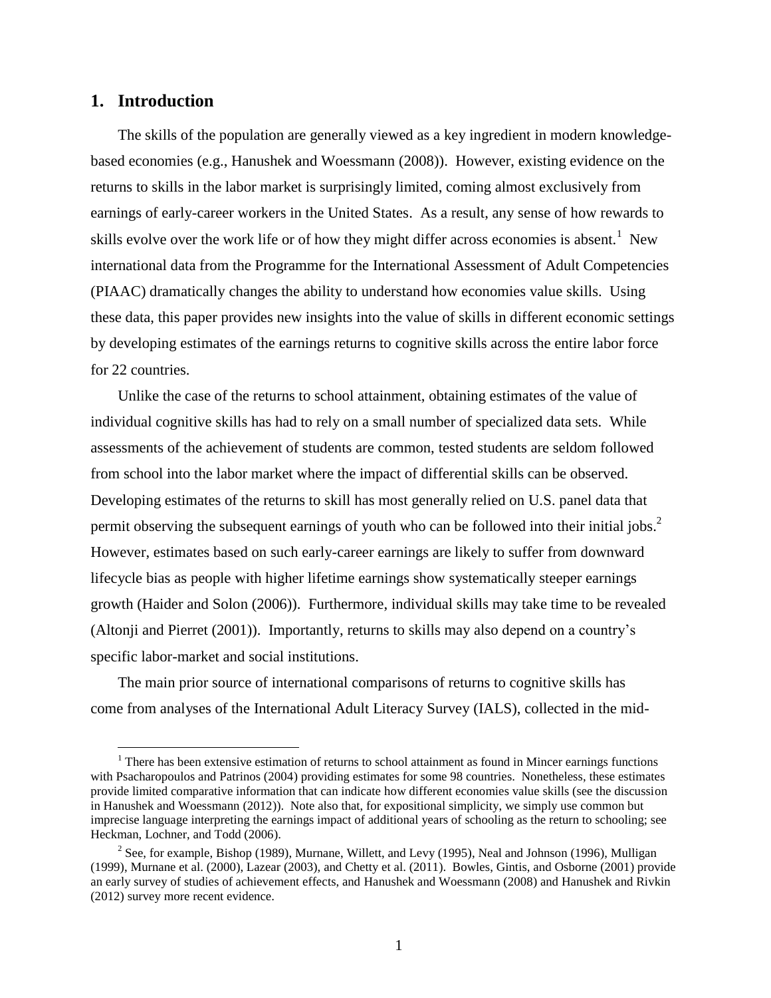#### **1. Introduction**

 $\overline{a}$ 

The skills of the population are generally viewed as a key ingredient in modern knowledgebased economies (e.g., [Hanushek and Woessmann \(2008\)](#page-27-0)). However, existing evidence on the returns to skills in the labor market is surprisingly limited, coming almost exclusively from earnings of early-career workers in the United States. As a result, any sense of how rewards to skills evolve over the work life or of how they might differ across economies is absent.<sup>1</sup> New international data from the Programme for the International Assessment of Adult Competencies (PIAAC) dramatically changes the ability to understand how economies value skills. Using these data, this paper provides new insights into the value of skills in different economic settings by developing estimates of the earnings returns to cognitive skills across the entire labor force for 22 countries.

Unlike the case of the returns to school attainment, obtaining estimates of the value of individual cognitive skills has had to rely on a small number of specialized data sets. While assessments of the achievement of students are common, tested students are seldom followed from school into the labor market where the impact of differential skills can be observed. Developing estimates of the returns to skill has most generally relied on U.S. panel data that permit observing the subsequent earnings of youth who can be followed into their initial jobs.<sup>2</sup> However, estimates based on such early-career earnings are likely to suffer from downward lifecycle bias as people with higher lifetime earnings show systematically steeper earnings growth [\(Haider and Solon \(2006\)](#page-27-1)). Furthermore, individual skills may take time to be revealed [\(Altonji and Pierret \(2001\)](#page-26-0)). Importantly, returns to skills may also depend on a country's specific labor-market and social institutions.

The main prior source of international comparisons of returns to cognitive skills has come from analyses of the International Adult Literacy Survey (IALS), collected in the mid-

 $<sup>1</sup>$  There has been extensive estimation of returns to school attainment as found in Mincer earnings functions</sup> with [Psacharopoulos and Patrinos \(2004\)](#page-28-0) providing estimates for some 98 countries. Nonetheless, these estimates provide limited comparative information that can indicate how different economies value skills (see the discussion in [Hanushek and Woessmann \(2012\)](#page-27-2)). Note also that, for expositional simplicity, we simply use common but imprecise language interpreting the earnings impact of additional years of schooling as the return to schooling; see [Heckman, Lochner, and Todd \(2006\)](#page-27-3).

<sup>&</sup>lt;sup>2</sup> See, for example, [Bishop \(1989\)](#page-26-1), [Murnane, Willett, and Levy \(1995\)](#page-28-1), [Neal and Johnson \(1996\)](#page-28-2), Mulligan [\(1999\)](#page-28-3)[, Murnane et al. \(2000\)](#page-28-4), [Lazear \(2003\)](#page-28-5), and [Chetty et al. \(2011\)](#page-26-2). [Bowles, Gintis, and Osborne \(2001\)](#page-26-3) provide an early survey of studies of achievement effects, and [Hanushek and Woessmann \(2008\)](#page-27-0) and [Hanushek and Rivkin](#page-27-4)  [\(2012\)](#page-27-4) survey more recent evidence.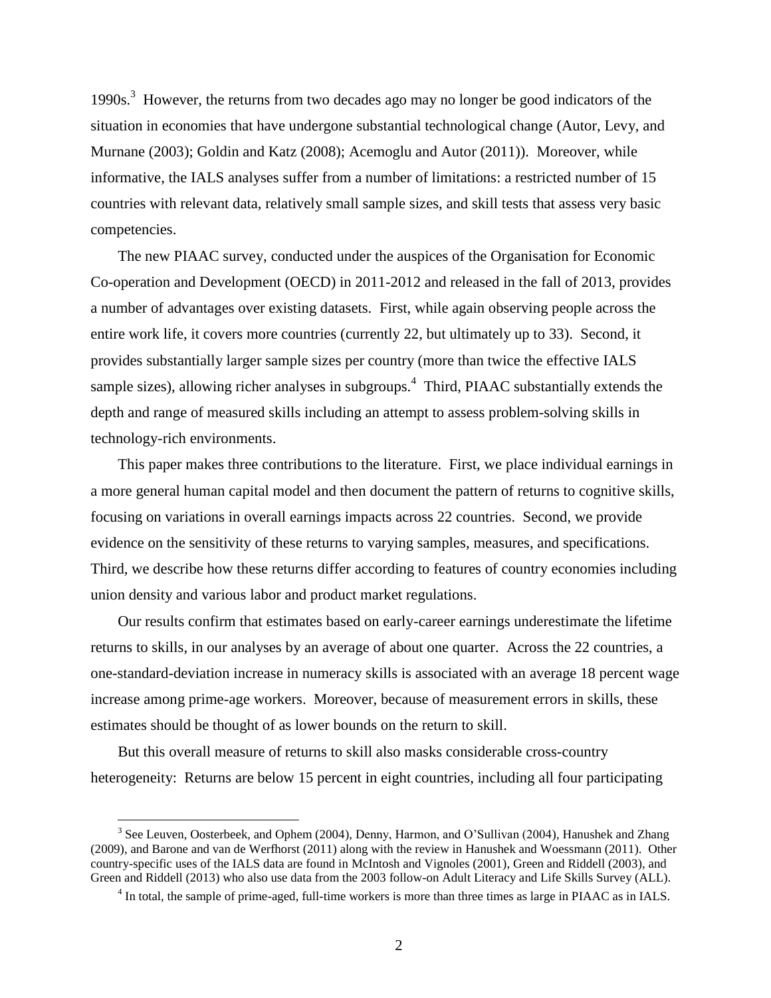1990s. <sup>3</sup> However, the returns from two decades ago may no longer be good indicators of the situation in economies that have undergone substantial technological change [\(Autor, Levy, and](#page-26-4)  [Murnane \(2003\)](#page-26-4); [Goldin and Katz \(2008\)](#page-27-5); [Acemoglu and Autor \(2011\)](#page-26-5)). Moreover, while informative, the IALS analyses suffer from a number of limitations: a restricted number of 15 countries with relevant data, relatively small sample sizes, and skill tests that assess very basic competencies.

The new PIAAC survey, conducted under the auspices of the Organisation for Economic Co-operation and Development (OECD) in 2011-2012 and released in the fall of 2013, provides a number of advantages over existing datasets. First, while again observing people across the entire work life, it covers more countries (currently 22, but ultimately up to 33). Second, it provides substantially larger sample sizes per country (more than twice the effective IALS sample sizes), allowing richer analyses in subgroups.<sup>4</sup> Third, PIAAC substantially extends the depth and range of measured skills including an attempt to assess problem-solving skills in technology-rich environments.

This paper makes three contributions to the literature. First, we place individual earnings in a more general human capital model and then document the pattern of returns to cognitive skills, focusing on variations in overall earnings impacts across 22 countries. Second, we provide evidence on the sensitivity of these returns to varying samples, measures, and specifications. Third, we describe how these returns differ according to features of country economies including union density and various labor and product market regulations.

Our results confirm that estimates based on early-career earnings underestimate the lifetime returns to skills, in our analyses by an average of about one quarter. Across the 22 countries, a one-standard-deviation increase in numeracy skills is associated with an average 18 percent wage increase among prime-age workers. Moreover, because of measurement errors in skills, these estimates should be thought of as lower bounds on the return to skill.

But this overall measure of returns to skill also masks considerable cross-country heterogeneity: Returns are below 15 percent in eight countries, including all four participating

 $3$  See [Leuven, Oosterbeek, and Ophem \(2004\)](#page-28-6), [Denny, Harmon, and O'Sullivan \(2004\)](#page-26-6), Hanushek and Zhang [\(2009\)](#page-27-6), an[d Barone and van de Werfhorst \(2011\)](#page-26-7) along with the review i[n Hanushek and Woessmann \(2011\)](#page-27-7). Other country-specific uses of the IALS data are found in [McIntosh and Vignoles \(2001\)](#page-28-7), [Green and Riddell \(2003\)](#page-27-8), and [Green and Riddell \(2013\)](#page-27-9) who also use data from the 2003 follow-on Adult Literacy and Life Skills Survey (ALL).

<sup>&</sup>lt;sup>4</sup> In total, the sample of prime-aged, full-time workers is more than three times as large in PIAAC as in IALS.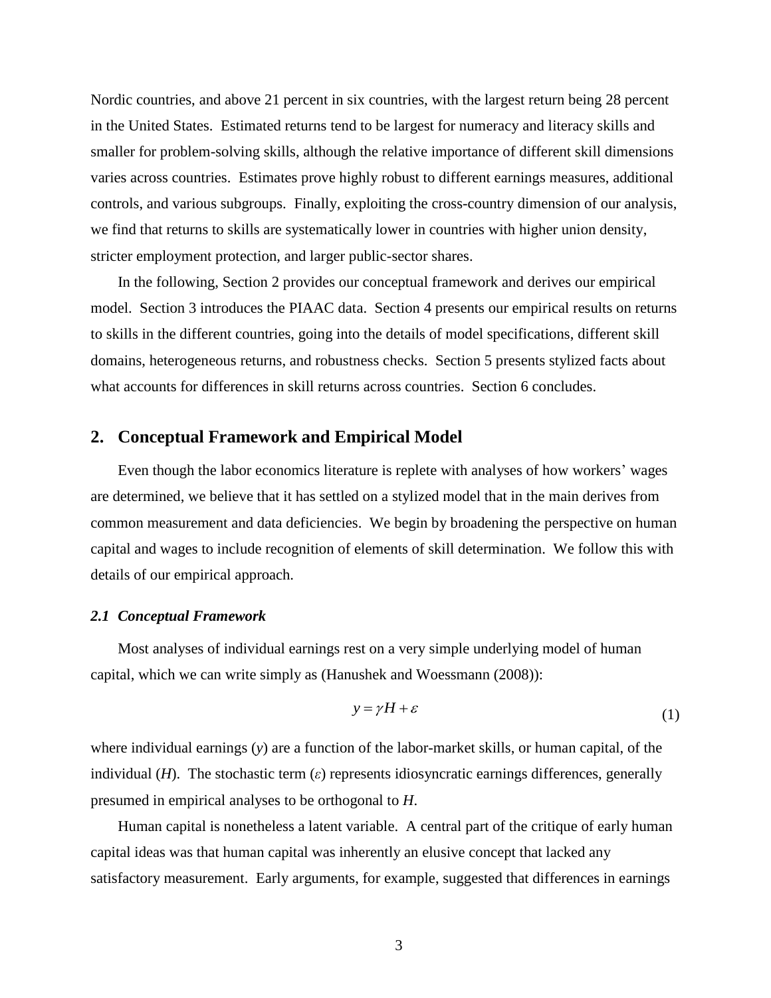Nordic countries, and above 21 percent in six countries, with the largest return being 28 percent in the United States. Estimated returns tend to be largest for numeracy and literacy skills and smaller for problem-solving skills, although the relative importance of different skill dimensions varies across countries. Estimates prove highly robust to different earnings measures, additional controls, and various subgroups. Finally, exploiting the cross-country dimension of our analysis, we find that returns to skills are systematically lower in countries with higher union density, stricter employment protection, and larger public-sector shares.

In the following, Section 2 provides our conceptual framework and derives our empirical model. Section 3 introduces the PIAAC data. Section 4 presents our empirical results on returns to skills in the different countries, going into the details of model specifications, different skill domains, heterogeneous returns, and robustness checks. Section 5 presents stylized facts about what accounts for differences in skill returns across countries. Section 6 concludes.

#### **2. Conceptual Framework and Empirical Model**

Even though the labor economics literature is replete with analyses of how workers' wages are determined, we believe that it has settled on a stylized model that in the main derives from common measurement and data deficiencies. We begin by broadening the perspective on human capital and wages to include recognition of elements of skill determination. We follow this with details of our empirical approach.

#### *2.1 Conceptual Framework*

Most analyses of individual earnings rest on a very simple underlying model of human capital, which we can write simply as [\(Hanushek and Woessmann \(2008\)](#page-27-0)):

$$
y = \gamma H + \varepsilon \tag{1}
$$

where individual earnings (*y*) are a function of the labor-market skills, or human capital, of the individual (*H*). The stochastic term (*ε*) represents idiosyncratic earnings differences, generally presumed in empirical analyses to be orthogonal to *H*.

Human capital is nonetheless a latent variable. A central part of the critique of early human capital ideas was that human capital was inherently an elusive concept that lacked any satisfactory measurement. Early arguments, for example, suggested that differences in earnings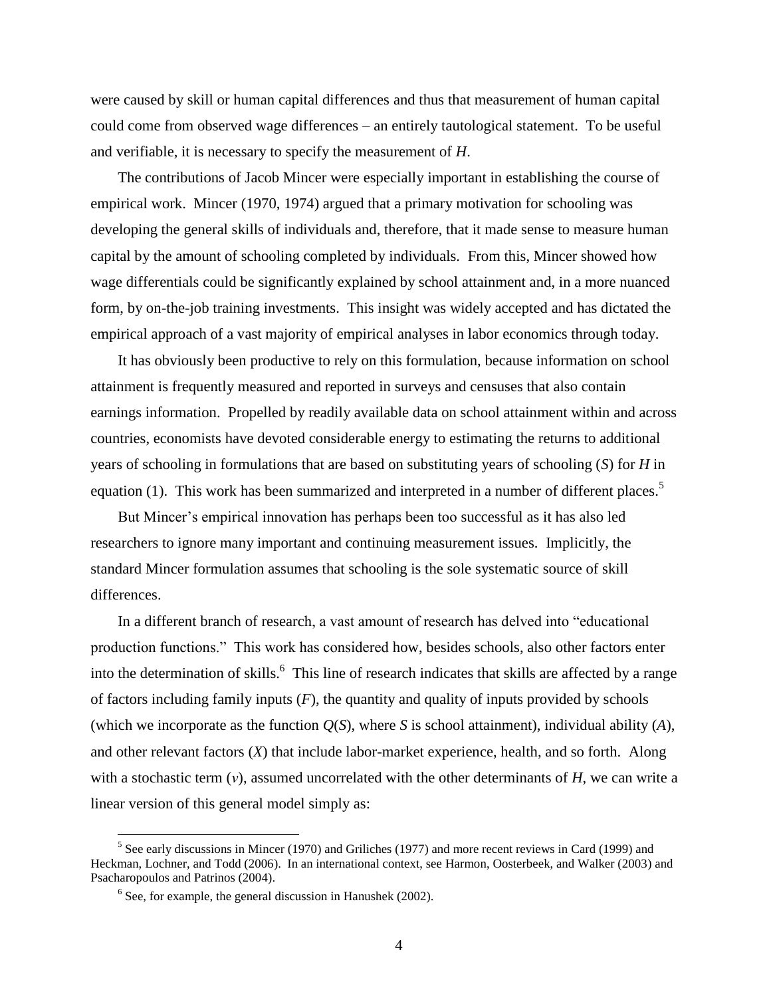were caused by skill or human capital differences and thus that measurement of human capital could come from observed wage differences – an entirely tautological statement. To be useful and verifiable, it is necessary to specify the measurement of *H*.

The contributions of Jacob Mincer were especially important in establishing the course of empirical work. [Mincer \(1970,](#page-28-8) [1974\)](#page-28-9) argued that a primary motivation for schooling was developing the general skills of individuals and, therefore, that it made sense to measure human capital by the amount of schooling completed by individuals. From this, Mincer showed how wage differentials could be significantly explained by school attainment and, in a more nuanced form, by on-the-job training investments. This insight was widely accepted and has dictated the empirical approach of a vast majority of empirical analyses in labor economics through today.

It has obviously been productive to rely on this formulation, because information on school attainment is frequently measured and reported in surveys and censuses that also contain earnings information. Propelled by readily available data on school attainment within and across countries, economists have devoted considerable energy to estimating the returns to additional years of schooling in formulations that are based on substituting years of schooling (*S*) for *H* in equation (1). This work has been summarized and interpreted in a number of different places.<sup>5</sup>

But Mincer's empirical innovation has perhaps been too successful as it has also led researchers to ignore many important and continuing measurement issues. Implicitly, the standard Mincer formulation assumes that schooling is the sole systematic source of skill differences.

In a different branch of research, a vast amount of research has delved into "educational production functions." This work has considered how, besides schools, also other factors enter into the determination of skills. 6 This line of research indicates that skills are affected by a range of factors including family inputs (*F*), the quantity and quality of inputs provided by schools (which we incorporate as the function *Q*(*S*), where *S* is school attainment), individual ability (*A*), and other relevant factors (*X*) that include labor-market experience, health, and so forth. Along with a stochastic term (*ν*), assumed uncorrelated with the other determinants of *H*, we can write a linear version of this general model simply as:

 $<sup>5</sup>$  See early discussions in [Mincer \(1970\)](#page-28-8) an[d Griliches \(1977\)](#page-27-10) and more recent reviews i[n Card \(1999\)](#page-26-8) and</sup> [Heckman, Lochner, and Todd \(2006\)](#page-27-3). In an international context, see [Harmon, Oosterbeek, and Walker \(2003\)](#page-27-11) and [Psacharopoulos and Patrinos \(2004\)](#page-28-0).

 $6$  See, for example, the general discussion in [Hanushek \(2002\)](#page-27-12).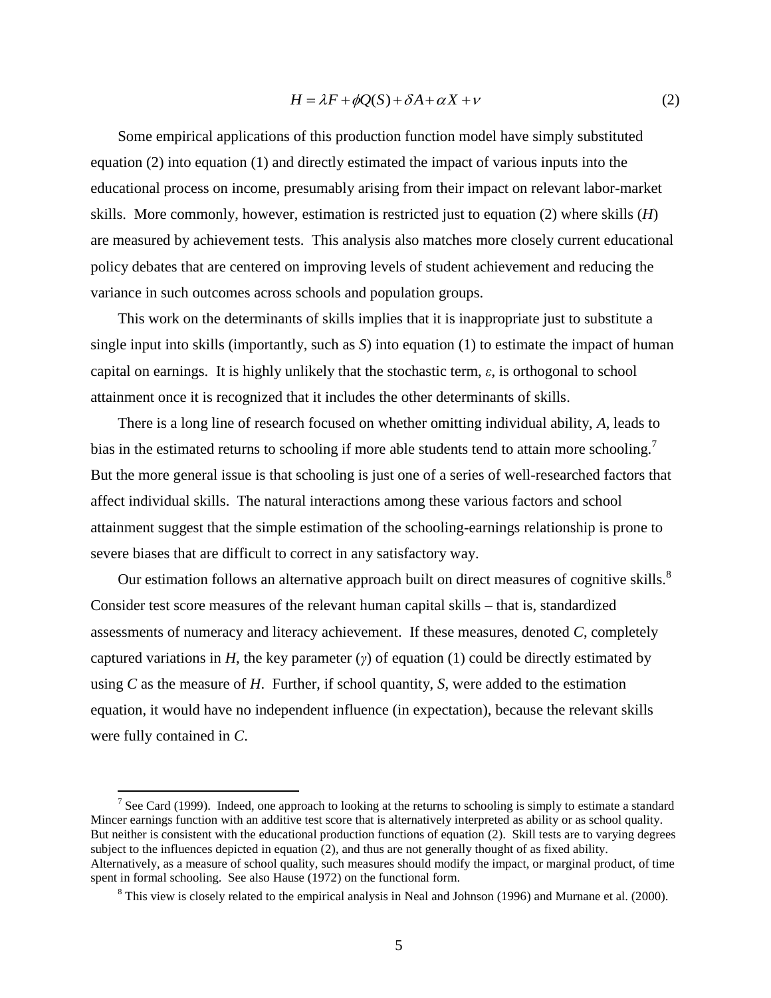$$
H = \lambda F + \phi Q(S) + \delta A + \alpha X + \nu
$$
 (2)

Some empirical applications of this production function model have simply substituted equation (2) into equation (1) and directly estimated the impact of various inputs into the educational process on income, presumably arising from their impact on relevant labor-market skills. More commonly, however, estimation is restricted just to equation (2) where skills (*H*) are measured by achievement tests. This analysis also matches more closely current educational policy debates that are centered on improving levels of student achievement and reducing the variance in such outcomes across schools and population groups.

This work on the determinants of skills implies that it is inappropriate just to substitute a single input into skills (importantly, such as *S*) into equation (1) to estimate the impact of human capital on earnings. It is highly unlikely that the stochastic term, *ε*, is orthogonal to school attainment once it is recognized that it includes the other determinants of skills.

There is a long line of research focused on whether omitting individual ability, *A*, leads to bias in the estimated returns to schooling if more able students tend to attain more schooling.<sup>7</sup> But the more general issue is that schooling is just one of a series of well-researched factors that affect individual skills. The natural interactions among these various factors and school attainment suggest that the simple estimation of the schooling-earnings relationship is prone to severe biases that are difficult to correct in any satisfactory way.

Our estimation follows an alternative approach built on direct measures of cognitive skills. $8$ Consider test score measures of the relevant human capital skills – that is, standardized assessments of numeracy and literacy achievement. If these measures, denoted *C*, completely captured variations in *H*, the key parameter  $(\gamma)$  of equation (1) could be directly estimated by using *C* as the measure of *H*. Further, if school quantity, *S*, were added to the estimation equation, it would have no independent influence (in expectation), because the relevant skills were fully contained in *C*.

<sup>&</sup>lt;sup>7</sup> See [Card \(1999\)](#page-26-8). Indeed, one approach to looking at the returns to schooling is simply to estimate a standard Mincer earnings function with an additive test score that is alternatively interpreted as ability or as school quality. But neither is consistent with the educational production functions of equation (2). Skill tests are to varying degrees subject to the influences depicted in equation (2), and thus are not generally thought of as fixed ability. Alternatively, as a measure of school quality, such measures should modify the impact, or marginal product, of time spent in formal schooling. See also [Hause \(1972\)](#page-27-13) on the functional form.

<sup>&</sup>lt;sup>8</sup> This view is closely related to the empirical analysis in [Neal and Johnson \(1996\)](#page-28-2) and [Murnane et al. \(2000\)](#page-28-4).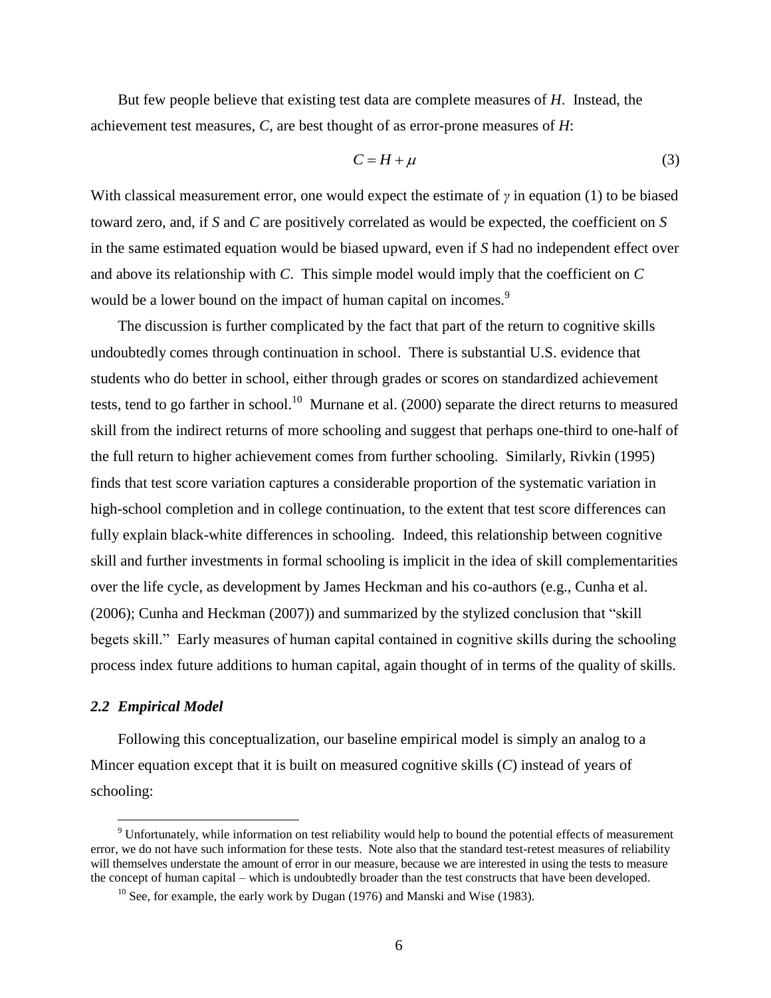But few people believe that existing test data are complete measures of *H*. Instead, the achievement test measures, *C*, are best thought of as error-prone measures of *H*:

$$
C = H + \mu \tag{3}
$$

With classical measurement error, one would expect the estimate of *γ* in equation (1) to be biased toward zero, and, if *S* and *C* are positively correlated as would be expected, the coefficient on *S* in the same estimated equation would be biased upward, even if *S* had no independent effect over and above its relationship with *C*. This simple model would imply that the coefficient on *C* would be a lower bound on the impact of human capital on incomes.<sup>9</sup>

The discussion is further complicated by the fact that part of the return to cognitive skills undoubtedly comes through continuation in school. There is substantial U.S. evidence that students who do better in school, either through grades or scores on standardized achievement tests, tend to go farther in school.<sup>10</sup> [Murnane et al. \(2000\)](#page-28-4) separate the direct returns to measured skill from the indirect returns of more schooling and suggest that perhaps one-third to one-half of the full return to higher achievement comes from further schooling. Similarly, [Rivkin \(1995\)](#page-28-10) finds that test score variation captures a considerable proportion of the systematic variation in high-school completion and in college continuation, to the extent that test score differences can fully explain black-white differences in schooling. Indeed, this relationship between cognitive skill and further investments in formal schooling is implicit in the idea of skill complementarities over the life cycle, as development by James Heckman and his co-authors (e.g., [Cunha et al.](#page-26-9)  [\(2006\)](#page-26-9); [Cunha and Heckman \(2007\)](#page-26-10)) and summarized by the stylized conclusion that "skill begets skill." Early measures of human capital contained in cognitive skills during the schooling process index future additions to human capital, again thought of in terms of the quality of skills.

#### *2.2 Empirical Model*

 $\overline{a}$ 

Following this conceptualization, our baseline empirical model is simply an analog to a Mincer equation except that it is built on measured cognitive skills (*C*) instead of years of schooling:

 $9$  Unfortunately, while information on test reliability would help to bound the potential effects of measurement error, we do not have such information for these tests. Note also that the standard test-retest measures of reliability will themselves understate the amount of error in our measure, because we are interested in using the tests to measure the concept of human capital – which is undoubtedly broader than the test constructs that have been developed.

 $^{10}$  See, for example, the early work by [Dugan \(1976\)](#page-26-11) and [Manski and Wise \(1983\)](#page-28-11).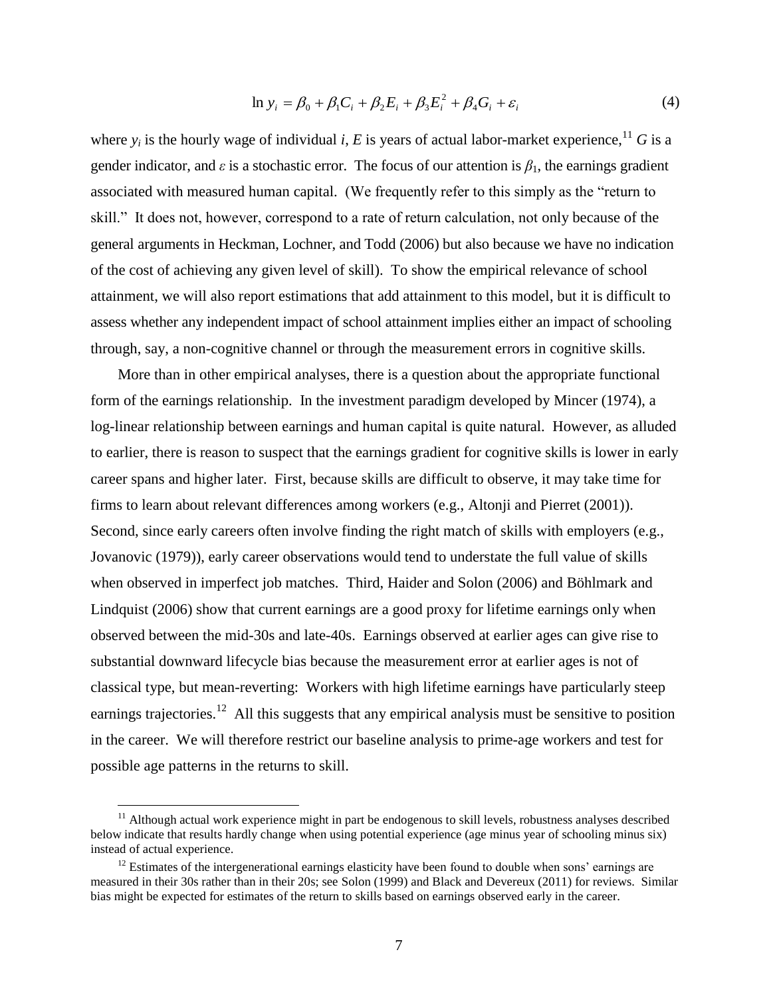$$
\ln y_i = \beta_0 + \beta_1 C_i + \beta_2 E_i + \beta_3 E_i^2 + \beta_4 G_i + \varepsilon_i
$$
\n(4)

where  $y_i$  is the hourly wage of individual *i*, *E* is years of actual labor-market experience,<sup>11</sup> *G* is a gender indicator, and  $\varepsilon$  is a stochastic error. The focus of our attention is  $\beta_1$ , the earnings gradient associated with measured human capital. (We frequently refer to this simply as the "return to skill." It does not, however, correspond to a rate of return calculation, not only because of the general arguments in [Heckman, Lochner, and Todd \(2006\)](#page-27-3) but also because we have no indication of the cost of achieving any given level of skill). To show the empirical relevance of school attainment, we will also report estimations that add attainment to this model, but it is difficult to assess whether any independent impact of school attainment implies either an impact of schooling through, say, a non-cognitive channel or through the measurement errors in cognitive skills.

More than in other empirical analyses, there is a question about the appropriate functional form of the earnings relationship. In the investment paradigm developed by [Mincer \(1974\)](#page-28-9), a log-linear relationship between earnings and human capital is quite natural. However, as alluded to earlier, there is reason to suspect that the earnings gradient for cognitive skills is lower in early career spans and higher later. First, because skills are difficult to observe, it may take time for firms to learn about relevant differences among workers (e.g., [Altonji and Pierret \(2001\)](#page-26-0)). Second, since early careers often involve finding the right match of skills with employers (e.g., [Jovanovic \(1979\)](#page-27-14)), early career observations would tend to understate the full value of skills when observed in imperfect job matches. Third, [Haider and Solon \(2006\)](#page-27-1) and [Böhlmark and](#page-26-12)  [Lindquist \(2006\)](#page-26-12) show that current earnings are a good proxy for lifetime earnings only when observed between the mid-30s and late-40s. Earnings observed at earlier ages can give rise to substantial downward lifecycle bias because the measurement error at earlier ages is not of classical type, but mean-reverting: Workers with high lifetime earnings have particularly steep earnings trajectories.<sup>12</sup> All this suggests that any empirical analysis must be sensitive to position in the career. We will therefore restrict our baseline analysis to prime-age workers and test for possible age patterns in the returns to skill.

 $11$  Although actual work experience might in part be endogenous to skill levels, robustness analyses described below indicate that results hardly change when using potential experience (age minus year of schooling minus six) instead of actual experience.

 $12$  Estimates of the intergenerational earnings elasticity have been found to double when sons' earnings are measured in their 30s rather than in their 20s; see [Solon \(1999\)](#page-28-12) and [Black and Devereux \(2011\)](#page-26-13) for reviews. Similar bias might be expected for estimates of the return to skills based on earnings observed early in the career.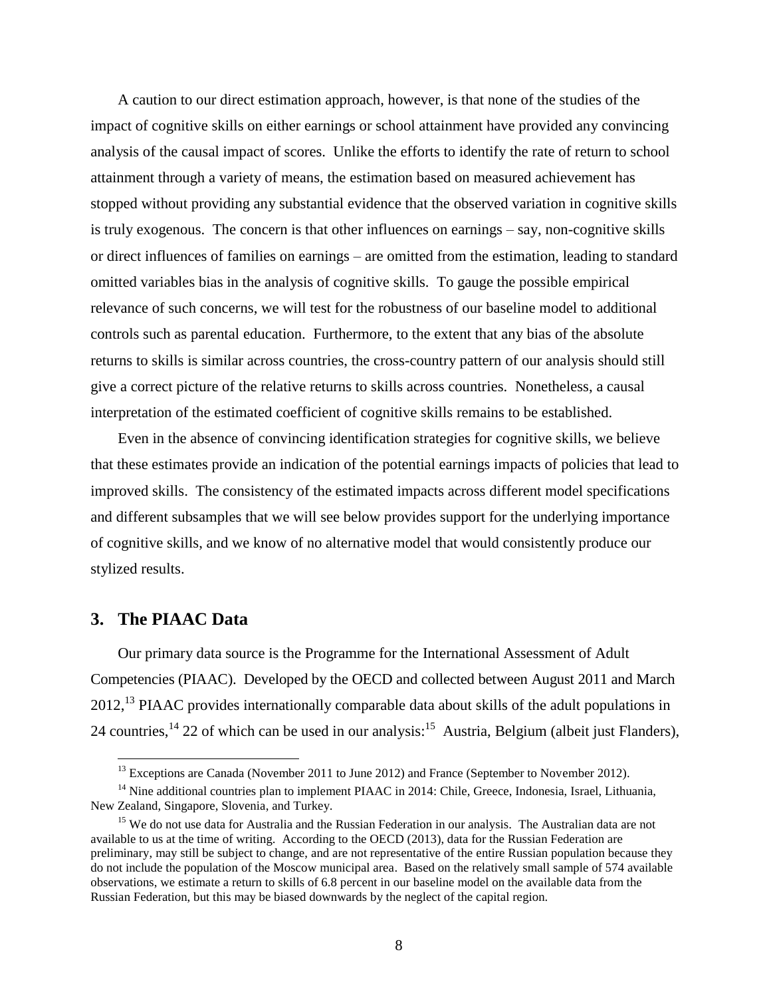A caution to our direct estimation approach, however, is that none of the studies of the impact of cognitive skills on either earnings or school attainment have provided any convincing analysis of the causal impact of scores. Unlike the efforts to identify the rate of return to school attainment through a variety of means, the estimation based on measured achievement has stopped without providing any substantial evidence that the observed variation in cognitive skills is truly exogenous. The concern is that other influences on earnings – say, non-cognitive skills or direct influences of families on earnings – are omitted from the estimation, leading to standard omitted variables bias in the analysis of cognitive skills. To gauge the possible empirical relevance of such concerns, we will test for the robustness of our baseline model to additional controls such as parental education. Furthermore, to the extent that any bias of the absolute returns to skills is similar across countries, the cross-country pattern of our analysis should still give a correct picture of the relative returns to skills across countries. Nonetheless, a causal interpretation of the estimated coefficient of cognitive skills remains to be established.

Even in the absence of convincing identification strategies for cognitive skills, we believe that these estimates provide an indication of the potential earnings impacts of policies that lead to improved skills. The consistency of the estimated impacts across different model specifications and different subsamples that we will see below provides support for the underlying importance of cognitive skills, and we know of no alternative model that would consistently produce our stylized results.

#### **3. The PIAAC Data**

 $\overline{a}$ 

Our primary data source is the Programme for the International Assessment of Adult Competencies (PIAAC). Developed by the OECD and collected between August 2011 and March 2012,<sup>13</sup> PIAAC provides internationally comparable data about skills of the adult populations in 24 countries,  $^{14}$  22 of which can be used in our analysis:  $^{15}$  Austria, Belgium (albeit just Flanders),

<sup>&</sup>lt;sup>13</sup> Exceptions are Canada (November 2011 to June 2012) and France (September to November 2012).

 $14$  Nine additional countries plan to implement PIAAC in 2014: Chile, Greece, Indonesia, Israel, Lithuania, New Zealand, Singapore, Slovenia, and Turkey.

<sup>&</sup>lt;sup>15</sup> We do not use data for Australia and the Russian Federation in our analysis. The Australian data are not available to us at the time of writing. According to the [OECD \(2013\)](#page-28-13), data for the Russian Federation are preliminary, may still be subject to change, and are not representative of the entire Russian population because they do not include the population of the Moscow municipal area. Based on the relatively small sample of 574 available observations, we estimate a return to skills of 6.8 percent in our baseline model on the available data from the Russian Federation, but this may be biased downwards by the neglect of the capital region.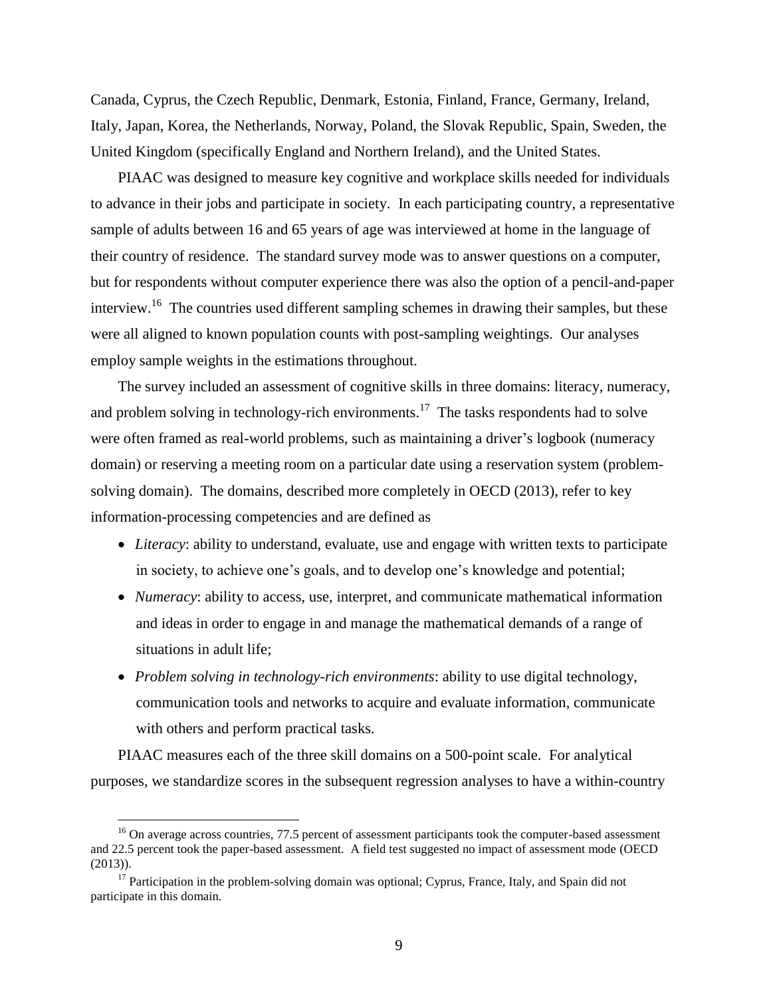Canada, Cyprus, the Czech Republic, Denmark, Estonia, Finland, France, Germany, Ireland, Italy, Japan, Korea, the Netherlands, Norway, Poland, the Slovak Republic, Spain, Sweden, the United Kingdom (specifically England and Northern Ireland), and the United States.

PIAAC was designed to measure key cognitive and workplace skills needed for individuals to advance in their jobs and participate in society. In each participating country, a representative sample of adults between 16 and 65 years of age was interviewed at home in the language of their country of residence. The standard survey mode was to answer questions on a computer, but for respondents without computer experience there was also the option of a pencil-and-paper interview.<sup>16</sup> The countries used different sampling schemes in drawing their samples, but these were all aligned to known population counts with post-sampling weightings. Our analyses employ sample weights in the estimations throughout.

The survey included an assessment of cognitive skills in three domains: literacy, numeracy, and problem solving in technology-rich environments.<sup>17</sup> The tasks respondents had to solve were often framed as real-world problems, such as maintaining a driver's logbook (numeracy domain) or reserving a meeting room on a particular date using a reservation system (problemsolving domain). The domains, described more completely in [OECD \(2013\)](#page-28-13), refer to key information-processing competencies and are defined as

- *Literacy*: ability to understand, evaluate, use and engage with written texts to participate in society, to achieve one's goals, and to develop one's knowledge and potential;
- *Numeracy*: ability to access, use, interpret, and communicate mathematical information and ideas in order to engage in and manage the mathematical demands of a range of situations in adult life;
- *Problem solving in technology-rich environments*: ability to use digital technology, communication tools and networks to acquire and evaluate information, communicate with others and perform practical tasks.

PIAAC measures each of the three skill domains on a 500-point scale. For analytical purposes, we standardize scores in the subsequent regression analyses to have a within-country

<sup>&</sup>lt;sup>16</sup> On average across countries, 77.5 percent of assessment participants took the computer-based assessment and 22.5 percent took the paper-based assessment. A field test suggested no impact of assessment mode [\(OECD](#page-28-13)  [\(2013\)](#page-28-13)).

 $17$  Participation in the problem-solving domain was optional; Cyprus, France, Italy, and Spain did not participate in this domain.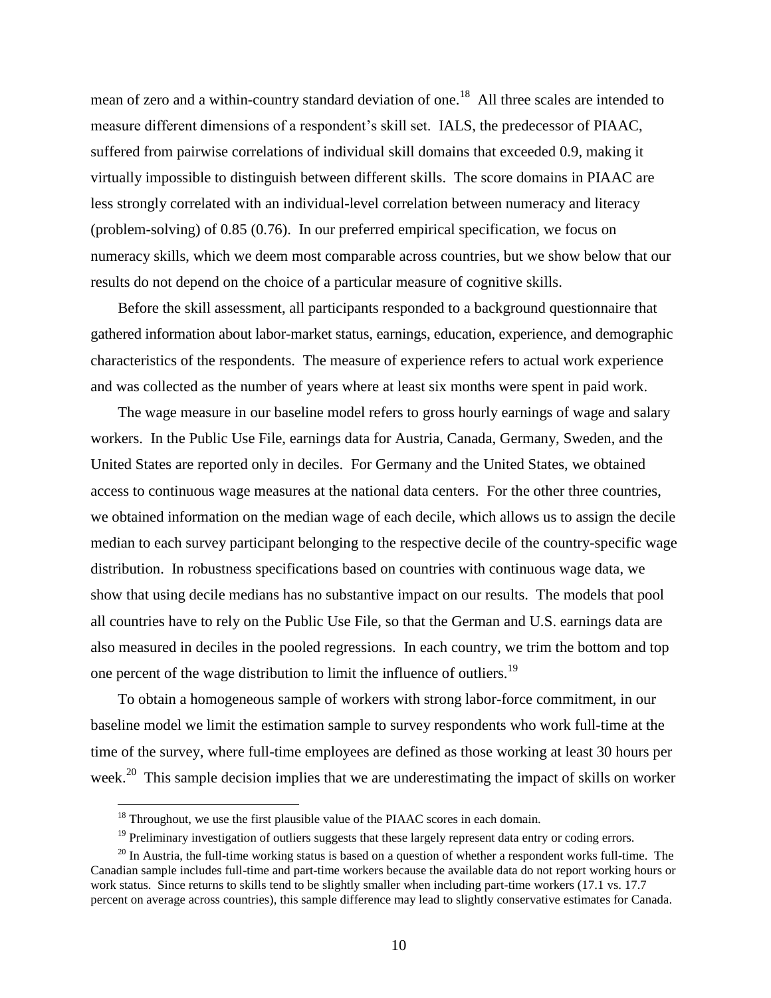mean of zero and a within-country standard deviation of one.<sup>18</sup> All three scales are intended to measure different dimensions of a respondent's skill set. IALS, the predecessor of PIAAC, suffered from pairwise correlations of individual skill domains that exceeded 0.9, making it virtually impossible to distinguish between different skills. The score domains in PIAAC are less strongly correlated with an individual-level correlation between numeracy and literacy (problem-solving) of 0.85 (0.76). In our preferred empirical specification, we focus on numeracy skills, which we deem most comparable across countries, but we show below that our results do not depend on the choice of a particular measure of cognitive skills.

Before the skill assessment, all participants responded to a background questionnaire that gathered information about labor-market status, earnings, education, experience, and demographic characteristics of the respondents. The measure of experience refers to actual work experience and was collected as the number of years where at least six months were spent in paid work.

The wage measure in our baseline model refers to gross hourly earnings of wage and salary workers. In the Public Use File, earnings data for Austria, Canada, Germany, Sweden, and the United States are reported only in deciles. For Germany and the United States, we obtained access to continuous wage measures at the national data centers. For the other three countries, we obtained information on the median wage of each decile, which allows us to assign the decile median to each survey participant belonging to the respective decile of the country-specific wage distribution. In robustness specifications based on countries with continuous wage data, we show that using decile medians has no substantive impact on our results. The models that pool all countries have to rely on the Public Use File, so that the German and U.S. earnings data are also measured in deciles in the pooled regressions. In each country, we trim the bottom and top one percent of the wage distribution to limit the influence of outliers.<sup>19</sup>

To obtain a homogeneous sample of workers with strong labor-force commitment, in our baseline model we limit the estimation sample to survey respondents who work full-time at the time of the survey, where full-time employees are defined as those working at least 30 hours per week.<sup>20</sup> This sample decision implies that we are underestimating the impact of skills on worker

 $18$  Throughout, we use the first plausible value of the PIAAC scores in each domain.

<sup>&</sup>lt;sup>19</sup> Preliminary investigation of outliers suggests that these largely represent data entry or coding errors.

 $20$  In Austria, the full-time working status is based on a question of whether a respondent works full-time. The Canadian sample includes full-time and part-time workers because the available data do not report working hours or work status. Since returns to skills tend to be slightly smaller when including part-time workers (17.1 vs. 17.7 percent on average across countries), this sample difference may lead to slightly conservative estimates for Canada.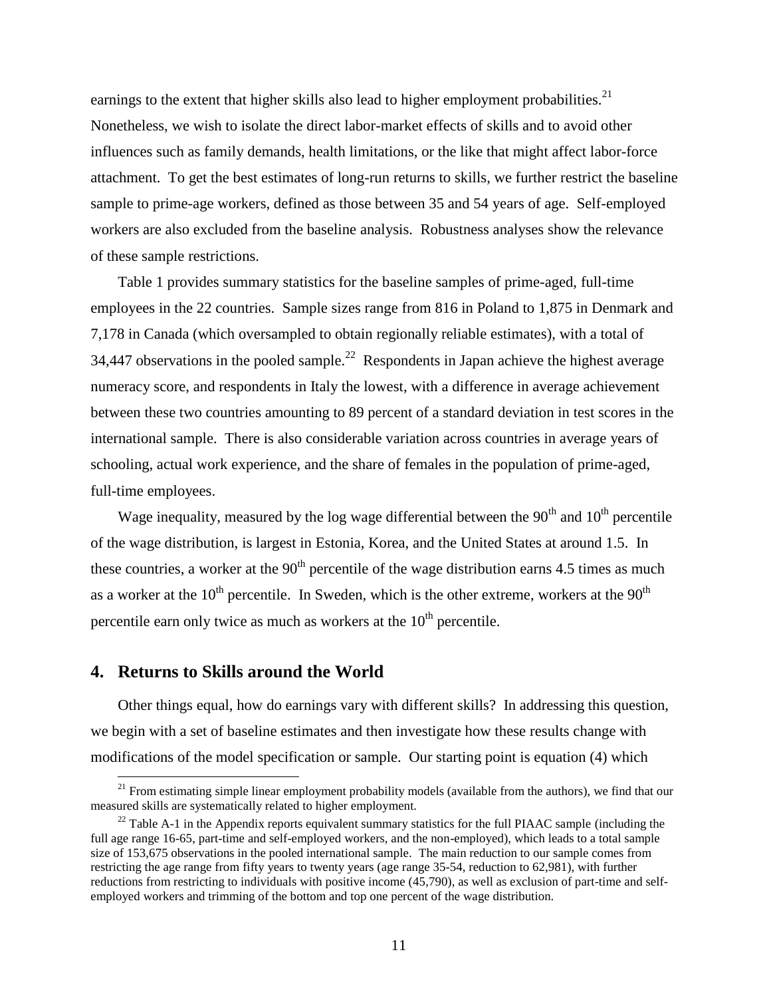earnings to the extent that higher skills also lead to higher employment probabilities.<sup>21</sup> Nonetheless, we wish to isolate the direct labor-market effects of skills and to avoid other influences such as family demands, health limitations, or the like that might affect labor-force attachment. To get the best estimates of long-run returns to skills, we further restrict the baseline sample to prime-age workers, defined as those between 35 and 54 years of age. Self-employed workers are also excluded from the baseline analysis. Robustness analyses show the relevance of these sample restrictions.

Table 1 provides summary statistics for the baseline samples of prime-aged, full-time employees in the 22 countries. Sample sizes range from 816 in Poland to 1,875 in Denmark and 7,178 in Canada (which oversampled to obtain regionally reliable estimates), with a total of 34,447 observations in the pooled sample.<sup>22</sup> Respondents in Japan achieve the highest average numeracy score, and respondents in Italy the lowest, with a difference in average achievement between these two countries amounting to 89 percent of a standard deviation in test scores in the international sample. There is also considerable variation across countries in average years of schooling, actual work experience, and the share of females in the population of prime-aged, full-time employees.

Wage inequality, measured by the log wage differential between the  $90<sup>th</sup>$  and  $10<sup>th</sup>$  percentile of the wage distribution, is largest in Estonia, Korea, and the United States at around 1.5. In these countries, a worker at the  $90<sup>th</sup>$  percentile of the wage distribution earns 4.5 times as much as a worker at the  $10^{th}$  percentile. In Sweden, which is the other extreme, workers at the  $90^{th}$ percentile earn only twice as much as workers at the  $10<sup>th</sup>$  percentile.

#### **4. Returns to Skills around the World**

 $\overline{a}$ 

Other things equal, how do earnings vary with different skills? In addressing this question, we begin with a set of baseline estimates and then investigate how these results change with modifications of the model specification or sample. Our starting point is equation (4) which

<sup>&</sup>lt;sup>21</sup> From estimating simple linear employment probability models (available from the authors), we find that our measured skills are systematically related to higher employment.

 $22$  Table A-1 in the Appendix reports equivalent summary statistics for the full PIAAC sample (including the full age range 16-65, part-time and self-employed workers, and the non-employed), which leads to a total sample size of 153,675 observations in the pooled international sample. The main reduction to our sample comes from restricting the age range from fifty years to twenty years (age range 35-54, reduction to 62,981), with further reductions from restricting to individuals with positive income (45,790), as well as exclusion of part-time and selfemployed workers and trimming of the bottom and top one percent of the wage distribution.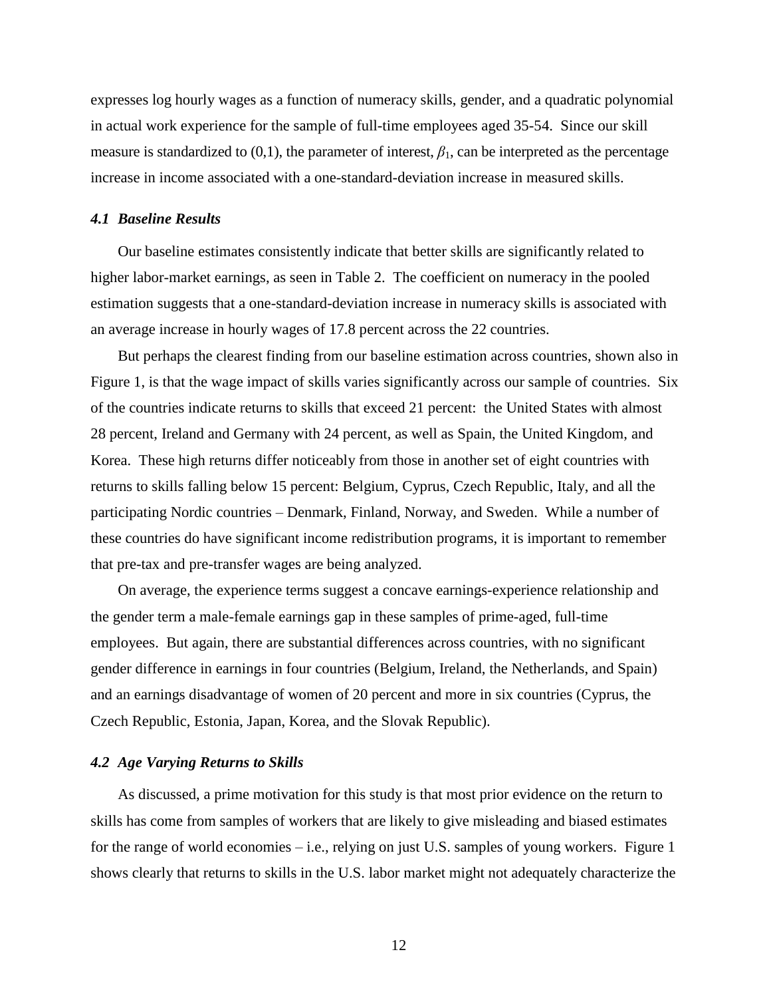expresses log hourly wages as a function of numeracy skills, gender, and a quadratic polynomial in actual work experience for the sample of full-time employees aged 35-54. Since our skill measure is standardized to  $(0,1)$ , the parameter of interest,  $\beta_1$ , can be interpreted as the percentage increase in income associated with a one-standard-deviation increase in measured skills.

#### *4.1 Baseline Results*

Our baseline estimates consistently indicate that better skills are significantly related to higher labor-market earnings, as seen in Table 2. The coefficient on numeracy in the pooled estimation suggests that a one-standard-deviation increase in numeracy skills is associated with an average increase in hourly wages of 17.8 percent across the 22 countries.

But perhaps the clearest finding from our baseline estimation across countries, shown also in Figure 1, is that the wage impact of skills varies significantly across our sample of countries. Six of the countries indicate returns to skills that exceed 21 percent: the United States with almost 28 percent, Ireland and Germany with 24 percent, as well as Spain, the United Kingdom, and Korea. These high returns differ noticeably from those in another set of eight countries with returns to skills falling below 15 percent: Belgium, Cyprus, Czech Republic, Italy, and all the participating Nordic countries – Denmark, Finland, Norway, and Sweden. While a number of these countries do have significant income redistribution programs, it is important to remember that pre-tax and pre-transfer wages are being analyzed.

On average, the experience terms suggest a concave earnings-experience relationship and the gender term a male-female earnings gap in these samples of prime-aged, full-time employees. But again, there are substantial differences across countries, with no significant gender difference in earnings in four countries (Belgium, Ireland, the Netherlands, and Spain) and an earnings disadvantage of women of 20 percent and more in six countries (Cyprus, the Czech Republic, Estonia, Japan, Korea, and the Slovak Republic).

#### *4.2 Age Varying Returns to Skills*

As discussed, a prime motivation for this study is that most prior evidence on the return to skills has come from samples of workers that are likely to give misleading and biased estimates for the range of world economies – i.e., relying on just U.S. samples of young workers. Figure 1 shows clearly that returns to skills in the U.S. labor market might not adequately characterize the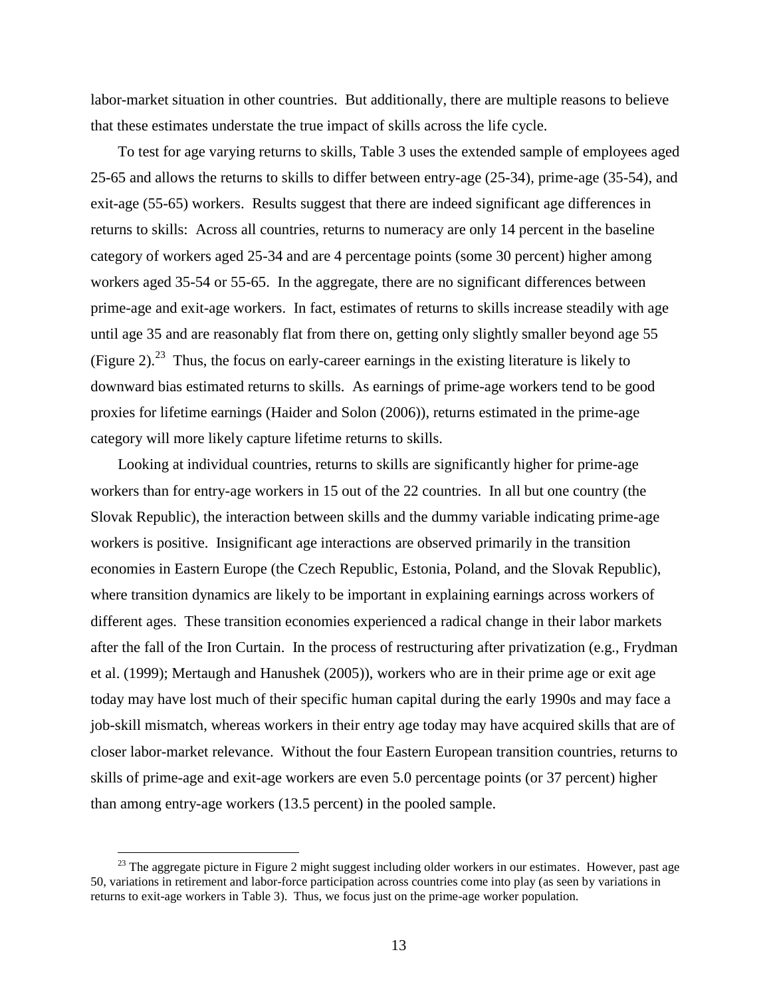labor-market situation in other countries. But additionally, there are multiple reasons to believe that these estimates understate the true impact of skills across the life cycle.

To test for age varying returns to skills, Table 3 uses the extended sample of employees aged 25-65 and allows the returns to skills to differ between entry-age (25-34), prime-age (35-54), and exit-age (55-65) workers. Results suggest that there are indeed significant age differences in returns to skills: Across all countries, returns to numeracy are only 14 percent in the baseline category of workers aged 25-34 and are 4 percentage points (some 30 percent) higher among workers aged 35-54 or 55-65. In the aggregate, there are no significant differences between prime-age and exit-age workers. In fact, estimates of returns to skills increase steadily with age until age 35 and are reasonably flat from there on, getting only slightly smaller beyond age 55 (Figure 2).<sup>23</sup> Thus, the focus on early-career earnings in the existing literature is likely to downward bias estimated returns to skills. As earnings of prime-age workers tend to be good proxies for lifetime earnings [\(Haider and Solon \(2006\)](#page-27-1)), returns estimated in the prime-age category will more likely capture lifetime returns to skills.

Looking at individual countries, returns to skills are significantly higher for prime-age workers than for entry-age workers in 15 out of the 22 countries. In all but one country (the Slovak Republic), the interaction between skills and the dummy variable indicating prime-age workers is positive. Insignificant age interactions are observed primarily in the transition economies in Eastern Europe (the Czech Republic, Estonia, Poland, and the Slovak Republic), where transition dynamics are likely to be important in explaining earnings across workers of different ages. These transition economies experienced a radical change in their labor markets after the fall of the Iron Curtain. In the process of restructuring after privatization (e.g., [Frydman](#page-27-15)  [et al. \(1999\)](#page-27-15); [Mertaugh and Hanushek \(2005\)](#page-28-14)), workers who are in their prime age or exit age today may have lost much of their specific human capital during the early 1990s and may face a job-skill mismatch, whereas workers in their entry age today may have acquired skills that are of closer labor-market relevance. Without the four Eastern European transition countries, returns to skills of prime-age and exit-age workers are even 5.0 percentage points (or 37 percent) higher than among entry-age workers (13.5 percent) in the pooled sample.

 $^{23}$  The aggregate picture in Figure 2 might suggest including older workers in our estimates. However, past age 50, variations in retirement and labor-force participation across countries come into play (as seen by variations in returns to exit-age workers in Table 3). Thus, we focus just on the prime-age worker population.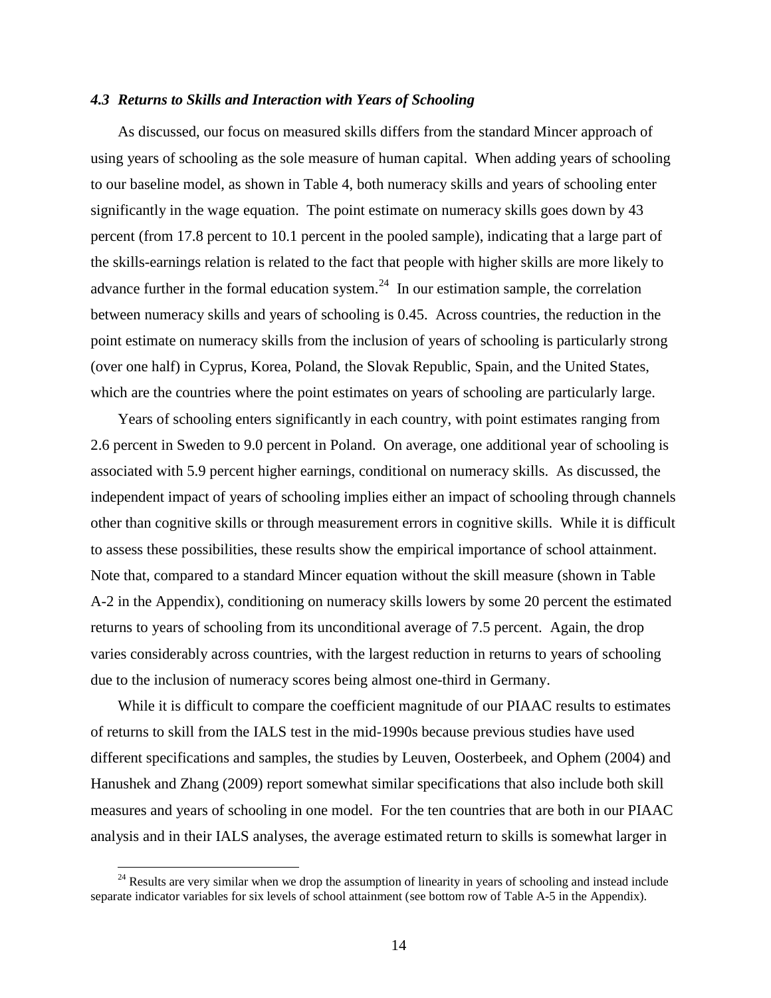#### *4.3 Returns to Skills and Interaction with Years of Schooling*

As discussed, our focus on measured skills differs from the standard Mincer approach of using years of schooling as the sole measure of human capital. When adding years of schooling to our baseline model, as shown in Table 4, both numeracy skills and years of schooling enter significantly in the wage equation. The point estimate on numeracy skills goes down by 43 percent (from 17.8 percent to 10.1 percent in the pooled sample), indicating that a large part of the skills-earnings relation is related to the fact that people with higher skills are more likely to advance further in the formal education system. $^{24}$  In our estimation sample, the correlation between numeracy skills and years of schooling is 0.45. Across countries, the reduction in the point estimate on numeracy skills from the inclusion of years of schooling is particularly strong (over one half) in Cyprus, Korea, Poland, the Slovak Republic, Spain, and the United States, which are the countries where the point estimates on years of schooling are particularly large.

Years of schooling enters significantly in each country, with point estimates ranging from 2.6 percent in Sweden to 9.0 percent in Poland. On average, one additional year of schooling is associated with 5.9 percent higher earnings, conditional on numeracy skills. As discussed, the independent impact of years of schooling implies either an impact of schooling through channels other than cognitive skills or through measurement errors in cognitive skills. While it is difficult to assess these possibilities, these results show the empirical importance of school attainment. Note that, compared to a standard Mincer equation without the skill measure (shown in Table A-2 in the Appendix), conditioning on numeracy skills lowers by some 20 percent the estimated returns to years of schooling from its unconditional average of 7.5 percent. Again, the drop varies considerably across countries, with the largest reduction in returns to years of schooling due to the inclusion of numeracy scores being almost one-third in Germany.

While it is difficult to compare the coefficient magnitude of our PIAAC results to estimates of returns to skill from the IALS test in the mid-1990s because previous studies have used different specifications and samples, the studies by [Leuven, Oosterbeek, and Ophem \(2004\)](#page-28-6) and [Hanushek and Zhang \(2009\)](#page-27-6) report somewhat similar specifications that also include both skill measures and years of schooling in one model. For the ten countries that are both in our PIAAC analysis and in their IALS analyses, the average estimated return to skills is somewhat larger in

 $24$  Results are very similar when we drop the assumption of linearity in years of schooling and instead include separate indicator variables for six levels of school attainment (see bottom row of Table A-5 in the Appendix).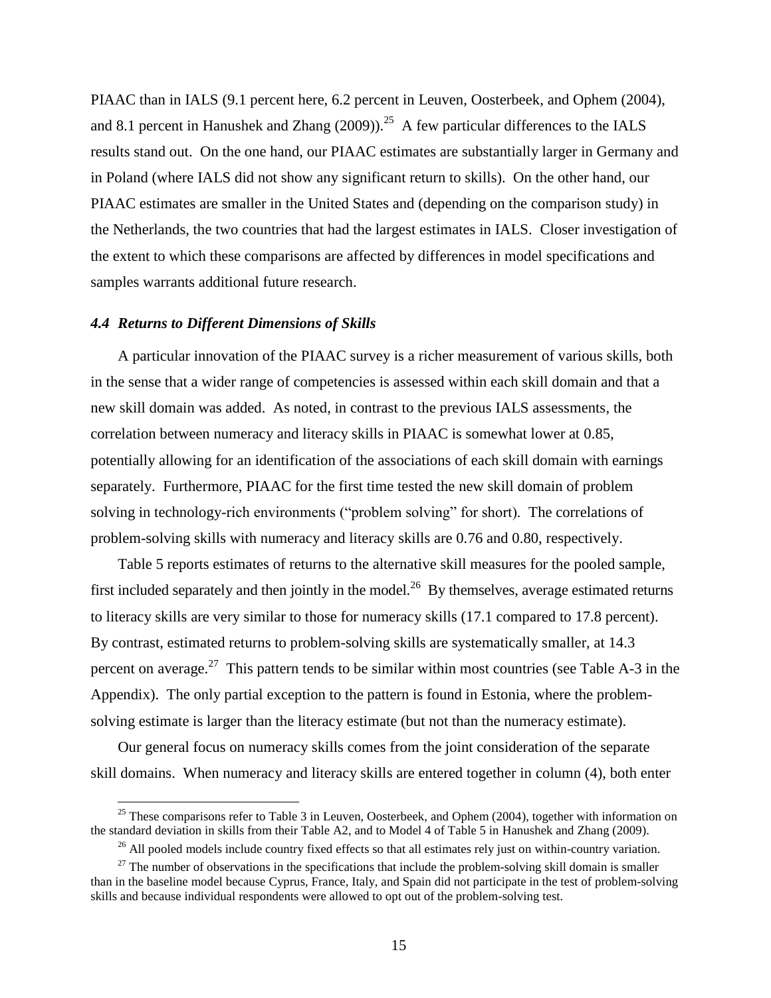PIAAC than in IALS (9.1 percent here, 6.2 percent in [Leuven, Oosterbeek, and Ophem \(2004\)](#page-28-6), and 8.1 percent in Hanushek and Zhang  $(2009)$ .<sup>25</sup> A few particular differences to the IALS results stand out. On the one hand, our PIAAC estimates are substantially larger in Germany and in Poland (where IALS did not show any significant return to skills). On the other hand, our PIAAC estimates are smaller in the United States and (depending on the comparison study) in the Netherlands, the two countries that had the largest estimates in IALS. Closer investigation of the extent to which these comparisons are affected by differences in model specifications and samples warrants additional future research.

#### *4.4 Returns to Different Dimensions of Skills*

 $\overline{a}$ 

A particular innovation of the PIAAC survey is a richer measurement of various skills, both in the sense that a wider range of competencies is assessed within each skill domain and that a new skill domain was added. As noted, in contrast to the previous IALS assessments, the correlation between numeracy and literacy skills in PIAAC is somewhat lower at 0.85, potentially allowing for an identification of the associations of each skill domain with earnings separately. Furthermore, PIAAC for the first time tested the new skill domain of problem solving in technology-rich environments ("problem solving" for short). The correlations of problem-solving skills with numeracy and literacy skills are 0.76 and 0.80, respectively.

Table 5 reports estimates of returns to the alternative skill measures for the pooled sample, first included separately and then jointly in the model.<sup>26</sup> By themselves, average estimated returns to literacy skills are very similar to those for numeracy skills (17.1 compared to 17.8 percent). By contrast, estimated returns to problem-solving skills are systematically smaller, at 14.3 percent on average.<sup>27</sup> This pattern tends to be similar within most countries (see Table A-3 in the Appendix). The only partial exception to the pattern is found in Estonia, where the problemsolving estimate is larger than the literacy estimate (but not than the numeracy estimate).

Our general focus on numeracy skills comes from the joint consideration of the separate skill domains. When numeracy and literacy skills are entered together in column (4), both enter

 $25$  These comparisons refer to Table 3 i[n Leuven, Oosterbeek, and Ophem \(2004\)](#page-28-6), together with information on the standard deviation in skills from their Table A2, and to Model 4 of Table 5 in [Hanushek and Zhang \(2009\)](#page-27-6).

<sup>&</sup>lt;sup>26</sup> All pooled models include country fixed effects so that all estimates rely just on within-country variation.

 $27$  The number of observations in the specifications that include the problem-solving skill domain is smaller than in the baseline model because Cyprus, France, Italy, and Spain did not participate in the test of problem-solving skills and because individual respondents were allowed to opt out of the problem-solving test.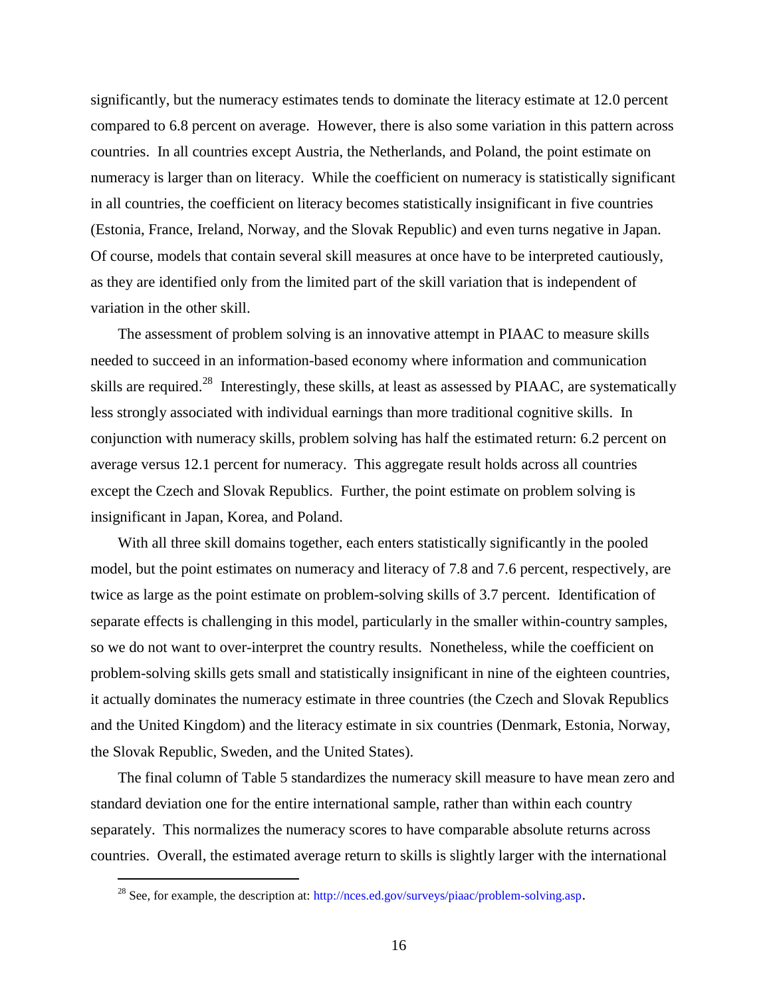significantly, but the numeracy estimates tends to dominate the literacy estimate at 12.0 percent compared to 6.8 percent on average. However, there is also some variation in this pattern across countries. In all countries except Austria, the Netherlands, and Poland, the point estimate on numeracy is larger than on literacy. While the coefficient on numeracy is statistically significant in all countries, the coefficient on literacy becomes statistically insignificant in five countries (Estonia, France, Ireland, Norway, and the Slovak Republic) and even turns negative in Japan. Of course, models that contain several skill measures at once have to be interpreted cautiously, as they are identified only from the limited part of the skill variation that is independent of variation in the other skill.

The assessment of problem solving is an innovative attempt in PIAAC to measure skills needed to succeed in an information-based economy where information and communication skills are required.<sup>28</sup> Interestingly, these skills, at least as assessed by PIAAC, are systematically less strongly associated with individual earnings than more traditional cognitive skills. In conjunction with numeracy skills, problem solving has half the estimated return: 6.2 percent on average versus 12.1 percent for numeracy. This aggregate result holds across all countries except the Czech and Slovak Republics. Further, the point estimate on problem solving is insignificant in Japan, Korea, and Poland.

With all three skill domains together, each enters statistically significantly in the pooled model, but the point estimates on numeracy and literacy of 7.8 and 7.6 percent, respectively, are twice as large as the point estimate on problem-solving skills of 3.7 percent. Identification of separate effects is challenging in this model, particularly in the smaller within-country samples, so we do not want to over-interpret the country results. Nonetheless, while the coefficient on problem-solving skills gets small and statistically insignificant in nine of the eighteen countries, it actually dominates the numeracy estimate in three countries (the Czech and Slovak Republics and the United Kingdom) and the literacy estimate in six countries (Denmark, Estonia, Norway, the Slovak Republic, Sweden, and the United States).

The final column of Table 5 standardizes the numeracy skill measure to have mean zero and standard deviation one for the entire international sample, rather than within each country separately. This normalizes the numeracy scores to have comparable absolute returns across countries. Overall, the estimated average return to skills is slightly larger with the international

<sup>&</sup>lt;sup>28</sup> See, for example, the description at:  $\frac{http://nces.edu.gov/surveys/piaac/problem-solving.argv.$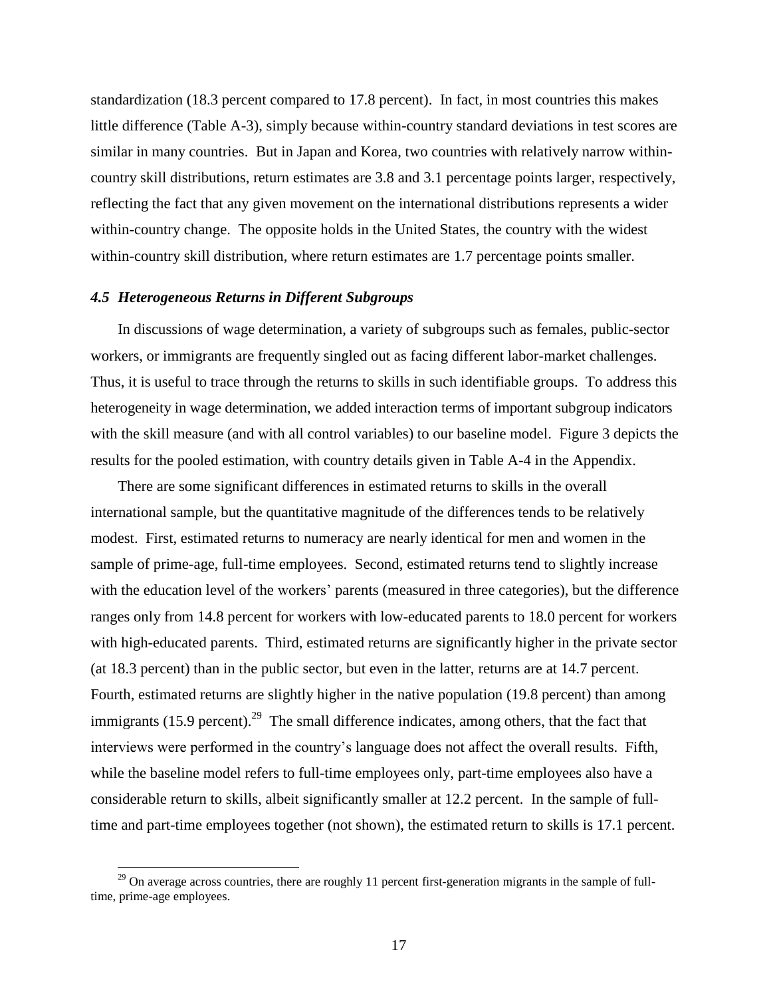standardization (18.3 percent compared to 17.8 percent). In fact, in most countries this makes little difference (Table A-3), simply because within-country standard deviations in test scores are similar in many countries. But in Japan and Korea, two countries with relatively narrow withincountry skill distributions, return estimates are 3.8 and 3.1 percentage points larger, respectively, reflecting the fact that any given movement on the international distributions represents a wider within-country change. The opposite holds in the United States, the country with the widest within-country skill distribution, where return estimates are 1.7 percentage points smaller.

#### *4.5 Heterogeneous Returns in Different Subgroups*

 $\overline{a}$ 

In discussions of wage determination, a variety of subgroups such as females, public-sector workers, or immigrants are frequently singled out as facing different labor-market challenges. Thus, it is useful to trace through the returns to skills in such identifiable groups. To address this heterogeneity in wage determination, we added interaction terms of important subgroup indicators with the skill measure (and with all control variables) to our baseline model. Figure 3 depicts the results for the pooled estimation, with country details given in Table A-4 in the Appendix.

There are some significant differences in estimated returns to skills in the overall international sample, but the quantitative magnitude of the differences tends to be relatively modest. First, estimated returns to numeracy are nearly identical for men and women in the sample of prime-age, full-time employees. Second, estimated returns tend to slightly increase with the education level of the workers' parents (measured in three categories), but the difference ranges only from 14.8 percent for workers with low-educated parents to 18.0 percent for workers with high-educated parents. Third, estimated returns are significantly higher in the private sector (at 18.3 percent) than in the public sector, but even in the latter, returns are at 14.7 percent. Fourth, estimated returns are slightly higher in the native population (19.8 percent) than among immigrants (15.9 percent).<sup>29</sup> The small difference indicates, among others, that the fact that interviews were performed in the country's language does not affect the overall results. Fifth, while the baseline model refers to full-time employees only, part-time employees also have a considerable return to skills, albeit significantly smaller at 12.2 percent. In the sample of fulltime and part-time employees together (not shown), the estimated return to skills is 17.1 percent.

 $29$  On average across countries, there are roughly 11 percent first-generation migrants in the sample of fulltime, prime-age employees.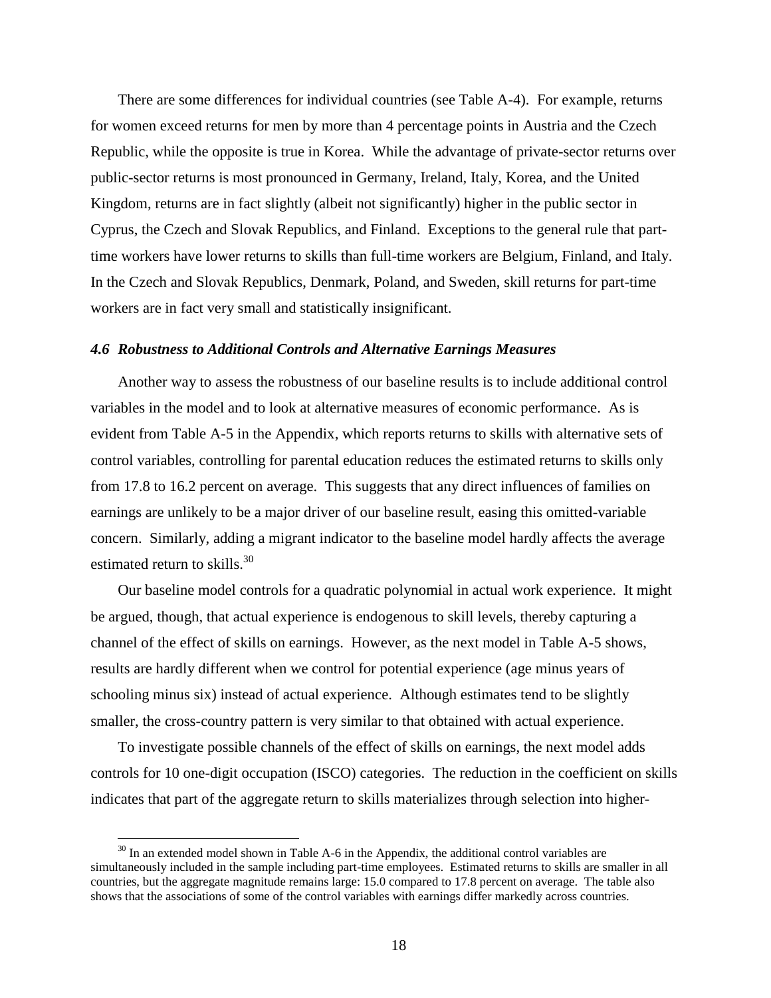There are some differences for individual countries (see Table A-4). For example, returns for women exceed returns for men by more than 4 percentage points in Austria and the Czech Republic, while the opposite is true in Korea. While the advantage of private-sector returns over public-sector returns is most pronounced in Germany, Ireland, Italy, Korea, and the United Kingdom, returns are in fact slightly (albeit not significantly) higher in the public sector in Cyprus, the Czech and Slovak Republics, and Finland. Exceptions to the general rule that parttime workers have lower returns to skills than full-time workers are Belgium, Finland, and Italy. In the Czech and Slovak Republics, Denmark, Poland, and Sweden, skill returns for part-time workers are in fact very small and statistically insignificant.

#### *4.6 Robustness to Additional Controls and Alternative Earnings Measures*

Another way to assess the robustness of our baseline results is to include additional control variables in the model and to look at alternative measures of economic performance. As is evident from Table A-5 in the Appendix, which reports returns to skills with alternative sets of control variables, controlling for parental education reduces the estimated returns to skills only from 17.8 to 16.2 percent on average. This suggests that any direct influences of families on earnings are unlikely to be a major driver of our baseline result, easing this omitted-variable concern. Similarly, adding a migrant indicator to the baseline model hardly affects the average estimated return to skills.<sup>30</sup>

Our baseline model controls for a quadratic polynomial in actual work experience. It might be argued, though, that actual experience is endogenous to skill levels, thereby capturing a channel of the effect of skills on earnings. However, as the next model in Table A-5 shows, results are hardly different when we control for potential experience (age minus years of schooling minus six) instead of actual experience. Although estimates tend to be slightly smaller, the cross-country pattern is very similar to that obtained with actual experience.

To investigate possible channels of the effect of skills on earnings, the next model adds controls for 10 one-digit occupation (ISCO) categories. The reduction in the coefficient on skills indicates that part of the aggregate return to skills materializes through selection into higher-

<sup>&</sup>lt;sup>30</sup> In an extended model shown in Table A-6 in the Appendix, the additional control variables are simultaneously included in the sample including part-time employees. Estimated returns to skills are smaller in all countries, but the aggregate magnitude remains large: 15.0 compared to 17.8 percent on average. The table also shows that the associations of some of the control variables with earnings differ markedly across countries.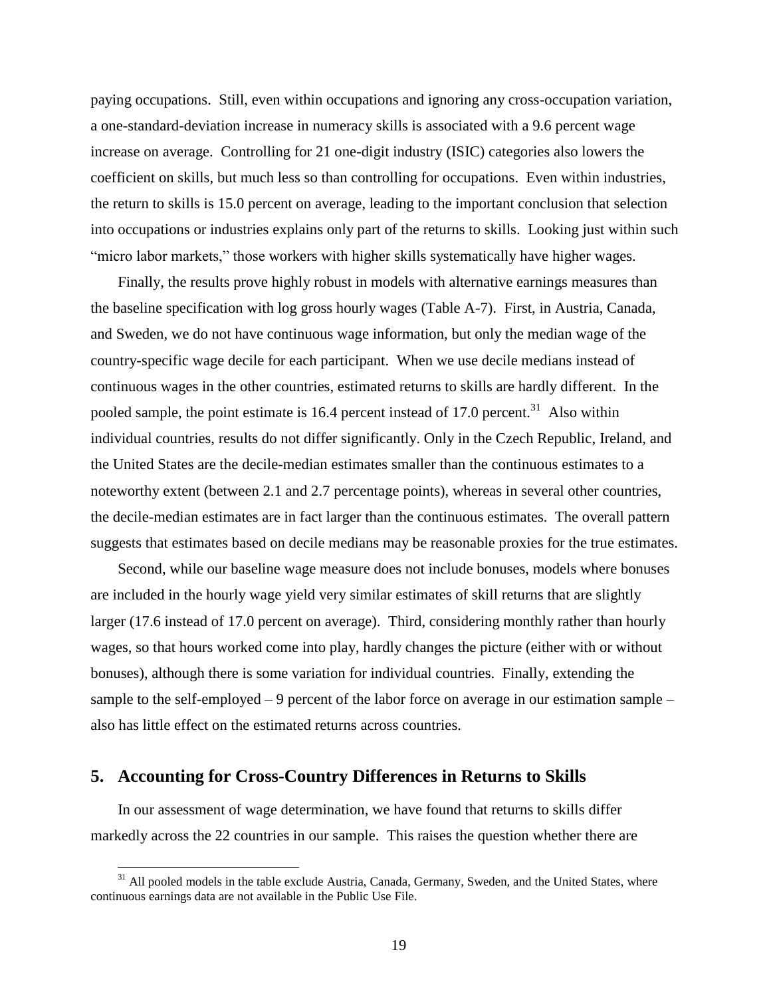paying occupations. Still, even within occupations and ignoring any cross-occupation variation, a one-standard-deviation increase in numeracy skills is associated with a 9.6 percent wage increase on average. Controlling for 21 one-digit industry (ISIC) categories also lowers the coefficient on skills, but much less so than controlling for occupations. Even within industries, the return to skills is 15.0 percent on average, leading to the important conclusion that selection into occupations or industries explains only part of the returns to skills. Looking just within such "micro labor markets," those workers with higher skills systematically have higher wages.

Finally, the results prove highly robust in models with alternative earnings measures than the baseline specification with log gross hourly wages (Table A-7). First, in Austria, Canada, and Sweden, we do not have continuous wage information, but only the median wage of the country-specific wage decile for each participant. When we use decile medians instead of continuous wages in the other countries, estimated returns to skills are hardly different. In the pooled sample, the point estimate is 16.4 percent instead of 17.0 percent.<sup>31</sup> Also within individual countries, results do not differ significantly. Only in the Czech Republic, Ireland, and the United States are the decile-median estimates smaller than the continuous estimates to a noteworthy extent (between 2.1 and 2.7 percentage points), whereas in several other countries, the decile-median estimates are in fact larger than the continuous estimates. The overall pattern suggests that estimates based on decile medians may be reasonable proxies for the true estimates.

Second, while our baseline wage measure does not include bonuses, models where bonuses are included in the hourly wage yield very similar estimates of skill returns that are slightly larger (17.6 instead of 17.0 percent on average). Third, considering monthly rather than hourly wages, so that hours worked come into play, hardly changes the picture (either with or without bonuses), although there is some variation for individual countries. Finally, extending the sample to the self-employed – 9 percent of the labor force on average in our estimation sample – also has little effect on the estimated returns across countries.

#### **5. Accounting for Cross-Country Differences in Returns to Skills**

 $\overline{a}$ 

In our assessment of wage determination, we have found that returns to skills differ markedly across the 22 countries in our sample. This raises the question whether there are

<sup>&</sup>lt;sup>31</sup> All pooled models in the table exclude Austria, Canada, Germany, Sweden, and the United States, where continuous earnings data are not available in the Public Use File.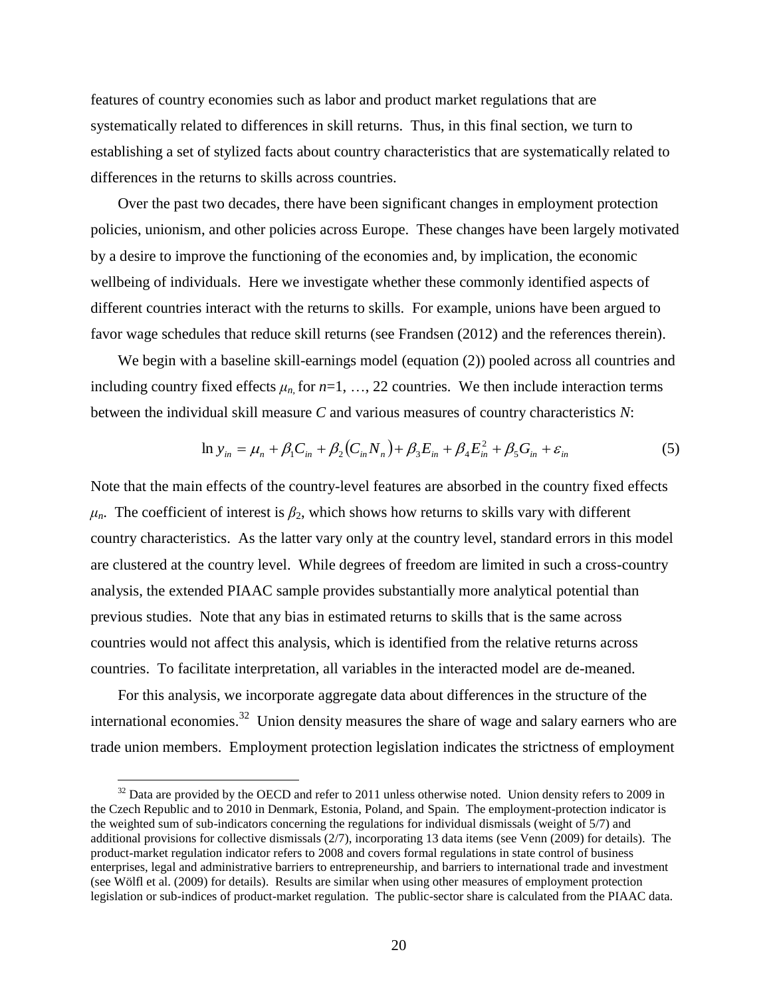features of country economies such as labor and product market regulations that are systematically related to differences in skill returns. Thus, in this final section, we turn to establishing a set of stylized facts about country characteristics that are systematically related to differences in the returns to skills across countries.

Over the past two decades, there have been significant changes in employment protection policies, unionism, and other policies across Europe. These changes have been largely motivated by a desire to improve the functioning of the economies and, by implication, the economic wellbeing of individuals. Here we investigate whether these commonly identified aspects of different countries interact with the returns to skills. For example, unions have been argued to favor wage schedules that reduce skill returns (see [Frandsen \(2012\)](#page-27-16) and the references therein).

We begin with a baseline skill-earnings model (equation (2)) pooled across all countries and including country fixed effects  $\mu_n$  for  $n=1, \ldots, 22$  countries. We then include interaction terms between the individual skill measure *C* and various measures of country characteristics *N*:

$$
\ln y_{in} = \mu_n + \beta_1 C_{in} + \beta_2 (C_{in} N_n) + \beta_3 E_{in} + \beta_4 E_{in}^2 + \beta_5 G_{in} + \varepsilon_{in}
$$
 (5)

Note that the main effects of the country-level features are absorbed in the country fixed effects  $\mu_n$ . The coefficient of interest is  $\beta_2$ , which shows how returns to skills vary with different country characteristics. As the latter vary only at the country level, standard errors in this model are clustered at the country level. While degrees of freedom are limited in such a cross-country analysis, the extended PIAAC sample provides substantially more analytical potential than previous studies. Note that any bias in estimated returns to skills that is the same across countries would not affect this analysis, which is identified from the relative returns across countries. To facilitate interpretation, all variables in the interacted model are de-meaned.

For this analysis, we incorporate aggregate data about differences in the structure of the international economies.<sup>32</sup> Union density measures the share of wage and salary earners who are trade union members. Employment protection legislation indicates the strictness of employment

 $32$  Data are provided by the OECD and refer to 2011 unless otherwise noted. Union density refers to 2009 in the Czech Republic and to 2010 in Denmark, Estonia, Poland, and Spain. The employment-protection indicator is the weighted sum of sub-indicators concerning the regulations for individual dismissals (weight of 5/7) and additional provisions for collective dismissals (2/7), incorporating 13 data items (see [Venn \(2009\)](#page-28-15) for details). The product-market regulation indicator refers to 2008 and covers formal regulations in state control of business enterprises, legal and administrative barriers to entrepreneurship, and barriers to international trade and investment (see [Wölfl et al. \(2009\)](#page-28-16) for details). Results are similar when using other measures of employment protection legislation or sub-indices of product-market regulation. The public-sector share is calculated from the PIAAC data.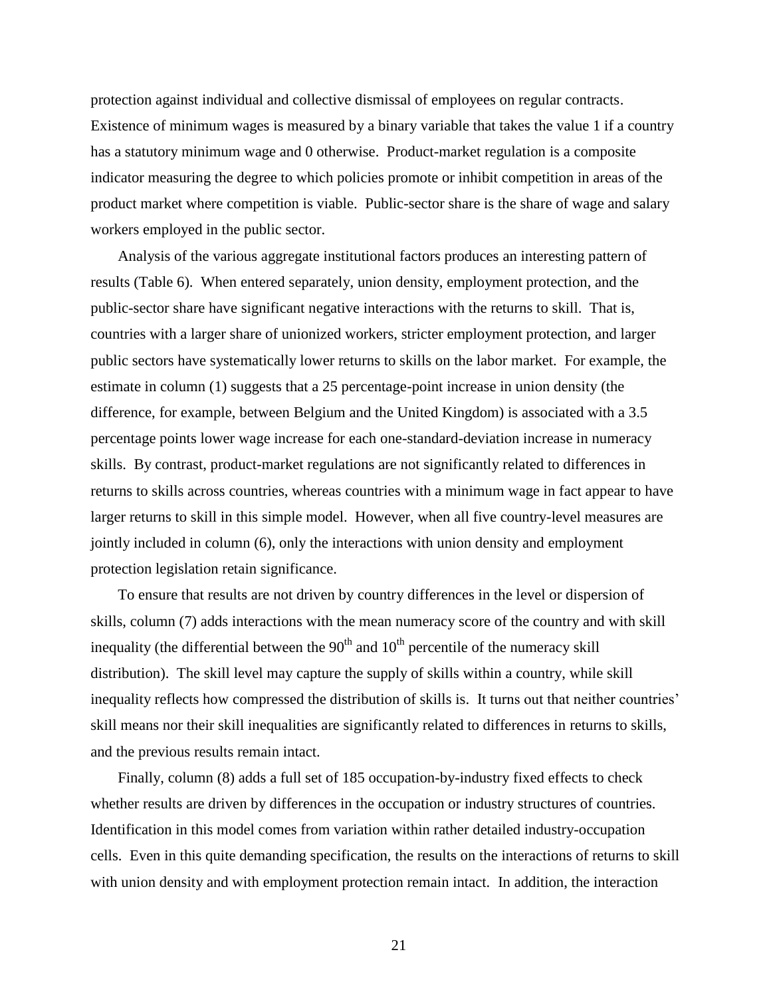protection against individual and collective dismissal of employees on regular contracts. Existence of minimum wages is measured by a binary variable that takes the value 1 if a country has a statutory minimum wage and 0 otherwise. Product-market regulation is a composite indicator measuring the degree to which policies promote or inhibit competition in areas of the product market where competition is viable. Public-sector share is the share of wage and salary workers employed in the public sector.

Analysis of the various aggregate institutional factors produces an interesting pattern of results (Table 6). When entered separately, union density, employment protection, and the public-sector share have significant negative interactions with the returns to skill. That is, countries with a larger share of unionized workers, stricter employment protection, and larger public sectors have systematically lower returns to skills on the labor market. For example, the estimate in column (1) suggests that a 25 percentage-point increase in union density (the difference, for example, between Belgium and the United Kingdom) is associated with a 3.5 percentage points lower wage increase for each one-standard-deviation increase in numeracy skills. By contrast, product-market regulations are not significantly related to differences in returns to skills across countries, whereas countries with a minimum wage in fact appear to have larger returns to skill in this simple model. However, when all five country-level measures are jointly included in column (6), only the interactions with union density and employment protection legislation retain significance.

To ensure that results are not driven by country differences in the level or dispersion of skills, column (7) adds interactions with the mean numeracy score of the country and with skill inequality (the differential between the  $90<sup>th</sup>$  and  $10<sup>th</sup>$  percentile of the numeracy skill distribution). The skill level may capture the supply of skills within a country, while skill inequality reflects how compressed the distribution of skills is. It turns out that neither countries' skill means nor their skill inequalities are significantly related to differences in returns to skills, and the previous results remain intact.

Finally, column (8) adds a full set of 185 occupation-by-industry fixed effects to check whether results are driven by differences in the occupation or industry structures of countries. Identification in this model comes from variation within rather detailed industry-occupation cells. Even in this quite demanding specification, the results on the interactions of returns to skill with union density and with employment protection remain intact. In addition, the interaction

21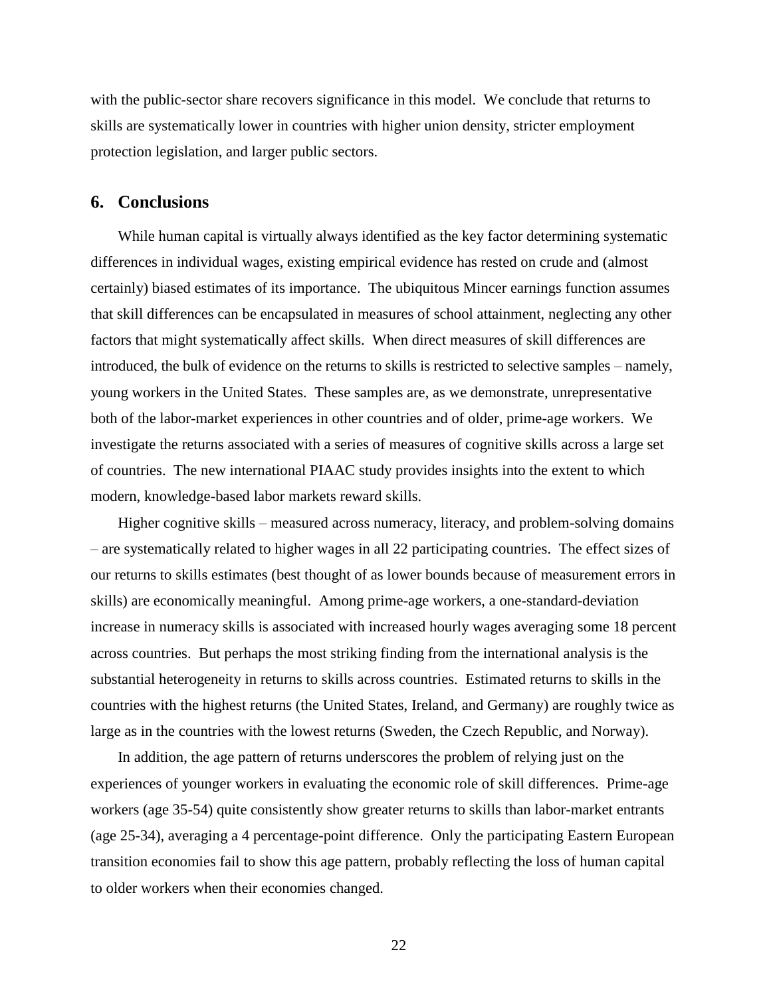with the public-sector share recovers significance in this model. We conclude that returns to skills are systematically lower in countries with higher union density, stricter employment protection legislation, and larger public sectors.

#### **6. Conclusions**

While human capital is virtually always identified as the key factor determining systematic differences in individual wages, existing empirical evidence has rested on crude and (almost certainly) biased estimates of its importance. The ubiquitous Mincer earnings function assumes that skill differences can be encapsulated in measures of school attainment, neglecting any other factors that might systematically affect skills. When direct measures of skill differences are introduced, the bulk of evidence on the returns to skills is restricted to selective samples – namely, young workers in the United States. These samples are, as we demonstrate, unrepresentative both of the labor-market experiences in other countries and of older, prime-age workers. We investigate the returns associated with a series of measures of cognitive skills across a large set of countries. The new international PIAAC study provides insights into the extent to which modern, knowledge-based labor markets reward skills.

Higher cognitive skills – measured across numeracy, literacy, and problem-solving domains – are systematically related to higher wages in all 22 participating countries. The effect sizes of our returns to skills estimates (best thought of as lower bounds because of measurement errors in skills) are economically meaningful. Among prime-age workers, a one-standard-deviation increase in numeracy skills is associated with increased hourly wages averaging some 18 percent across countries. But perhaps the most striking finding from the international analysis is the substantial heterogeneity in returns to skills across countries. Estimated returns to skills in the countries with the highest returns (the United States, Ireland, and Germany) are roughly twice as large as in the countries with the lowest returns (Sweden, the Czech Republic, and Norway).

In addition, the age pattern of returns underscores the problem of relying just on the experiences of younger workers in evaluating the economic role of skill differences. Prime-age workers (age 35-54) quite consistently show greater returns to skills than labor-market entrants (age 25-34), averaging a 4 percentage-point difference. Only the participating Eastern European transition economies fail to show this age pattern, probably reflecting the loss of human capital to older workers when their economies changed.

22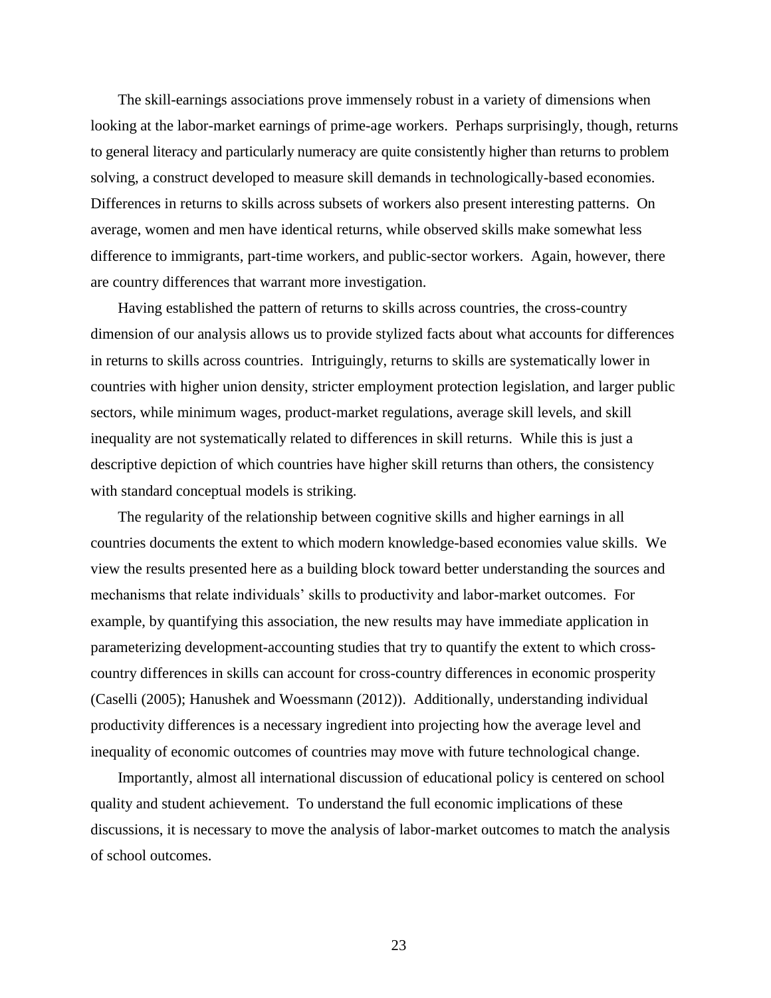The skill-earnings associations prove immensely robust in a variety of dimensions when looking at the labor-market earnings of prime-age workers. Perhaps surprisingly, though, returns to general literacy and particularly numeracy are quite consistently higher than returns to problem solving, a construct developed to measure skill demands in technologically-based economies. Differences in returns to skills across subsets of workers also present interesting patterns. On average, women and men have identical returns, while observed skills make somewhat less difference to immigrants, part-time workers, and public-sector workers. Again, however, there are country differences that warrant more investigation.

Having established the pattern of returns to skills across countries, the cross-country dimension of our analysis allows us to provide stylized facts about what accounts for differences in returns to skills across countries. Intriguingly, returns to skills are systematically lower in countries with higher union density, stricter employment protection legislation, and larger public sectors, while minimum wages, product-market regulations, average skill levels, and skill inequality are not systematically related to differences in skill returns. While this is just a descriptive depiction of which countries have higher skill returns than others, the consistency with standard conceptual models is striking.

The regularity of the relationship between cognitive skills and higher earnings in all countries documents the extent to which modern knowledge-based economies value skills. We view the results presented here as a building block toward better understanding the sources and mechanisms that relate individuals' skills to productivity and labor-market outcomes. For example, by quantifying this association, the new results may have immediate application in parameterizing development-accounting studies that try to quantify the extent to which crosscountry differences in skills can account for cross-country differences in economic prosperity [\(Caselli \(2005\)](#page-26-14); [Hanushek and Woessmann \(2012\)](#page-27-2)). Additionally, understanding individual productivity differences is a necessary ingredient into projecting how the average level and inequality of economic outcomes of countries may move with future technological change.

Importantly, almost all international discussion of educational policy is centered on school quality and student achievement. To understand the full economic implications of these discussions, it is necessary to move the analysis of labor-market outcomes to match the analysis of school outcomes.

23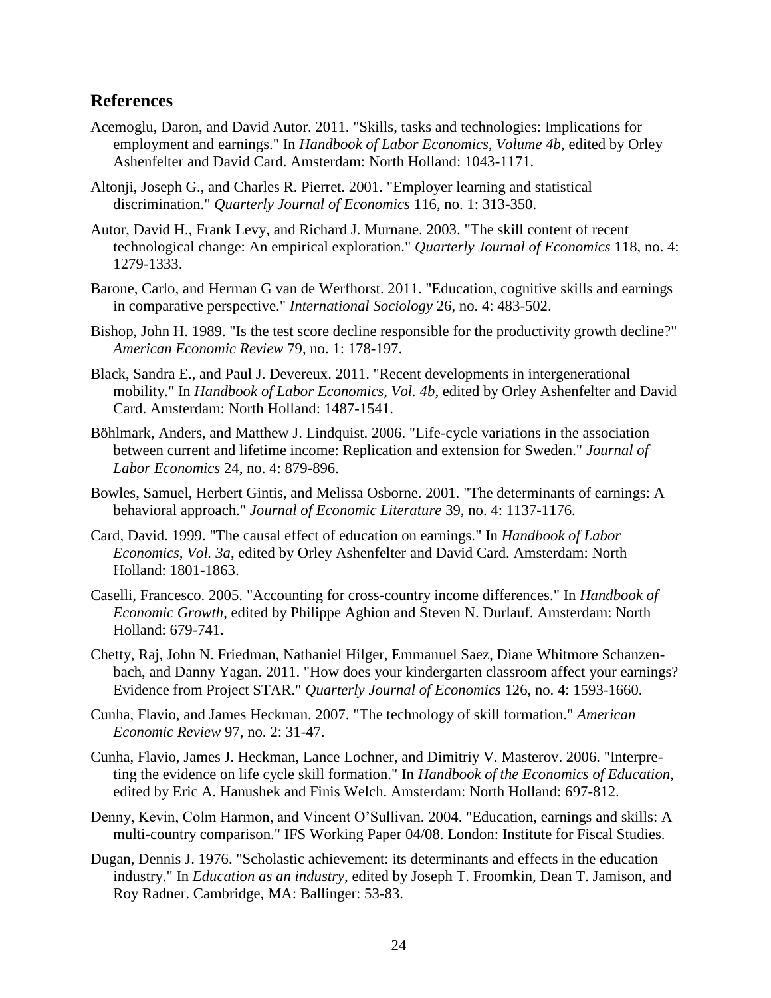#### **References**

- <span id="page-26-5"></span>Acemoglu, Daron, and David Autor. 2011. "Skills, tasks and technologies: Implications for employment and earnings." In *Handbook of Labor Economics, Volume 4b*, edited by Orley Ashenfelter and David Card. Amsterdam: North Holland: 1043-1171.
- <span id="page-26-0"></span>Altonji, Joseph G., and Charles R. Pierret. 2001. "Employer learning and statistical discrimination." *Quarterly Journal of Economics* 116, no. 1: 313-350.
- <span id="page-26-4"></span>Autor, David H., Frank Levy, and Richard J. Murnane. 2003. "The skill content of recent technological change: An empirical exploration." *Quarterly Journal of Economics* 118, no. 4: 1279-1333.
- <span id="page-26-7"></span>Barone, Carlo, and Herman G van de Werfhorst. 2011. "Education, cognitive skills and earnings in comparative perspective." *International Sociology* 26, no. 4: 483-502.
- <span id="page-26-1"></span>Bishop, John H. 1989. "Is the test score decline responsible for the productivity growth decline?" *American Economic Review* 79, no. 1: 178-197.
- <span id="page-26-13"></span>Black, Sandra E., and Paul J. Devereux. 2011. "Recent developments in intergenerational mobility." In *Handbook of Labor Economics, Vol. 4b*, edited by Orley Ashenfelter and David Card. Amsterdam: North Holland: 1487-1541.
- <span id="page-26-12"></span>Böhlmark, Anders, and Matthew J. Lindquist. 2006. "Life-cycle variations in the association between current and lifetime income: Replication and extension for Sweden." *Journal of Labor Economics* 24, no. 4: 879-896.
- <span id="page-26-3"></span>Bowles, Samuel, Herbert Gintis, and Melissa Osborne. 2001. "The determinants of earnings: A behavioral approach." *Journal of Economic Literature* 39, no. 4: 1137-1176.
- <span id="page-26-8"></span>Card, David. 1999. "The causal effect of education on earnings." In *Handbook of Labor Economics, Vol. 3a*, edited by Orley Ashenfelter and David Card. Amsterdam: North Holland: 1801-1863.
- <span id="page-26-14"></span>Caselli, Francesco. 2005. "Accounting for cross-country income differences." In *Handbook of Economic Growth*, edited by Philippe Aghion and Steven N. Durlauf. Amsterdam: North Holland: 679-741.
- <span id="page-26-2"></span>Chetty, Raj, John N. Friedman, Nathaniel Hilger, Emmanuel Saez, Diane Whitmore Schanzenbach, and Danny Yagan. 2011. "How does your kindergarten classroom affect your earnings? Evidence from Project STAR." *Quarterly Journal of Economics* 126, no. 4: 1593-1660.
- <span id="page-26-10"></span>Cunha, Flavio, and James Heckman. 2007. "The technology of skill formation." *American Economic Review* 97, no. 2: 31-47.
- <span id="page-26-9"></span>Cunha, Flavio, James J. Heckman, Lance Lochner, and Dimitriy V. Masterov. 2006. "Interpreting the evidence on life cycle skill formation." In *Handbook of the Economics of Education*, edited by Eric A. Hanushek and Finis Welch. Amsterdam: North Holland: 697-812.
- <span id="page-26-6"></span>Denny, Kevin, Colm Harmon, and Vincent O'Sullivan. 2004. "Education, earnings and skills: A multi-country comparison." IFS Working Paper 04/08. London: Institute for Fiscal Studies.
- <span id="page-26-11"></span>Dugan, Dennis J. 1976. "Scholastic achievement: its determinants and effects in the education industry." In *Education as an industry*, edited by Joseph T. Froomkin, Dean T. Jamison, and Roy Radner. Cambridge, MA: Ballinger: 53-83.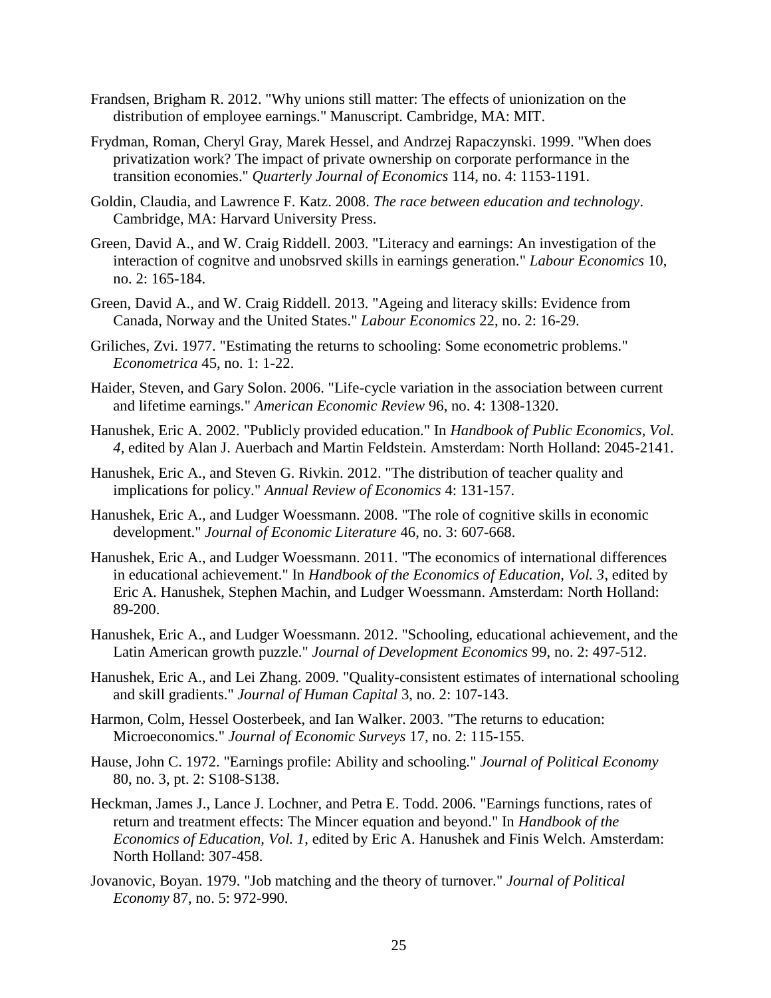- <span id="page-27-16"></span>Frandsen, Brigham R. 2012. "Why unions still matter: The effects of unionization on the distribution of employee earnings." Manuscript. Cambridge, MA: MIT.
- <span id="page-27-15"></span>Frydman, Roman, Cheryl Gray, Marek Hessel, and Andrzej Rapaczynski. 1999. "When does privatization work? The impact of private ownership on corporate performance in the transition economies." *Quarterly Journal of Economics* 114, no. 4: 1153-1191.
- <span id="page-27-5"></span>Goldin, Claudia, and Lawrence F. Katz. 2008. *The race between education and technology*. Cambridge, MA: Harvard University Press.
- <span id="page-27-8"></span>Green, David A., and W. Craig Riddell. 2003. "Literacy and earnings: An investigation of the interaction of cognitve and unobsrved skills in earnings generation." *Labour Economics* 10, no. 2: 165-184.
- <span id="page-27-9"></span>Green, David A., and W. Craig Riddell. 2013. "Ageing and literacy skills: Evidence from Canada, Norway and the United States." *Labour Economics* 22, no. 2: 16-29.
- <span id="page-27-10"></span>Griliches, Zvi. 1977. "Estimating the returns to schooling: Some econometric problems." *Econometrica* 45, no. 1: 1-22.
- <span id="page-27-1"></span>Haider, Steven, and Gary Solon. 2006. "Life-cycle variation in the association between current and lifetime earnings." *American Economic Review* 96, no. 4: 1308-1320.
- <span id="page-27-12"></span>Hanushek, Eric A. 2002. "Publicly provided education." In *Handbook of Public Economics, Vol. 4*, edited by Alan J. Auerbach and Martin Feldstein. Amsterdam: North Holland: 2045-2141.
- <span id="page-27-4"></span>Hanushek, Eric A., and Steven G. Rivkin. 2012. "The distribution of teacher quality and implications for policy." *Annual Review of Economics* 4: 131-157.
- <span id="page-27-0"></span>Hanushek, Eric A., and Ludger Woessmann. 2008. "The role of cognitive skills in economic development." *Journal of Economic Literature* 46, no. 3: 607-668.
- <span id="page-27-7"></span>Hanushek, Eric A., and Ludger Woessmann. 2011. "The economics of international differences in educational achievement." In *Handbook of the Economics of Education, Vol. 3*, edited by Eric A. Hanushek, Stephen Machin, and Ludger Woessmann. Amsterdam: North Holland: 89-200.
- <span id="page-27-2"></span>Hanushek, Eric A., and Ludger Woessmann. 2012. "Schooling, educational achievement, and the Latin American growth puzzle." *Journal of Development Economics* 99, no. 2: 497-512.
- <span id="page-27-6"></span>Hanushek, Eric A., and Lei Zhang. 2009. "Quality-consistent estimates of international schooling and skill gradients." *Journal of Human Capital* 3, no. 2: 107-143.
- <span id="page-27-11"></span>Harmon, Colm, Hessel Oosterbeek, and Ian Walker. 2003. "The returns to education: Microeconomics." *Journal of Economic Surveys* 17, no. 2: 115-155.
- <span id="page-27-13"></span>Hause, John C. 1972. "Earnings profile: Ability and schooling." *Journal of Political Economy* 80, no. 3, pt. 2: S108-S138.
- <span id="page-27-3"></span>Heckman, James J., Lance J. Lochner, and Petra E. Todd. 2006. "Earnings functions, rates of return and treatment effects: The Mincer equation and beyond." In *Handbook of the Economics of Education, Vol. 1*, edited by Eric A. Hanushek and Finis Welch. Amsterdam: North Holland: 307-458.
- <span id="page-27-14"></span>Jovanovic, Boyan. 1979. "Job matching and the theory of turnover." *Journal of Political Economy* 87, no. 5: 972-990.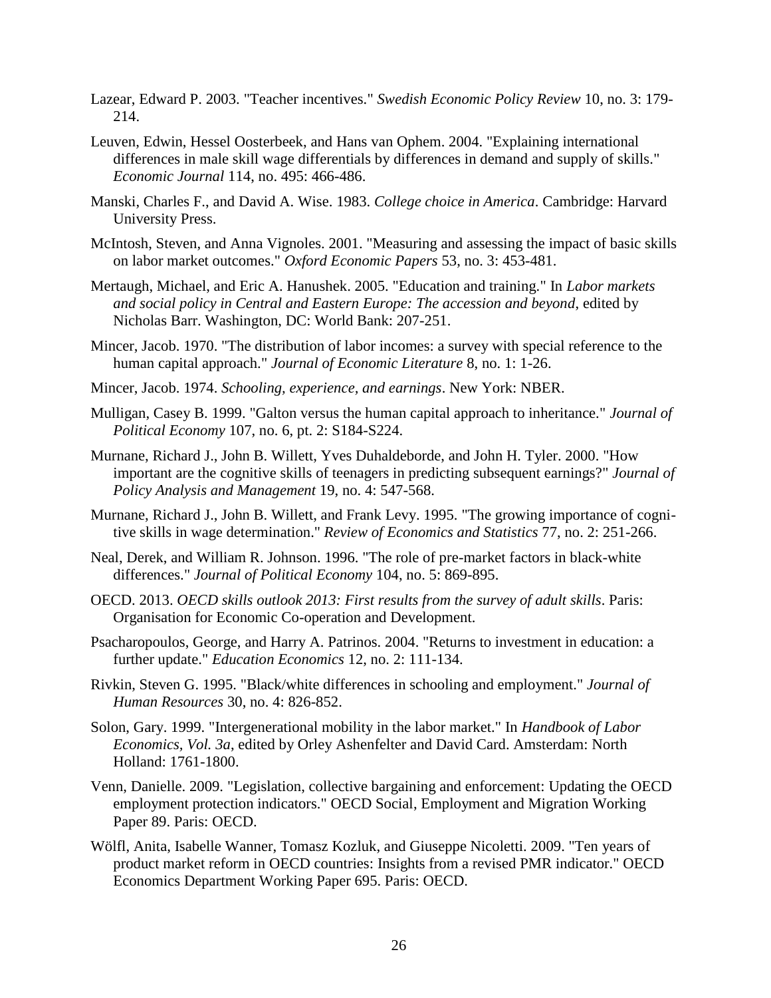- <span id="page-28-5"></span>Lazear, Edward P. 2003. "Teacher incentives." *Swedish Economic Policy Review* 10, no. 3: 179- 214.
- <span id="page-28-6"></span>Leuven, Edwin, Hessel Oosterbeek, and Hans van Ophem. 2004. "Explaining international differences in male skill wage differentials by differences in demand and supply of skills." *Economic Journal* 114, no. 495: 466-486.
- <span id="page-28-11"></span>Manski, Charles F., and David A. Wise. 1983. *College choice in America*. Cambridge: Harvard University Press.
- <span id="page-28-7"></span>McIntosh, Steven, and Anna Vignoles. 2001. "Measuring and assessing the impact of basic skills on labor market outcomes." *Oxford Economic Papers* 53, no. 3: 453-481.
- <span id="page-28-14"></span>Mertaugh, Michael, and Eric A. Hanushek. 2005. "Education and training." In *Labor markets and social policy in Central and Eastern Europe: The accession and beyond*, edited by Nicholas Barr. Washington, DC: World Bank: 207-251.
- <span id="page-28-8"></span>Mincer, Jacob. 1970. "The distribution of labor incomes: a survey with special reference to the human capital approach." *Journal of Economic Literature* 8, no. 1: 1-26.
- <span id="page-28-9"></span>Mincer, Jacob. 1974. *Schooling, experience, and earnings*. New York: NBER.
- <span id="page-28-3"></span>Mulligan, Casey B. 1999. "Galton versus the human capital approach to inheritance." *Journal of Political Economy* 107, no. 6, pt. 2: S184-S224.
- <span id="page-28-4"></span>Murnane, Richard J., John B. Willett, Yves Duhaldeborde, and John H. Tyler. 2000. "How important are the cognitive skills of teenagers in predicting subsequent earnings?" *Journal of Policy Analysis and Management* 19, no. 4: 547-568.
- <span id="page-28-1"></span>Murnane, Richard J., John B. Willett, and Frank Levy. 1995. "The growing importance of cognitive skills in wage determination." *Review of Economics and Statistics* 77, no. 2: 251-266.
- <span id="page-28-2"></span>Neal, Derek, and William R. Johnson. 1996. "The role of pre-market factors in black-white differences." *Journal of Political Economy* 104, no. 5: 869-895.
- <span id="page-28-13"></span>OECD. 2013. *OECD skills outlook 2013: First results from the survey of adult skills*. Paris: Organisation for Economic Co-operation and Development.
- <span id="page-28-0"></span>Psacharopoulos, George, and Harry A. Patrinos. 2004. "Returns to investment in education: a further update." *Education Economics* 12, no. 2: 111-134.
- <span id="page-28-10"></span>Rivkin, Steven G. 1995. "Black/white differences in schooling and employment." *Journal of Human Resources* 30, no. 4: 826-852.
- <span id="page-28-12"></span>Solon, Gary. 1999. "Intergenerational mobility in the labor market." In *Handbook of Labor Economics, Vol. 3a*, edited by Orley Ashenfelter and David Card. Amsterdam: North Holland: 1761-1800.
- <span id="page-28-15"></span>Venn, Danielle. 2009. "Legislation, collective bargaining and enforcement: Updating the OECD employment protection indicators." OECD Social, Employment and Migration Working Paper 89. Paris: OECD.
- <span id="page-28-16"></span>Wölfl, Anita, Isabelle Wanner, Tomasz Kozluk, and Giuseppe Nicoletti. 2009. "Ten years of product market reform in OECD countries: Insights from a revised PMR indicator." OECD Economics Department Working Paper 695. Paris: OECD.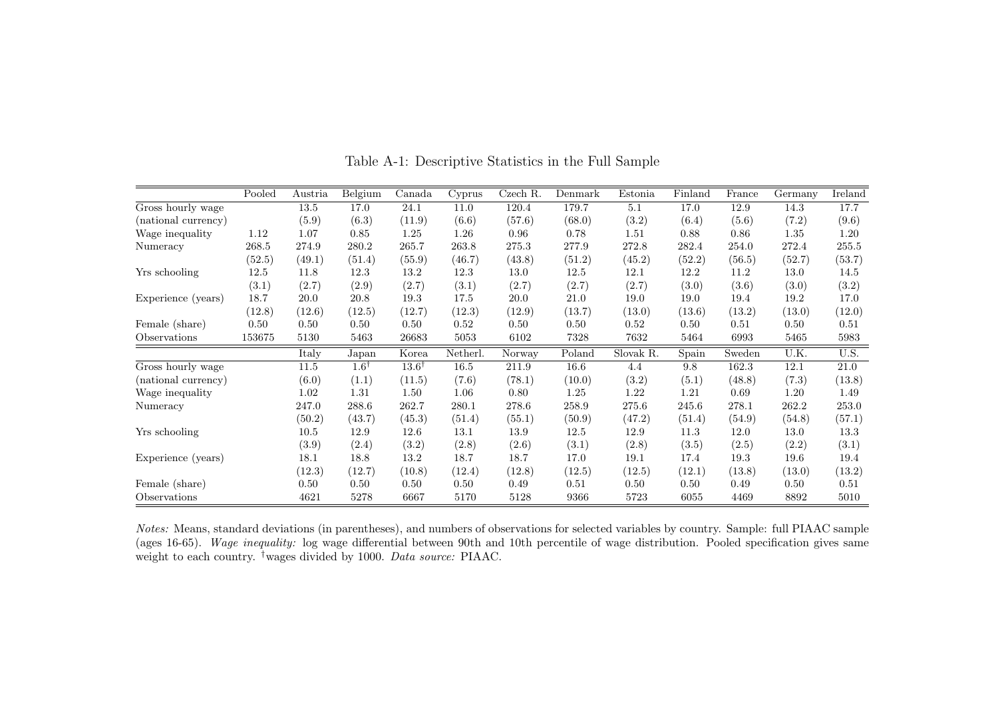|                     | Pooled | Austria | Belgium         | Canada           | Cyprus   | Czech R. | Denmark | Estonia   | Finland | France | Germany | Ireland |
|---------------------|--------|---------|-----------------|------------------|----------|----------|---------|-----------|---------|--------|---------|---------|
| Gross hourly wage   |        | 13.5    | 17.0            | 24.1             | 11.0     | 120.4    | 179.7   | 5.1       | 17.0    | 12.9   | 14.3    | 17.7    |
| (national currency) |        | (5.9)   | (6.3)           | (11.9)           | (6.6)    | (57.6)   | (68.0)  | (3.2)     | (6.4)   | (5.6)  | (7.2)   | (9.6)   |
| Wage inequality     | 1.12   | 1.07    | 0.85            | 1.25             | 1.26     | 0.96     | 0.78    | 1.51      | 0.88    | 0.86   | 1.35    | 1.20    |
| Numeracy            | 268.5  | 274.9   | 280.2           | 265.7            | 263.8    | 275.3    | 277.9   | 272.8     | 282.4   | 254.0  | 272.4   | 255.5   |
|                     | (52.5) | (49.1)  | (51.4)          | (55.9)           | (46.7)   | (43.8)   | (51.2)  | (45.2)    | (52.2)  | (56.5) | (52.7)  | (53.7)  |
| Yrs schooling       | 12.5   | 11.8    | 12.3            | 13.2             | 12.3     | 13.0     | 12.5    | 12.1      | 12.2    | 11.2   | 13.0    | 14.5    |
|                     | (3.1)  | (2.7)   | (2.9)           | (2.7)            | (3.1)    | (2.7)    | (2.7)   | (2.7)     | (3.0)   | (3.6)  | (3.0)   | (3.2)   |
| Experience (years)  | 18.7   | 20.0    | 20.8            | 19.3             | 17.5     | 20.0     | 21.0    | 19.0      | 19.0    | 19.4   | 19.2    | 17.0    |
|                     | (12.8) | (12.6)  | (12.5)          | (12.7)           | (12.3)   | (12.9)   | (13.7)  | (13.0)    | (13.6)  | (13.2) | (13.0)  | (12.0)  |
| Female (share)      | 0.50   | 0.50    | 0.50            | 0.50             | 0.52     | 0.50     | 0.50    | 0.52      | 0.50    | 0.51   | 0.50    | 0.51    |
| Observations        | 153675 | 5130    | 5463            | 26683            | 5053     | 6102     | 7328    | 7632      | 5464    | 6993   | 5465    | 5983    |
|                     |        | Italy   | Japan           | Korea            | Netherl. | Norway   | Poland  | Slovak R. | Spain   | Sweden | U.K.    | U.S.    |
| Gross hourly wage   |        | 11.5    | $1.6^{\dagger}$ | $13.6^{\dagger}$ | 16.5     | 211.9    | 16.6    | 4.4       | 9.8     | 162.3  | 12.1    | 21.0    |
| (national currency) |        | (6.0)   | (1.1)           | (11.5)           | (7.6)    | (78.1)   | (10.0)  | (3.2)     | (5.1)   | (48.8) | (7.3)   | (13.8)  |
| Wage inequality     |        | 1.02    | 1.31            | 1.50             | 1.06     | 0.80     | 1.25    | 1.22      | 1.21    | 0.69   | 1.20    | 1.49    |
| Numeracy            |        | 247.0   | 288.6           | 262.7            | 280.1    | 278.6    | 258.9   | 275.6     | 245.6   | 278.1  | 262.2   | 253.0   |
|                     |        | (50.2)  | (43.7)          | (45.3)           | (51.4)   | (55.1)   | (50.9)  | (47.2)    | (51.4)  | (54.9) | (54.8)  | (57.1)  |
| Yrs schooling       |        | 10.5    | 12.9            | 12.6             | 13.1     | 13.9     | 12.5    | 12.9      | 11.3    | 12.0   | 13.0    | 13.3    |
|                     |        | (3.9)   | (2.4)           | (3.2)            | (2.8)    | (2.6)    | (3.1)   | (2.8)     | (3.5)   | (2.5)  | (2.2)   | (3.1)   |
| Experience (years)  |        | 18.1    | 18.8            | 13.2             | 18.7     | 18.7     | 17.0    | 19.1      | 17.4    | 19.3   | 19.6    | 19.4    |
|                     |        | (12.3)  | (12.7)          | (10.8)           | (12.4)   | (12.8)   | (12.5)  | (12.5)    | (12.1)  | (13.8) | (13.0)  | (13.2)  |
| Female (share)      |        | 0.50    | 0.50            | 0.50             | 0.50     | 0.49     | 0.51    | 0.50      | 0.50    | 0.49   | 0.50    | 0.51    |
| Observations        |        | 4621    | 5278            | 6667             | 5170     | 5128     | 9366    | 5723      | 6055    | 4469   | 8892    | 5010    |

Table A-1: Descriptive Statistics in the Full Sample

*Notes:* Means, standard deviations (in parentheses), and numbers of observations for selected variables by country. Sample: full PIAAC sample(ages 16-65). Wage inequality: log wage differential between 90th and 10th percentile of wage distribution. Pooled specification gives same weight to each country.*†*wages divided by 1000. *Data source:* PIAAC.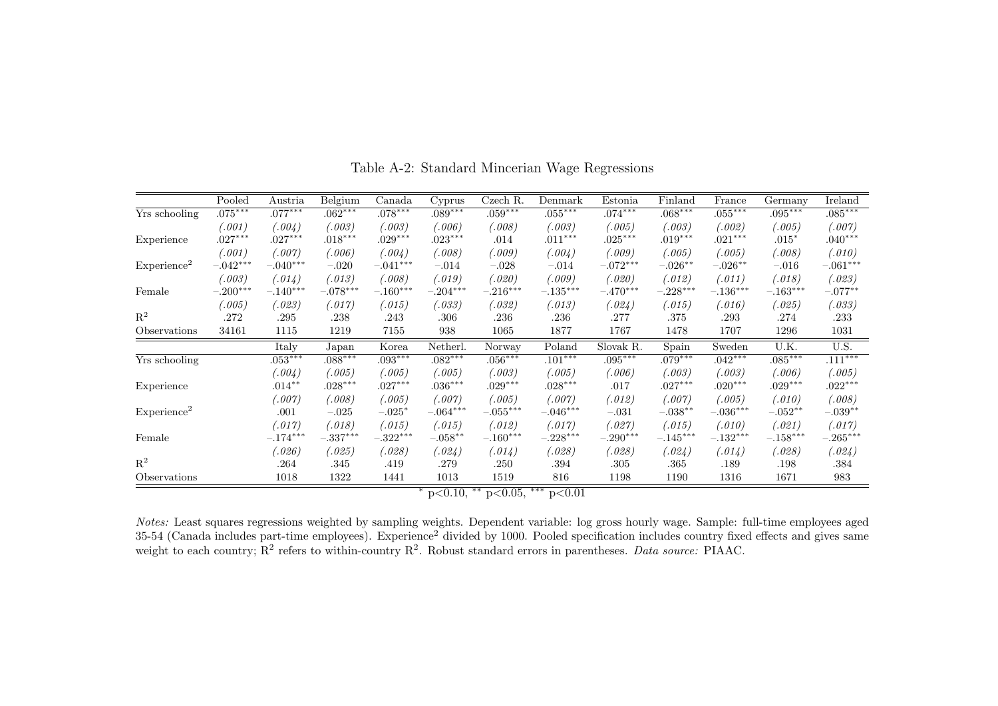|                         | Pooled     | Austria    | Belgium                | Canada     | Cyprus     | Czech R.                 | Denmark           | Estonia    | Finland                | France             | Germany    | Ireland    |
|-------------------------|------------|------------|------------------------|------------|------------|--------------------------|-------------------|------------|------------------------|--------------------|------------|------------|
| Yrs schooling           | $.075***$  | $.077***$  | $.062***$              | $.078***$  | $.089***$  | $.059***$                | $.055***$         | $.074***$  | $.068***$              | $.055***$          | $.095***$  | $.085***$  |
|                         | (.001)     | (.004)     | (.003)                 | (.003)     | (.006)     | (.008)                   | (.003)            | (.005)     | (.003)                 | (.002)             | (.005)     | (.007)     |
| Experience              | $.027***$  | $.027***$  | $.018***$              | $.029***$  | $.023***$  | .014                     | $.011***$         | $.025***$  | $.019***$              | $.021***$          | $.015*$    | $.040***$  |
|                         | (.001)     | (.007)     | (.006)                 | (.004)     | (.008)     | 0.009)                   | (.004)            | (.009)     | (.005)                 | (.005)             | $\it 008)$ | (.010)     |
| Experience <sup>2</sup> | $-.042***$ | $-.040***$ | $-.020$                | $-.041***$ | $-.014$    | $-.028$                  | $-.014$           | $-.072***$ | $-.026**$              | $-.026^{\ast\ast}$ | $-.016$    | $-.061***$ |
|                         | (.003)     | (.014)     | (.013)                 | (.008)     | (.019)     | (.020)                   | 0.009)            | (.020)     | (.012)                 | (.011)             | (.018)     | (.023)     |
| Female                  | $-.200***$ | $-.140***$ | $-.078^{\ast\ast\ast}$ | $-.160***$ | $-.204***$ | $-.216***$               | $-.135***$        | $-.470***$ | $-.228***$             | $-.136***$         | $-.163***$ | $-.077***$ |
|                         | (.005)     | (.023)     | (.017)                 | (.015)     | (.033)     | (.032)                   | $\it(013)$        | (.024)     | (.015)                 | (.016)             | (.025)     | (.033)     |
| $\mathbf{R}^2$          | .272       | .295       | .238                   | .243       | .306       | .236                     | .236              | .277       | .375                   | .293               | .274       | .233       |
| Observations            | 34161      | 1115       | 1219                   | 7155       | 938        | 1065                     | 1877              | 1767       | 1478                   | 1707               | 1296       | 1031       |
|                         |            | Italy      | Japan                  | Korea      | Netherl.   | Norway                   | Poland            | Slovak R.  | Spain                  | Sweden             | U.K.       | U.S.       |
| Yrs schooling           |            | $.053***$  | $.088***$              | $.093***$  | $.082***$  | $.056***$                | $.101***$         | $.095***$  | $.079***$              | $.042***$          | $.085***$  | $.111***$  |
|                         |            | (.004)     | 0.005)                 | (.005)     | (.005)     | 0.003)                   | (.005)            | (.006)     | (.003)                 | (.003)             | 0.006)     | (.005)     |
| Experience              |            | $.014***$  | $.028***$              | $.027***$  | $.036***$  | $.029***$                | $.028***$         | .017       | $.027***$              | $.020***$          | $.029***$  | $.022***$  |
|                         |            | $\it 007)$ | 0.008)                 | (.005)     | (.007)     | (.005)                   | (.007)            | (.012)     | (.007)                 | (.005)             | (.010)     | (.008)     |
| Experience <sup>2</sup> |            | .001       | $-.025$                | $-.025*$   | $-.064***$ | $-.055***$               | $-.046***$        | $-.031$    | $-.038***$             | $-.036***$         | $-.052**$  | $-.039**$  |
|                         |            | 0.017)     | (.018)                 | (.015)     | (.015)     | (.012)                   | (.017)            | (.027)     | (.015)                 | (.010)             | (.021)     | (.017)     |
| Female                  |            | $-.174***$ | $-.337^{\ast\ast\ast}$ | $-.322***$ | $-.058***$ | $-.160***$               | $-.228***$        | $-.290***$ | $-.145^{\ast\ast\ast}$ | $-.132***$         | $-.158***$ | $-.265***$ |
|                         |            | (.026)     | (.025)                 | (.028)     | (.024)     | (.014)                   | (.028)            | (.028)     | (.024)                 | (.014)             | (.028)     | (.024)     |
| $\mathbf{R}^2$          |            | .264       | .345                   | .419       | .279       | .250                     | .394              | .305       | .365                   | .189               | .198       | .384       |
| Observations            |            | 1018       | 1322                   | 1441       | 1013       | 1519                     | 816               | 1198       | 1190                   | 1316               | 1671       | 983        |
|                         |            |            |                        |            |            | $p<0.10$ , ** $p<0.05$ , | $***$<br>p < 0.01 |            |                        |                    |            |            |

Table A-2: Standard Mincerian Wage Regressions

*Notes:* Least squares regressions weighted by sampling weights. Dependent variable: log gross hourly wage. Sample: full-time employees aged<br>35-54 (Canada includes part-time employees). Experience<sup>2</sup> divided by 1000. Poole 2 divided by 1000. Pooled specification includes country fixed effects and gives same weight to each country; <sup>R</sup><sup>2</sup> refers to within-country <sup>R</sup><sup>2</sup>. Robust standard errors in parentheses. *Data source:* PIAAC.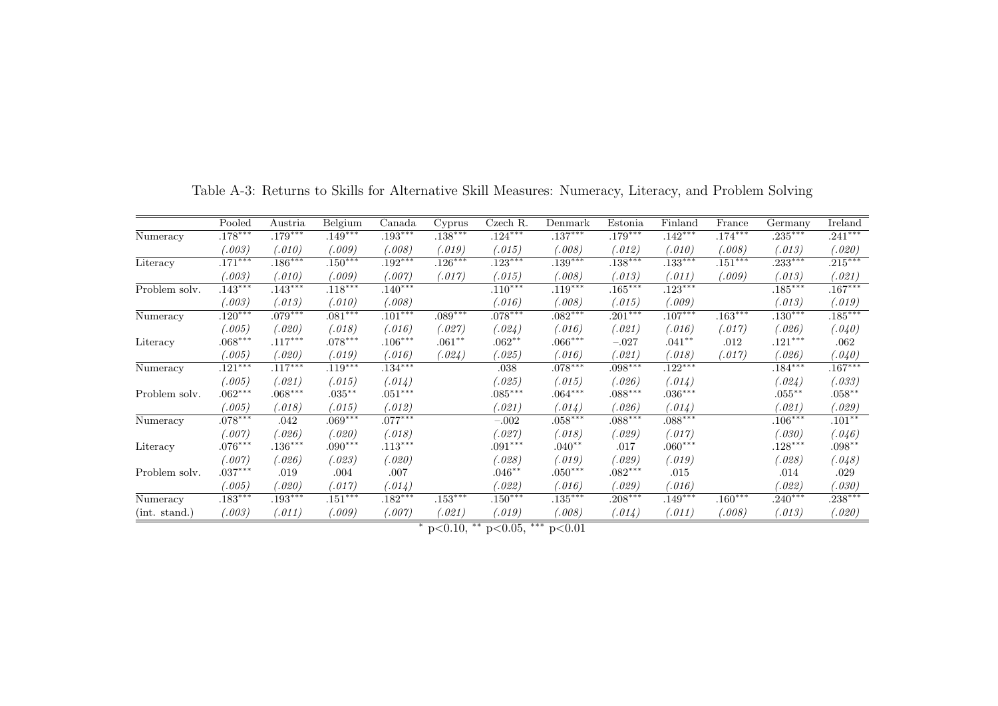|               | Pooled     | Austria    | Belgium   | Canada    | Cyprus                             | Czech R.             | Denmark                   | Estonia   | Finland        | France    | Germany   | Ireland   |
|---------------|------------|------------|-----------|-----------|------------------------------------|----------------------|---------------------------|-----------|----------------|-----------|-----------|-----------|
| Numeracy      | $.178***$  | $.179***$  | $.149***$ | $.193***$ | $.138***$                          | $.124***$            | $.137***$                 | $.179***$ | $.142***$      | $.174***$ | $.235***$ | $.241***$ |
|               | $\it 003)$ | (.010)     | (.009)    | 0.008)    | (.019)                             | 0.015)               | (.008)                    | (.012)    | (.010)         | (.008)    | (.013)    | (.020)    |
| Literacy      | $.171***$  | $.186***$  | $.150***$ | $.192***$ | $.126***$                          | $.123***$            | $.139***$                 | $.138***$ | $.133***$      | $.151***$ | $.233***$ | $.215***$ |
|               | $\it 003)$ | (.010)     | (.009)    | 0.007)    | (.017)                             | (015)                | (.008)                    | (.013)    | $\it(011)$     | (.009)    | (.013)    | (.021)    |
| Problem solv. | $.143***$  | $.143***$  | $.118***$ | $.140***$ |                                    | $.110***$            | $.119***$                 | $.165***$ | $.123***$      |           | $.185***$ | $.167***$ |
|               | (.003)     | (.013)     | (.010)    | (.008)    |                                    | (.016)               | (.008)                    | (.015)    | (.009)         |           | (.013)    | (.019)    |
| Numeracy      | $.120***$  | $.079***$  | $.081***$ | $.101***$ | $.089***$                          | $.078***$            | $.082***$                 | $.201***$ | $.107***$      | $.163***$ | $.130***$ | $.185***$ |
|               | (.005)     | (.020)     | (.018)    | 0.016)    | (.027)                             | (.024)               | (.016)                    | (.021)    | 0.016)         | (.017)    | (.026)    | (.040)    |
| Literacy      | $.068***$  | $.117***$  | $.078***$ | $.106***$ | $.061***$                          | $.062**$             | $.066***$                 | $-.027$   | $.041**$       | .012      | $.121***$ | .062      |
|               | (.005)     | (.020)     | (.019)    | (.016)    | (.024)                             | (.025)               | (.016)                    | (.021)    | (.018)         | (.017)    | (.026)    | (.040)    |
| Numeracy      | $.121***$  | $.117***$  | $.119***$ | $.134***$ |                                    | .038                 | $.078***$                 | $.098***$ | $.122***$      |           | $.184***$ | $.167***$ |
|               | (.005)     | (.021)     | (.015)    | (.014)    |                                    | (.025)               | (.015)                    | (.026)    | (.014)         |           | (.024)    | (.033)    |
| Problem solv. | $.062***$  | $.068***$  | $.035***$ | $.051***$ |                                    | $.085***$            | $.064***$                 | $.088***$ | $.036***$      |           | $.055***$ | $.058***$ |
|               | 0.005)     | (.018)     | (.015)    | (.012)    |                                    | (.021)               | (.014)                    | (.026)    | (.014)         |           | (.021)    | (.029)    |
| Numeracy      | $.078***$  | .042       | $.069***$ | $.077***$ |                                    | $-.002$              | $.058***$                 | $.088***$ | $.088***$      |           | $.106***$ | $.101***$ |
|               | (.007)     | $\it 026)$ | (.020)    | (.018)    |                                    | (.027)               | (.018)                    | (.029)    | (.017)         |           | (.030)    | (.046)    |
| Literacy      | $.076***$  | $.136***$  | $.090***$ | $.113***$ |                                    | $.091***$            | $.040**$                  | .017      | $.060***$      |           | $.128***$ | $.098***$ |
|               | (.007)     | (.026)     | (.023)    | 0.020)    |                                    | (.028)               | (.019)                    | (.029)    | (.019)         |           | (.028)    | (.048)    |
| Problem solv. | $.037***$  | .019       | .004      | .007      |                                    | $.046**$             | $.050***$                 | $.082***$ | .015           |           | .014      | .029      |
|               | (.005)     | (.020)     | (.017)    | (.014)    |                                    | (.022)               | (.016)                    | (.029)    | $^\prime.016)$ |           | (.022)    | (.030)    |
| Numeracy      | $.183***$  | $.193***$  | $.151***$ | $.182***$ | $.153***$                          | $.150***$            | $.135***$                 | $.208***$ | $.149***$      | $.160***$ | $.240***$ | $.238***$ |
| (int. stand.) | (.003)     | (.011)     | (.009)    | (.007)    | (.021)<br>$\sqrt{10}$ **<br>$\ast$ | 0.019)<br>$2008$ *** | (.008)<br>$\sim$ $\cap$ 1 | (.014)    | $\it(011)$     | 0.008)    | (.013)    | (.020)    |

Table A-3: Returns to Skills for Alternative Skill Measures: Numeracy, Literacy, and Problem Solving

p*<*0.10, *∗∗* p*<*0.05, *∗∗∗* p*<*0.01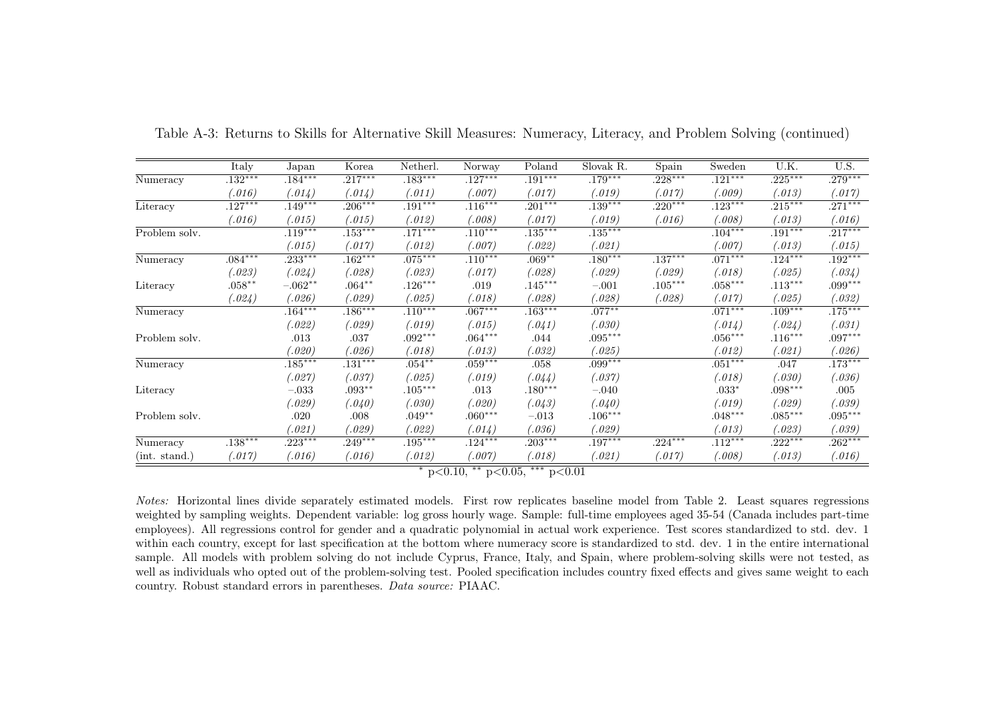|               | Italy     | Japan     | Korea     | Netherl.  | Norway                                  | Poland    | Slovak R. | Spain     | Sweden    | U.K.      | $\overline{U.S.}$    |
|---------------|-----------|-----------|-----------|-----------|-----------------------------------------|-----------|-----------|-----------|-----------|-----------|----------------------|
| Numeracy      | $.132***$ | $.184***$ | $.217***$ | $.183***$ | $.127***$                               | $.191***$ | $.179***$ | $.228***$ | $.121***$ | $.225***$ | $.279***$            |
|               | (.016)    | (.014)    | (.014)    | (.011)    | (.007)                                  | (.017)    | (.019)    | (.017)    | (.009)    | (.013)    | (.017)               |
| Literacy      | $.127***$ | $.149***$ | $.206***$ | $.191***$ | $.116***$                               | $.201***$ | $.139***$ | $220***$  | $.123***$ | $.215***$ | $.271***$            |
|               | (.016)    | (015)     | (.015)    | (.012)    | (.008)                                  | (.017)    | (.019)    | (.016)    | (.008)    | (.013)    | (.016)               |
| Problem solv. |           | $.119***$ | $.153***$ | $.171***$ | $.110***$                               | $.135***$ | $.135***$ |           | $.104***$ | $.191***$ | $.2\overline{17***}$ |
|               |           | .015)     | (.017)    | (.012)    | (.007)                                  | (.022)    | (.021)    |           | (.007)    | (.013)    | (.015)               |
| Numeracy      | $.084***$ | $.233***$ | $.162***$ | $.075***$ | $.110***$                               | $.069***$ | $.180***$ | $.137***$ | $.071***$ | $.124***$ | $.192***$            |
|               | (.023)    | (.024)    | (.028)    | (.023)    | (.017)                                  | (.028)    | (.029)    | (.029)    | (.018)    | (.025)    | (.034)               |
| Literacy      | $.058***$ | $-.062**$ | $.064***$ | $.126***$ | .019                                    | $.145***$ | $-.001$   | $.105***$ | $.058***$ | $.113***$ | $.099***$            |
|               | (.024)    | (.026)    | (.029)    | (.025)    | (.018)                                  | (.028)    | 0.028)    | (.028)    | (.017)    | (.025)    | (.032)               |
| Numeracy      |           | $.164***$ | $.186***$ | $.110***$ | $.067***$                               | $.163***$ | $.077***$ |           | $.071***$ | $.109***$ | $.175***$            |
|               |           | (.022)    | (.029)    | (.019)    | (.015)                                  | (.041)    | (.030)    |           | (.014)    | (.024)    | (.031)               |
| Problem solv. |           | .013      | $.037\,$  | $.092***$ | $.064***$                               | .044      | $.095***$ |           | $.056***$ | $.116***$ | $.097***$            |
|               |           | (.020)    | (.026)    | (.018)    | (.013)                                  | (.032)    | (.025)    |           | (.012)    | (.021)    | (.026)               |
| Numeracy      |           | $.185***$ | $.131***$ | $.054***$ | $.059***$                               | .058      | $.099***$ |           | $.051***$ | .047      | $.173***$            |
|               |           | (.027)    | (.037)    | (.025)    | (.019)                                  | (.044)    | (.037)    |           | (.018)    | (.030)    | (.036)               |
| Literacy      |           | $-.033$   | $.093**$  | $.105***$ | .013                                    | $.180***$ | $-.040$   |           | $.033*$   | $.098***$ | .005                 |
|               |           | (.029)    | (.040)    | (.030)    | (.020)                                  | (.043)    | (.040)    |           | (.019)    | (.029)    | (.039)               |
| Problem solv. |           | .020      | .008      | $.049**$  | $.060***$                               | $-.013$   | $.106***$ |           | $.048***$ | $.085***$ | $.095***$            |
|               |           | 0.021)    | (.029)    | (.022)    | (.014)                                  | (.036)    | (.029)    |           | (.013)    | (.023)    | (.039)               |
| Numeracy      | $.138***$ | $.223***$ | $.249***$ | $.195***$ | $.124***$                               | $.203***$ | $.197***$ | $.224***$ | $.112***$ | $.222***$ | $.262***$            |
| (int. stand.) | (.017)    | (.016)    | (.016)    | (.012)    | (.007)                                  | (.018)    | (.021)    | (.017)    | (.008)    | (.013)    | (.016)               |
|               |           |           |           |           | * $p<0.10$ , ** $p<0.05$ , *** $p<0.01$ |           |           |           |           |           |                      |

Table A-3: Returns to Skills for Alternative Skill Measures: Numeracy, Literacy, and Problem Solving (continued)

*Notes:* Horizontal lines divide separately estimated models. First row replicates baseline model from Table 2. Least squares regressions weighted by sampling weights. Dependent variable: log gross hourly wage. Sample: full-time employees aged 35-54 (Canada includes part-time employees). All regressions control for gender and <sup>a</sup> quadratic polynomial in actual work experience. Test scores standardized to std. dev. <sup>1</sup> within each country, except for last specification at the bottom where numeracy score is standardized to std. dev. 1 in the entire internationalsample. All models with problem solving do not include Cyprus, France, Italy, and Spain, where problem-solving skills were not tested, as well as individuals who opted out of the problem-solving test. Pooled specification includes country fixed effects and gives same weight to eachcountry. Robust standard errors in parentheses. *Data source:* PIAAC.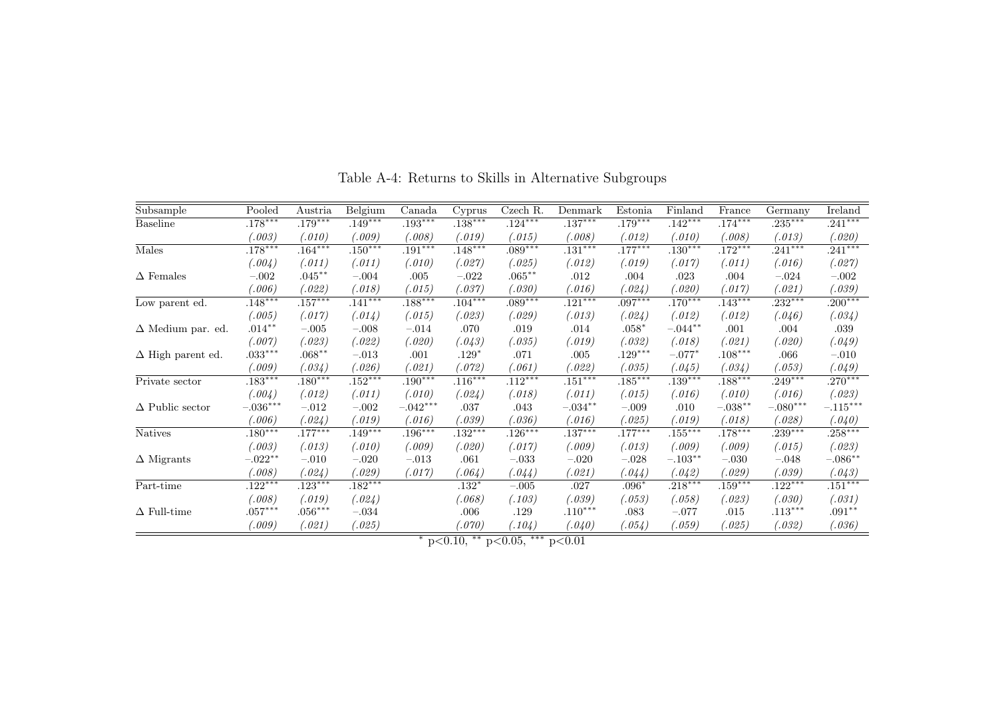| Subsample                   | Pooled                | Austria   | Belgium   | Canada     | Cyprus    | Czech R.             | Denmark    | Estonia   | Finland   | France    | Germany    | Ireland    |
|-----------------------------|-----------------------|-----------|-----------|------------|-----------|----------------------|------------|-----------|-----------|-----------|------------|------------|
| <b>Baseline</b>             | $.178***$             | $.179***$ | $.149***$ | $.193***$  | $.138***$ | $.124***$            | $.137***$  | $.179***$ | $.142***$ | $.174***$ | $.235***$  | $.241***$  |
|                             | (.003)                | (.010)    | $\it 009$ | 0.008)     | (.019)    | (.015)               | (.008)     | (.012)    | (.010)    | (.008)    | (.013)     | (.020)     |
| $\overline{\mathrm{Males}}$ | $.178***$             | $.164***$ | $.150***$ | $.191***$  | $.148***$ | $.089***$            | $.131***$  | $.177***$ | $.130***$ | $.172***$ | $.241***$  | $.241***$  |
|                             | (.004)                | (.011)    | (.011)    | (.010)     | (.027)    | (.025)               | (.012)     | (.019)    | (.017)    | (.011)    | (.016)     | (.027)     |
| $\Delta$ Females            | $-.002$               | $.045***$ | $-.004$   | .005       | $-.022$   | $.065***$            | .012       | .004      | .023      | .004      | $-.024$    | $-.002$    |
|                             | (.006)                | (.022)    | (.018)    | (.015)     | (.037)    | (.030)               | (.016)     | (.024)    | (.020)    | (.017)    | (.021)     | (.039)     |
| Low parent ed.              | $.148***$             | $.157***$ | $.141***$ | $.188***$  | $.104***$ | $.089***$            | $.121***$  | $.097***$ | $.170***$ | $.143***$ | $.232***$  | $.200***$  |
|                             | (.005)                | (.017)    | (.014)    | (.015)     | (.023)    | (.029)               | (.013)     | (.024)    | (.012)    | (.012)    | (.046)     | (.034)     |
| $\Delta$ Medium par. ed.    | $.014***$             | $-.005$   | $-.008$   | $-.014$    | .070      | .019                 | .014       | $.058*$   | $-.044**$ | .001      | .004       | .039       |
|                             | (.007)                | (.023)    | (.022)    | (.020)     | (.043)    | 0.035)               | (.019)     | (.032)    | (.018)    | (.021)    | (.020)     | (.049)     |
| $\Delta$ High parent ed.    | $.033***$             | $.068***$ | $-.013$   | .001       | $.129*$   | .071                 | .005       | $.129***$ | $-.077*$  | $.108***$ | .066       | $-.010$    |
|                             | (.009)                | (.034)    | 0.026)    | (.021)     | (.072)    | 0.061)               | (.022)     | (.035)    | (.045)    | (.034)    | (.053)     | (.049)     |
| Private sector              | $.183***$             | $.180***$ | $.152***$ | $.190***$  | $.116***$ | $.112***$            | $.151***$  | $.185***$ | $.139***$ | $.188***$ | $.249***$  | $.270***$  |
|                             | (.004)                | (.012)    | (.011)    | (.010)     | (.024)    | .018)                | (.011)     | (.015)    | (.016)    | (.010)    | (.016)     | (.023)     |
| $\Delta$ Public sector      | $-.036***$            | $-.012$   | $-.002$   | $-.042***$ | .037      | .043                 | $-.034***$ | $-.009$   | .010      | $-.038**$ | $-.080***$ | $-.115***$ |
|                             | (.006)                | (.024)    | (.019)    | (.016)     | (.039)    | 0.036)               | (.016)     | (.025)    | (.019)    | (.018)    | (.028)     | (.040)     |
| <b>Natives</b>              | $.180***$             | $.177***$ | $.149***$ | $.196***$  | $.132***$ | $.126***$            | $.137***$  | $.177***$ | $.155***$ | $.178***$ | $.239***$  | $.258***$  |
|                             | (.003)                | (.013)    | (.010)    | (.009)     | (.020)    | (017)                | (.009)     | (.013)    | (.009)    | (.009)    | (.015)     | (.023)     |
| $\Delta$ Migrants           | $-.022**$             | $-.010$   | $-.020$   | $-.013$    | .061      | $-.033$              | $-.020$    | $-.028$   | $-.103**$ | $-.030$   | $-.048$    | $-.086**$  |
|                             | (.008)                | (.024)    | (.029)    | (.017)     | (.064)    | $\left( .044\right)$ | (.021)     | (.044)    | (.042)    | (.029)    | (.039)     | (.043)     |
| Part-time                   | $.122***$             | $.123***$ | $.182***$ |            | $.132*$   | $-.005$              | .027       | $.096*$   | $.218***$ | $.159***$ | $.122***$  | $.151***$  |
|                             | (.008)                | (.019)    | (.024)    |            | (.068)    | (.103)               | (.039)     | (.053)    | (.058)    | (.023)    | (.030)     | (.031)     |
| $\Delta$ Full-time          | $.057^{\ast\ast\ast}$ | $.056***$ | $-.034$   |            | .006      | .129                 | $.110***$  | .083      | $-.077$   | .015      | $.113***$  | $.091**$   |
|                             | (.009)                | (.021)    | (.025)    |            | 4.070)    | $\left( .104\right)$ | (.040)     | (.054)    | (.059)    | (.025)    | (.032)     | (.036)     |

Table A-4: Returns to Skills in Alternative Subgroups

*∗* p*<*0.10, *∗∗* p*<*0.05, *∗∗∗* p*<*0.01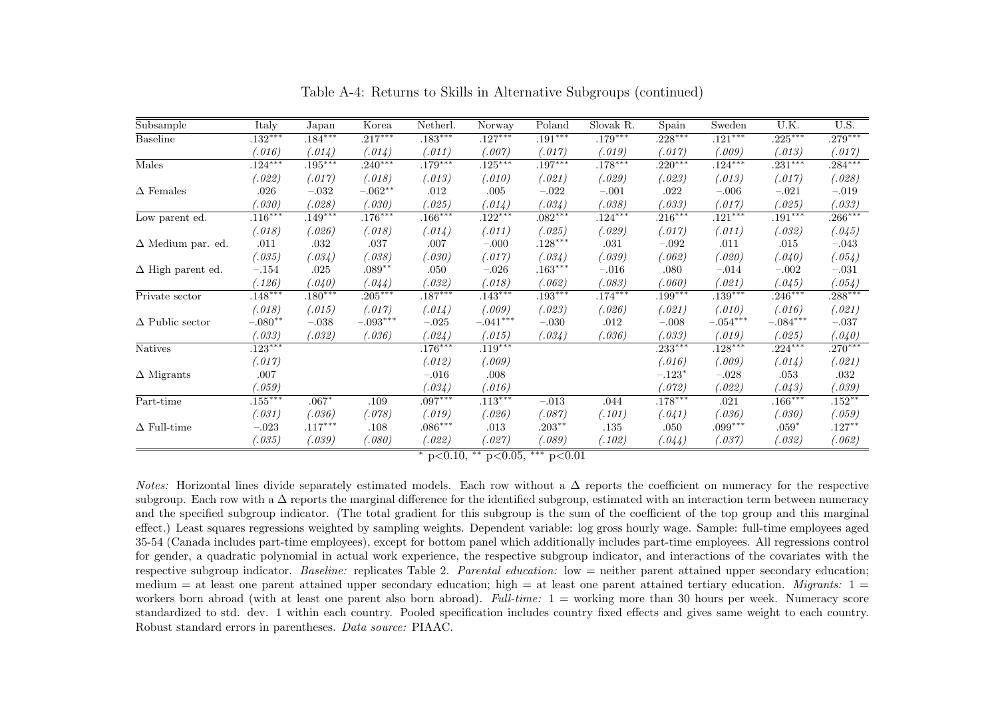| Subsample                | Italy     | Japan     | Korea      | Netherl.  | Norway     | Poland    | Slovak R. | Spain     | Sweden                 | U.K.        | U.S.      |
|--------------------------|-----------|-----------|------------|-----------|------------|-----------|-----------|-----------|------------------------|-------------|-----------|
| <b>Baseline</b>          | $.132***$ | $.184***$ | $.217***$  | $.183***$ | $.127***$  | $.191***$ | $.179***$ | $.228***$ | $.121***$              | $.225***$   | $.279***$ |
|                          | (.016)    | (.014)    | (.014)     | (.011)    | (.007)     | (.017)    | (.019)    | (.017)    | (.009)                 | (.013)      | (.017)    |
| Males                    | $.124***$ | $.195***$ | $.240***$  | $.179***$ | $.125***$  | $.197***$ | $.178***$ | $.220***$ | $.124***$              | $.231***$   | $.284***$ |
|                          | (.022)    | (.017)    | (.018)     | (.013)    | (.010)     | (.021)    | (.029)    | (.023)    | (.013)                 | (.017)      | (.028)    |
| $\Delta$ Females         | .026      | $-.032$   | $-.062**$  | .012      | .005       | $-.022$   | $-.001$   | .022      | $-.006$                | $-.021$     | $-.019$   |
|                          | (.030)    | (.028)    | (.030)     | (.025)    | (.014)     | (.034)    | (.038)    | (.033)    | (.017)                 | (.025)      | (.033)    |
| Low parent ed.           | $.116***$ | $.149***$ | $.176***$  | $.166***$ | $.122***$  | $.082***$ | $.124***$ | $.216***$ | $.121***$              | $.191***$   | $.266***$ |
|                          | (.018)    | (.026)    | (.018)     | (.014)    | (.011)     | (.025)    | (.029)    | (.017)    | (.011)                 | (.032)      | (.045)    |
| $\Delta$ Medium par. ed. | .011      | .032      | .037       | .007      | $-.000$    | $.128***$ | .031      | $-.092$   | .011                   | .015        | $-.043$   |
|                          | (.035)    | (.034)    | (.038)     | (.030)    | (.017)     | (.034)    | (.039)    | 0.062)    | (.020)                 | (.040)      | (.054)    |
| $\Delta$ High parent ed. | $-.154$   | .025      | $.089**$   | .050      | $-.026$    | $.163***$ | $-.016$   | .080      | $-.014$                | $-.002$     | $-.031$   |
|                          | (.126)    | (.040)    | (.044)     | (.032)    | (.018)     | (.062)    | (.083)    | 060)      | (.021)                 | (.045)      | (.054)    |
| Private sector           | $.148***$ | $.180***$ | $.205***$  | $.187***$ | $.143***$  | $.193***$ | $.174***$ | $.199***$ | $.139***$              | $.246***$   | $.288***$ |
|                          | (.018)    | (.015)    | (.017)     | (.014)    | (.009)     | (.023)    | (.026)    | (.021)    | (.010)                 | (.016)      | (.021)    |
| $\Delta$ Public sector   | $-.080**$ | $-.038$   | $-.093***$ | $-.025$   | $-.041***$ | $-.030$   | .012      | $-.008$   | $-.054^{\ast\ast\ast}$ | $-.084***$  | $-.037$   |
|                          | (.033)    | (.032)    | (.036)     | (.024)    | (.015)     | (.034)    | (.036)    | (.033)    | (.019)                 | (.025)      | (.040)    |
| <b>Natives</b>           | $.123***$ |           |            | $.176***$ | $.119***$  |           |           | $.233***$ | $.128***$              | $.224***$   | $.270***$ |
|                          | (.017)    |           |            | (.012)    | (.009)     |           |           | (.016)    | (.009)                 | (.014)      | (.021)    |
| $\Delta$ Migrants        | .007      |           |            | $-.016$   | .008       |           |           | $-.123*$  | $-.028$                | .053        | .032      |
|                          | (.059)    |           |            | (.034)    | (.016)     |           |           | (.072)    | (.022)                 | (.043)      | (.039)    |
| Part-time                | $.155***$ | $.067*$   | .109       | $.097***$ | $.113***$  | $-.013$   | .044      | $.178***$ | .021                   | $.166***$   | $.152***$ |
|                          | (.031)    | 0.036)    | (.078)     | (.019)    | (.026)     | (.087)    | (.101)    | (.041)    | (.036)                 | (.030)      | (.059)    |
| $\Delta$ Full-time       | $-.023$   | $.117***$ | .108       | $.086***$ | .013       | $.203***$ | .135      | .050      | $.099***$              | $.059*$     | $.127***$ |
|                          | (.035)    | (.039)    | (.080)     | (.022)    | (.027)     | 0.089)    | (.102)    | 0.044)    | (.037)                 | $\it .032)$ | (.062)    |

Table A-4: Returns to Skills in Alternative Subgroups (continued)

*∗* p*<*0.10, *∗∗* p*<*0.05, *∗∗∗* p*<*0.01

*Notes:* Horizontal lines divide separately estimated models. Each row without a  $\Delta$  reports the coefficient on numeracy for the respective subgroup. Each row with a  $\Delta$  reports the marginal difference for the identified subgroup, estimated with an interaction term between numeracy and the specified subgroup indicator. (The total gradient for this subgroup is the sum of the coefficient of the top group and this marginal effect.) Least squares regressions weighted by sampling weights. Dependent variable: log gross hourly wage. Sample: full-time employees aged 35-54 (Canada includes part-time employees), except for bottom pane<sup>l</sup> which additionally includes part-time employees. All regressions control for gender, <sup>a</sup> quadratic polynomial in actual work experience, the respective subgroup indicator, and interactions of the covariates with therespective subgroup indicator. *Baseline:* replicates Table 2. *Parental education:* low = neither parent attained upper secondary education; medium = at least one parent attained upper secondary education; high = at least one parent attained tertiary education. *Migrants:* 1 = workers born abroad (with at least one parent also born abroad). *Full-time:* <sup>1</sup> <sup>=</sup> working more than <sup>30</sup> hours per week. Numeracy score standardized to std. dev. 1 within each country. Pooled specification includes country fixed effects and gives same weight to each country.Robust standard errors in parentheses. *Data source:* PIAAC.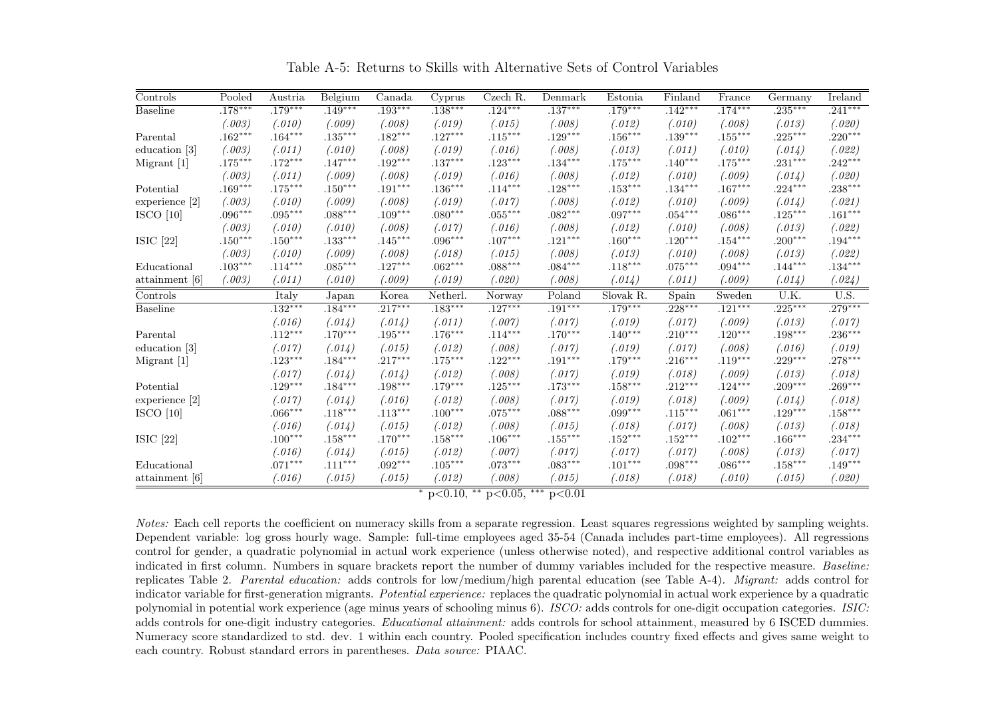| Controls                                  | Pooled    | Austria   | Belgium               | Canada     | Cyprus                 | Czech R   | Denmark                                      | Estonia   | Finland   | France    | Germany               | Ireland   |
|-------------------------------------------|-----------|-----------|-----------------------|------------|------------------------|-----------|----------------------------------------------|-----------|-----------|-----------|-----------------------|-----------|
| <b>Baseline</b>                           | $.178***$ | $.179***$ | $.149***$             | $.193***$  | $.138***$              | $.124***$ | $.137***$                                    | $.179***$ | $.142***$ | $.174***$ | $.235***$             | $.241***$ |
|                                           | (.003)    | (.010)    | (.009)                | (.008)     | (.019)                 | (.015)    | (.008)                                       | (.012)    | (.010)    | (.008)    | (.013)                | (.020)    |
| Parental                                  | $.162***$ | $.164***$ | $.135^{\ast\ast\ast}$ | $.182***$  | $.127***$              | $.115***$ | $.129***$                                    | $.156***$ | $.139***$ | $.155***$ | $.225***$             | $.220***$ |
| education [3]                             | (.003)    | (.011)    | (.010)                | (.008)     | (.019)                 | (.016)    | (.008)                                       | (.013)    | (.011)    | (.010)    | (.014)                | (.022)    |
| Migrant [1]                               | $.175***$ | $.172***$ | $.147***$             | $.192***$  | $.137***$              | $.123***$ | $.134***$                                    | $.175***$ | $.140***$ | $.175***$ | $.231***$             | $.242***$ |
|                                           | (.003)    | (.011)    | (.009)                | (.008)     | (.019)                 | (.016)    | (.008)                                       | (.012)    | (.010)    | (.009)    | (.014)                | (.020)    |
| Potential                                 | $.169***$ | $.175***$ | $.150***$             | $.191***$  | $.136***$              | $.114***$ | $.128***$                                    | $.153***$ | $.134***$ | $.167***$ | $.224***$             | $.238***$ |
| experience [2]                            | (.003)    | (.010)    | (.009)                | (.008)     | (.019)                 | (.017)    | (.008)                                       | (.012)    | (.010)    | (.009)    | (.014)                | (.021)    |
| $\left[18\text{CO}\right]\left[10\right]$ | $.096***$ | $.095***$ | $.088***$             | $.109***$  | $.080***$              | $.055***$ | $.082***$                                    | $.097***$ | $.054***$ | $.086***$ | $.125***$             | $.161***$ |
|                                           | (.003)    | (.010)    | (.010)                | (.008)     | (.017)                 | (.016)    | (.008)                                       | (.012)    | (.010)    | (.008)    | (.013)                | (.022)    |
| ISIC $[22]$                               | $.150***$ | $.150***$ | $.133***$             | $.145***$  | $.096***$              | $.107***$ | $.121***$                                    | $.160***$ | $.120***$ | $.154***$ | $.200***$             | $.194***$ |
|                                           | (.003)    | (.010)    | (.009)                | (.008)     | (.018)                 | (.015)    | (.008)                                       | (.013)    | (.010)    | (.008)    | (.013)                | (.022)    |
| Educational                               | $.103***$ | $.114***$ | $.085***$             | $.127***$  | $.062***$              | $.088***$ | $.084***$                                    | $.118***$ | $.075***$ | $.094***$ | $.144***$             | $.134***$ |
| attainment [6]                            | (.003)    | (.011)    | (.010)                | $\it 009)$ | (.019)                 | (.020)    | (.008)                                       | (.014)    | (.011)    | (.009)    | (.014)                | (.024)    |
| Controls                                  |           | Italy     | Japan                 | Korea      | Netherl.               | Norway    | Poland                                       | Slovak R. | Spain     | Sweden    | U.K.                  | U.S.      |
| <b>Baseline</b>                           |           | $.132***$ | $.184***$             | $.217***$  | $.183***$              | $.127***$ | $.191***$                                    | $.179***$ | $.228***$ | $.121***$ | $.225***$             | $.279***$ |
|                                           |           | (.016)    | (.014)                | (.014)     | (.011)                 | (.007)    | (.017)                                       | (.019)    | (.017)    | (.009)    | (.013)                | (.017)    |
| Parental                                  |           | $.112***$ | $.170***$             | $.195***$  | $.176***$              | $.114***$ | $.170***$                                    | $.140***$ | $.210***$ | $.120***$ | $.198***$             | $.236***$ |
| education [3]                             |           | (.017)    | (.014)                | (.015)     | (.012)                 | (.008)    | (.017)                                       | (.019)    | (.017)    | (.008)    | (.016)                | (.019)    |
| Migrant $[1]$                             |           | $.123***$ | $.184***$             | $.217***$  | $.175***$              | $.122***$ | $.191***$                                    | $.179***$ | $.216***$ | $.119***$ | $.229***$             | $.278***$ |
|                                           |           | (.017)    | (.014)                | (.014)     | (.012)                 | (.008)    | (.017)                                       | (.019)    | (.018)    | (.009)    | (.013)                | (.018)    |
| Potential                                 |           | $.129***$ | $.184***$             | $.198***$  | $.179***$              | $.125***$ | $.173***$                                    | $.158***$ | $.212***$ | $.124***$ | $.209***$             | $.269***$ |
| experience [2]                            |           | (.017)    | (.014)                | (.016)     | (.012)                 | (.008)    | (.017)                                       | (.019)    | (.018)    | (.009)    | (.014)                | (.018)    |
| $\left[10\right]$                         |           | $.066***$ | $.118***$             | $.113***$  | $.100***$              | $.075***$ | $.088***$                                    | $.099***$ | $.115***$ | $.061***$ | $.129***$             | $.158***$ |
|                                           |           | (.016)    | (.014)                | (.015)     | (.012)                 | (.008)    | (.015)                                       | (.018)    | (.017)    | (.008)    | (.013)                | (.018)    |
| ISIC [22]                                 |           | $.100***$ | $.158***$             | $.170***$  | $.158***$              | $.106***$ | $.155***$                                    | $.152***$ | $.152***$ | $.102***$ | $.166***$             | $.234***$ |
|                                           |           | (.016)    | (.014)                | (.015)     | (.012)                 | (.007)    | (.017)                                       | (.017)    | (.017)    | (.008)    | (.013)                | (.017)    |
| Educational                               |           | $.071***$ | $.111***$             | $.092***$  | $.105***$              | $.073***$ | $.083***$                                    | $.101***$ | $.098***$ | $.086***$ | $.158^{\ast\ast\ast}$ | $.149***$ |
| attainment [6]                            |           | (.016)    | (.015)                | (.015)     | (.012)<br>$* - 2010 *$ | (.008)    | 0.015)<br>$\sim$ $\sim$ 0.05 *** $\sim$ 0.01 | (.018)    | (.018)    | (.010)    | (.015)                | (.020)    |

Table A-5: Returns to Skills with Alternative Sets of Control Variables

p*<*0.10, *∗∗* p*<*0.05, *∗∗∗* p*<*0.01

*Notes:* Each cell reports the coefficient on numeracy skills from <sup>a</sup> separate regression. Least squares regressions weighted by sampling weights. Dependent variable: log gross hourly wage. Sample: full-time employees aged 35-54 (Canada includes part-time employees). All regressions control for gender, <sup>a</sup> quadratic polynomial in actual work experience (unless otherwise noted), and respective additional control variables as indicated in first column. Numbers in square brackets report the number of dummy variables included for the respective measure. *Baseline:* replicates Table 2. *Parental education:* adds controls for low/medium/high parental education (see Table A-4). *Migrant:* adds control forindicator variable for first-generation migrants. *Potential experience:* replaces the quadratic polynomial in actual work experience by a quadratic polynomial in potential work experience (age minus years of schooling minus 6). *ISCO:* adds controls for one-digit occupation categories. *ISIC:* adds controls for one-digit industry categories. *Educational attainment:* adds controls for school attainment, measured by <sup>6</sup> ISCED dummies. Numeracy score standardized to std. dev. 1 within each country. Pooled specification includes country fixed effects and gives same weight toeach country. Robust standard errors in parentheses. *Data source:* PIAAC.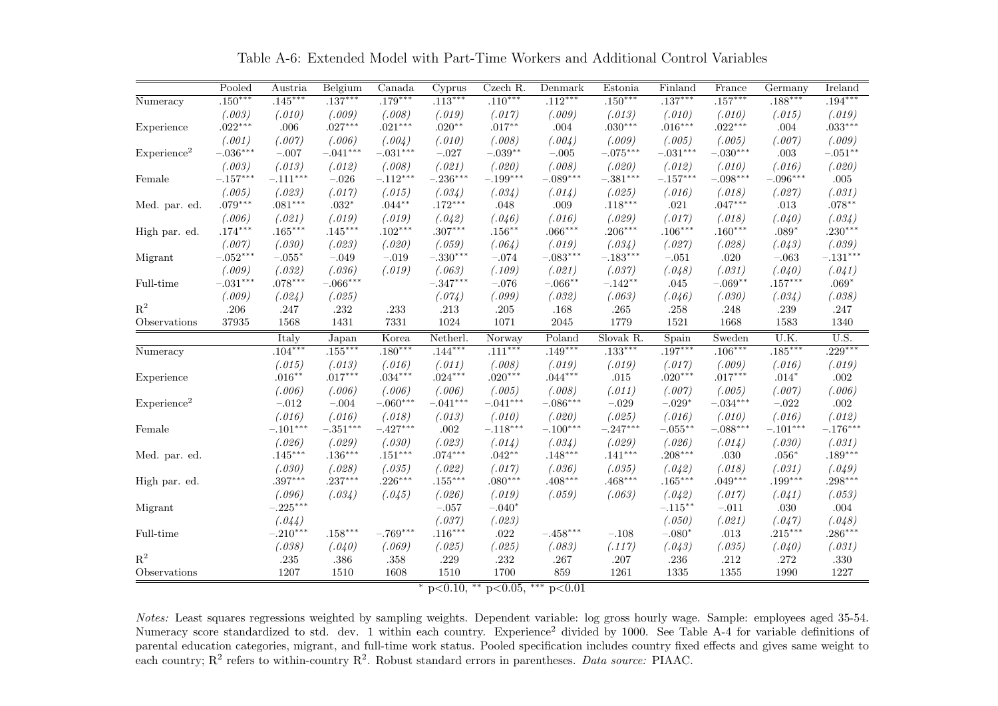|                         | Pooled                 | Austria      | Belgium    | Canada                | Cyprus       | $Czech R$ .           | Denmark           | Estonia    | Finland    | France          | Germany    | Ireland           |
|-------------------------|------------------------|--------------|------------|-----------------------|--------------|-----------------------|-------------------|------------|------------|-----------------|------------|-------------------|
| Numeracy                | $.150***$              | $.145***$    | $.137***$  | $.179***$             | $.113***$    | $.110***$             | $.112***$         | $.150***$  | $.137***$  | $.157***$       | $.188***$  | $.194***$         |
|                         | (.003)                 | (.010)       | (.009)     | (.008)                | (.019)       | (.017)                | (.009)            | (.013)     | (.010)     | (.010)          | (.015)     | (.019)            |
| Experience              | $.022***$              | .006         | $.027***$  | $.021***$             | $.020**$     | $.017***$             | $.004\,$          | $.030***$  | $.016***$  | $.022***$       | $.004\,$   | $.033***$         |
|                         | (.001)                 | (.007)       | (.006)     | (.004)                | (.010)       | (.008)                | (.004)            | (.009)     | (.005)     | (.005)          | (.007)     | (.009)            |
| Experience <sup>2</sup> | $-.036***$             | $-.007$      | $-.041***$ | $-.031***$            | $-.027$      | $-.039**$             | $-.005$           | $-.075***$ | $-.031***$ | $-.030***$      | $.003\,$   | $-.051***$        |
|                         | (.003)                 | (.013)       | (.012)     | (.008)                | (.021)       | (.020)                | (.008)            | (.020)     | (.012)     | (.010)          | (.016)     | (.020)            |
| Female                  | $-.157^{\ast\ast\ast}$ | $-.111***$   | $-.026$    | $-.112***$            | $-.236***$   | $-.199***$            | $-.089***$        | $-.381***$ | $-.157***$ | $-.098^{***}\,$ | $-.096***$ | $.005$            |
|                         | (.005)                 | (.023)       | (.017)     | (.015)                | (.034)       | (.034)                | (.014)            | (.025)     | (.016)     | (.018)          | (.027)     | (.031)            |
| Med. par. ed.           | $.079***$              | $.081***$    | $.032*$    | $.044***$             | $.172***$    | .048                  | .009              | $.118***$  | .021       | $.047***$       | $.013\,$   | $.078***$         |
|                         | (.006)                 | (.021)       | (.019)     | (.019)                | (.042)       | (.046)                | (.016)            | (.029)     | (.017)     | (.018)          | (.040)     | (.034)            |
| High par. ed.           | $.174***$              | $.165***$    | $.145***$  | $.102^{\ast\ast\ast}$ | $.307***$    | $.156***$             | $.066***$         | $.206***$  | $.106***$  | $.160^{***}\,$  | $.089*$    | $.230***$         |
|                         | (.007)                 | (.030)       | (.023)     | (.020)                | (.059)       | (.064)                | (.019)            | (.034)     | (.027)     | (.028)          | (.043)     | (.039)            |
| Migrant                 | $-.052***$             | $-.055*$     | $-.049$    | $-.019$               | $-.330***$   | $-.074$               | $-.083***$        | $-.183***$ | $-.051$    | .020            | $-.063$    | $-.131***$        |
|                         | (.009)                 | (.032)       | (.036)     | (.019)                | (.063)       | (.109)                | (.021)            | (.037)     | (.048)     | (.031)          | (.040)     | (.041)            |
| Full-time               | $-.031***$             | $.078***$    | $-.066***$ |                       | $-.347***$   | $-.076$               | $-.066$ **        | $-.142**$  | .045       | $-.069**$       | $.157***$  | $.069*$           |
|                         | (.009)                 | (.024)       | (.025)     |                       | (.074)       | (.099)                | (.032)            | (.063)     | (.046)     | (.030)          | (.034)     | (.038)            |
| $\mathbf{R}^2$          | .206                   | .247         | $.232\,$   | .233                  | .213         | .205                  | .168              | .265       | .258       | .248            | $.239\,$   | .247              |
| Observations            | 37935                  | 1568         | 1431       | 7331                  | 1024         | 1071                  | 2045              | 1779       | 1521       | 1668            | 1583       | 1340              |
|                         |                        | <b>Italy</b> | Japan      | Korea                 | Netherl.     | Norway                | Poland            | Slovak R.  | Spain      | Sweden          | U.K.       | $\overline{U.S.}$ |
| Numeracy                |                        | $.104***$    | $.155***$  | $.180***$             | $.144***$    | $.111***$             | $.149***$         | $.133***$  | $.197***$  | $.106***$       | $.185***$  | $.229***$         |
|                         |                        | (.015)       | (.013)     | (.016)                | (.011)       | (.008)                | (.019)            | (.019)     | (.017)     | (.009)          | (.016)     | (.019)            |
| Experience              |                        | $.016***$    | $.017***$  | $.034***$             | $.024***$    | $.020***$             | $.044***$         | .015       | $.020***$  | $.017***$       | $.014*$    | .002              |
|                         |                        | (.006)       | (.006)     | (.006)                | (.006)       | (.005)                | (.008)            | (.011)     | (.007)     | (.005)          | (.007)     | (.006)            |
| Experience <sup>2</sup> |                        | $-.012$      | $-.004$    | $-.060***$            | $-.041***$   | $-.041***$            | $-.086***$        | $-.029$    | $-.029*$   | $-.034***$      | $-.022$    | $.002\,$          |
|                         |                        | (.016)       | (.016)     | (.018)                | (.013)       | (.010)                | (.020)            | (.025)     | (.016)     | (.010)          | (.016)     | (.012)            |
| Female                  |                        | $-.101***$   | $-.351***$ | $-.427***$            | .002         | $-.118***$            | $-.100***$        | $-.247***$ | $-.055***$ | $-.088***$      | $-.101***$ | $-.176***$        |
|                         |                        | (.026)       | (.029)     | (.030)                | (.023)       | (.014)                | (.034)            | (.029)     | (.026)     | (.014)          | (.030)     | (.031)            |
| Med. par. ed.           |                        | $.145***$    | $.136***$  | $.151***$             | $.074***$    | $.042**$              | $.148***$         | $.141***$  | $.208***$  | .030            | $.056*$    | $.189***$         |
|                         |                        | (.030)       | (.028)     | (.035)                | (.022)       | (.017)                | (.036)            | (.035)     | (.042)     | (.018)          | (.031)     | (.049)            |
| High par. ed.           |                        | $.397***$    | $.237***$  | $.226***$             | $.155***$    | $.080***$             | $.408***$         | $.468***$  | $.165***$  | $.049***$       | $.199***$  | $.298***$         |
|                         |                        | (.096)       | (.034)     | (.045)                | (.026)       | (.019)                | (.059)            | (.063)     | (.042)     | (.017)          | (.041)     | (.053)            |
| Migrant                 |                        | $-.225***$   |            |                       | $-.057$      | $-.040*$              |                   |            | $-.115***$ | $-.011$         | $.030\,$   | .004              |
|                         |                        | (.044)       |            |                       | (.037)       | (.023)                |                   |            | (.050)     | (.021)          | (.047)     | (.048)            |
| Full-time               |                        | $-.210***$   | $.158***$  | $-.769***$            | $.116***$    | $.022\,$              | $-.458***$        | $-.108$    | $-.080*$   | $.013\,$        | $.215***$  | $.286***$         |
|                         |                        | (.038)       | (.040)     | (.069)                | (.025)       | (.025)                | (.083)            | (.117)     | (.043)     | (.035)          | (.040)     | (.031)            |
| $\mathbf{R}^2$          |                        | $.235\,$     | $.386\,$   | $.358\,$              | .229         | .232                  | $.267\,$          | $.207\,$   | $.236\,$   | .212            | $.272\,$   | $.330\,$          |
| Observations            |                        | 1207         | 1510       | 1608                  | 1510         | 1700                  | 859               | 1261       | $1335\,$   | $1355\,$        | 1990       | 1227              |
|                         |                        |              |            |                       | $p < 0.10$ , | $***$<br>$p < 0.05$ , | $***$<br>p < 0.01 |            |            |                 |            |                   |

Table A-6: Extended Model with Part-Time Workers and Additional Control Variables

*Notes:* Least squares regressions weighted by sampling weights. Dependent variable: log gross hourly wage. Sample: employees aged 35-54. Numeracy score standardized to std. dev. 1 within each country. Experience<sup>2</sup> divided by 1000. See Table A-4 for variable definitions of parental education categories, migrant, and full-time work status. Pooled specification includes country fixed effects and gives same weight toeach country;  $R^2$  refers to within-country  $R^2$ . Robust standard errors in parentheses. *Data source:* PIAAC.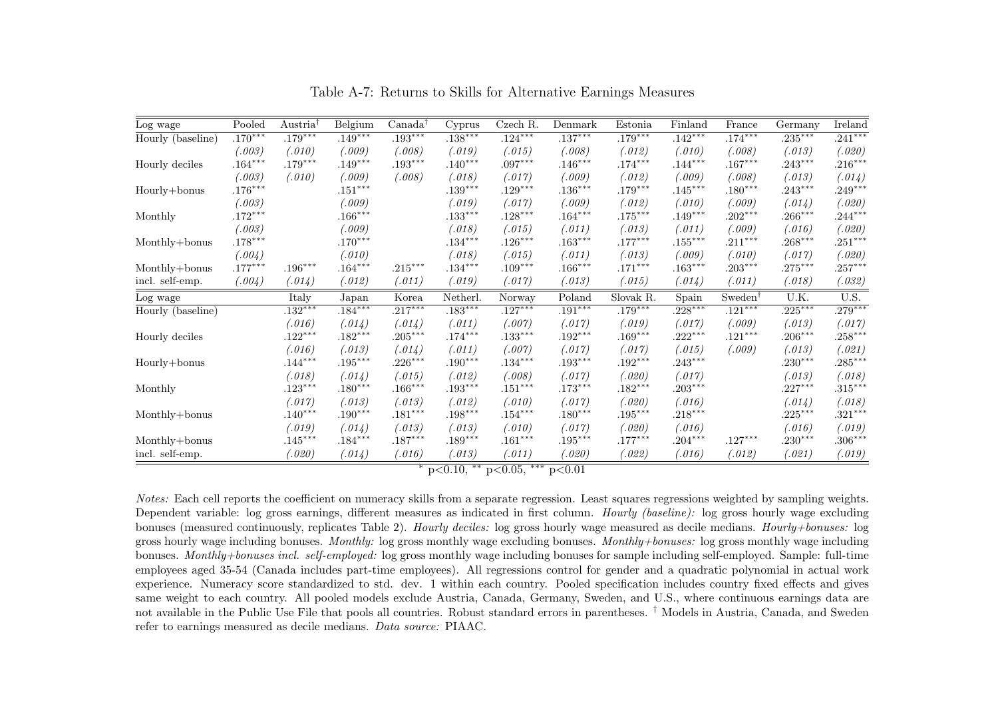| Log wage          | Pooled    | Austria   | Belgium   | $Canada^{\dagger}$ | Cyprus    | Czech R.                              | Denmark              | Estonia   | Finland   | France              | Germany   | Ireland               |
|-------------------|-----------|-----------|-----------|--------------------|-----------|---------------------------------------|----------------------|-----------|-----------|---------------------|-----------|-----------------------|
| Hourly (baseline) | $.170***$ | $.179***$ | $.149***$ | $.193***$          | $.138***$ | $.124***$                             | $.137***$            | $.179***$ | $.142***$ | $.174***$           | $.235***$ | $.241***$             |
|                   | (.003)    | (.010)    | (.009)    | (.008)             | (.019)    | (.015)                                | (.008)               | (.012)    | (.010)    | (.008)              | (.013)    | (.020)                |
| Hourly deciles    | $.164***$ | $.179***$ | $.149***$ | $.193***$          | $.140***$ | $.097***$                             | $.146***$            | $.174***$ | $.144***$ | $.167***$           | $.243***$ | $.216***$             |
|                   | (.003)    | (.010)    | (.009)    | (.008)             | (.018)    | (.017)                                | (.009)               | (.012)    | (.009)    | (.008)              | (.013)    | (.014)                |
| Hourly+bonus      | $.176***$ |           | $.151***$ |                    | $.139***$ | $.129***$                             | $.136***$            | $.179***$ | $.145***$ | $.180***$           | $.243***$ | $.249^{\ast\ast\ast}$ |
|                   | (.003)    |           | (.009)    |                    | (.019)    | (.017)                                | (.009)               | (.012)    | (.010)    | (.009)              | (.014)    | (.020)                |
| Monthly           | $.172***$ |           | $.166***$ |                    | $.133***$ | $.128***$                             | $.164***$            | $.175***$ | $.149***$ | $.202***$           | $.266***$ | $.244***$             |
|                   | (.003)    |           | (.009)    |                    | (.018)    | (.015)                                | (.011)               | (.013)    | (.011)    | (.009)              | (.016)    | (.020)                |
| Monthly+bonus     | $.178***$ |           | $.170***$ |                    | $.134***$ | $.126***$                             | $.163***$            | $.177***$ | $.155***$ | $.211***$           | $.268***$ | $.251***$             |
|                   | (.004)    |           | (.010)    |                    | (.018)    | (.015)                                | (.011)               | (.013)    | (.009)    | (.010)              | (.017)    | (.020)                |
| Monthly+bonus     | $.177***$ | $.196***$ | $.164***$ | $.215***$          | $.134***$ | $.109***$                             | $.166***$            | $.171***$ | $.163***$ | $.203***$           | $.275***$ | $.257***$             |
| incl. self-emp.   | (.004)    | (.014)    | (.012)    | (.011)             | (.019)    | (.017)                                | (.013)               | (.015)    | (.014)    | (.011)              | (.018)    | (.032)                |
| Log wage          |           | Italy     | Japan     | Korea              | Netherl.  | Norway                                | Poland               | Slovak R. | Spain     | Sweden <sup>†</sup> | U.K.      | U.S.                  |
| Hourly (baseline) |           | $.132***$ | $.184***$ | $.217***$          | $.183***$ | $.127***$                             | $.191***$            | $.179***$ | $.228***$ | $.121***$           | $.225***$ | $.279***$             |
|                   |           | (.016)    | (.014)    | (.014)             | (.011)    | (.007)                                | (.017)               | (.019)    | (.017)    | (.009)              | (.013)    | (.017)                |
| Hourly deciles    |           | $.122***$ | $.182***$ | $.205***$          | $.174***$ | $.133***$                             | $.192***$            | $.169***$ | $.222***$ | $.121***$           | $.206***$ | $.258^{\ast\ast\ast}$ |
|                   |           | (.016)    | (.013)    | (.014)             | (.011)    | (.007)                                | (.017)               | (.017)    | (.015)    | (.009)              | (.013)    | (.021)                |
| Hourly+bonus      |           | $.144***$ | $.195***$ | $.226***$          | $.190***$ | $.134***$                             | $.193***$            | $.192***$ | $.243***$ |                     | $.230***$ | $.285^{\ast\ast\ast}$ |
|                   |           | (.018)    | (.014)    | (.015)             | (.012)    | (.008)                                | (.017)               | (.020)    | (.017)    |                     | (.013)    | (.018)                |
| Monthly           |           | $.123***$ | $.180***$ | $.166***$          | $.193***$ | $.151***$                             | $.173***$            | $.182***$ | $.203***$ |                     | $.227***$ | $.315***$             |
|                   |           | (.017)    | (.013)    | (.013)             | (.012)    | (.010)                                | (.017)               | (.020)    | (.016)    |                     | (.014)    | (.018)                |
| Monthly+bonus     |           | $.140***$ | $.190***$ | $.181***$          | $.198***$ | $.154***$                             | $.180***$            | $.195***$ | $.218***$ |                     | $.225***$ | $.321^{\ast\ast\ast}$ |
|                   |           | (.019)    | (.014)    | (.013)             | (.013)    | (.010)                                | (.017)               | (.020)    | (.016)    |                     | (.016)    | (.019)                |
| Monthly+bonus     |           | $.145***$ | $.184***$ | $.187***$          | $.189***$ | $.161***$                             | $.195***$            | $.177***$ | $.204***$ | $.127***$           | $.230***$ | $.306***$             |
| incl. self-emp.   |           | (.020)    | (.014)    | (.016)             | (.013)    | (.011)<br>$* - 2010 * * - 2005 * * *$ | (.020)<br>$\sim$ 0.1 | (.022)    | (.016)    | (.012)              | (.021)    | (.019)                |

Table A-7: Returns to Skills for Alternative Earnings Measures

 p*<*0.10, *∗∗* p*<*0.05, *∗∗∗* p*<*0.01

*Notes:* Each cell reports the coefficient on numeracy skills from <sup>a</sup> separate regression. Least squares regressions weighted by sampling weights. Dependent variable: log gross earnings, different measures as indicated in first column. *Hourly (baseline):* log gross hourly wage excluding bonuses (measured continuously, replicates Table 2). *Hourly deciles:* log gross hourly wage measured as decile medians. *Hourly+bonuses:* log gross hourly wage including bonuses. *Monthly:* log gross monthly wage excluding bonuses. *Monthly+bonuses:* log gross monthly wage including bonuses. *Monthly+bonuses incl. self-employed:* log gross monthly wage including bonuses for sample including self-employed. Sample: full-time employees aged 35-54 (Canada includes part-time employees). All regressions control for gender and <sup>a</sup> quadratic polynomial in actual work experience. Numeracy score standardized to std. dev. 1 within each country. Pooled specification includes country fixed effects and gives same weight to each country. All pooled models exclude Austria, Canada, Germany, Sweden, and U.S., where continuous earnings data are not available in the Public Use File that pools all countries. Robust standard errors in parentheses.*†* Models in Austria, Canada, and Swedenrefer to earnings measured as decile medians. *Data source:* PIAAC.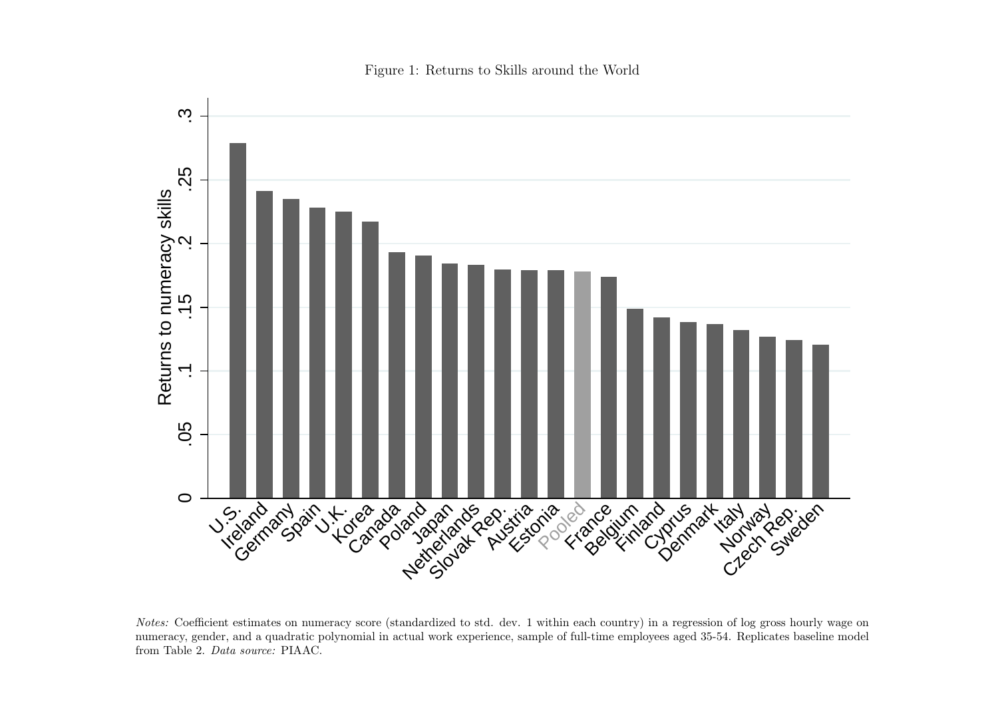Figure 1: Returns to Skills around the World



*Notes:* Coefficient estimates on numeracy score (standardized to std. dev. <sup>1</sup> within each country) in <sup>a</sup> regression of log gross hourly wage on numeracy, gender, and <sup>a</sup> quadratic polynomial in actual work experience, sample of full-time employees aged 35-54. Replicates baseline modelfrom Table 2. *Data source:* PIAAC.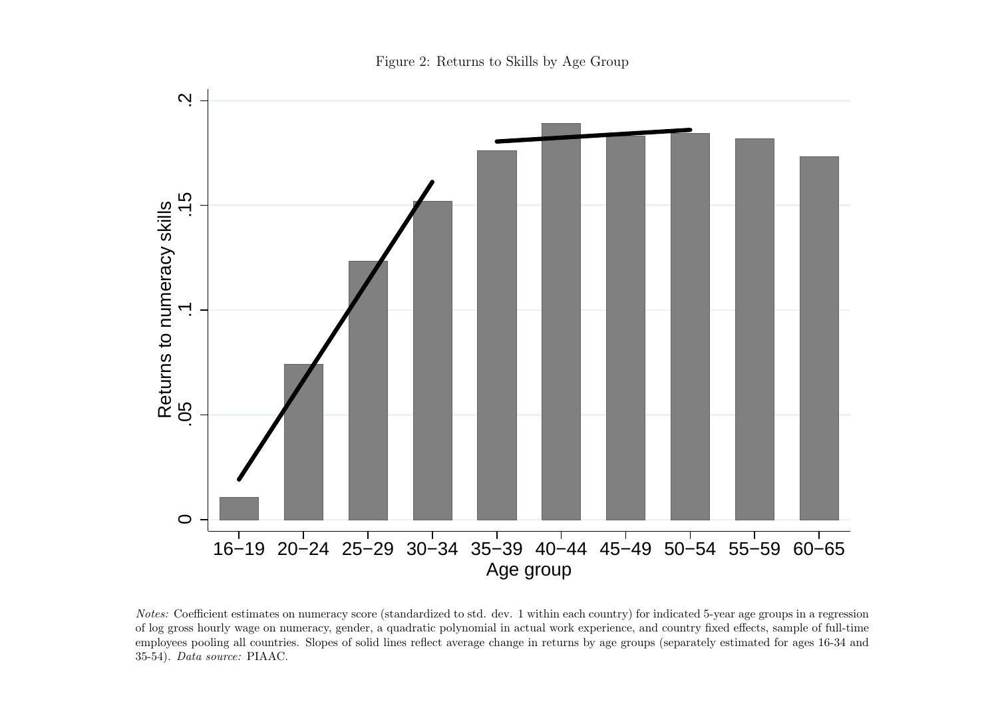

*Notes:* Coefficient estimates on numeracy score (standardized to std. dev. <sup>1</sup> within each country) for indicated 5-year age groups in <sup>a</sup> regression of log gross hourly wage on numeracy, gender, <sup>a</sup> quadratic polynomial in actual work experience, and country fixed effects, sample of full-time employees pooling all countries. Slopes of solid lines reflect average change in returns by age groups (separately estimated for ages 16-34 and35-54). *Data source:* PIAAC.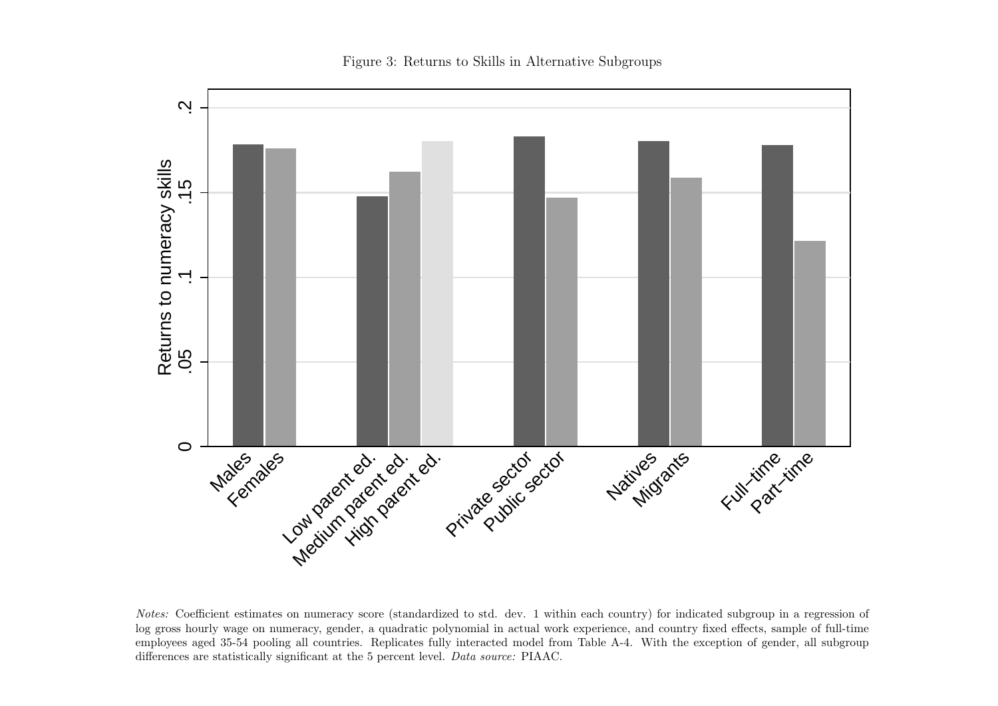Figure 3: Returns to Skills in Alternative Subgroups



*Notes:* Coefficient estimates on numeracy score (standardized to std. dev. <sup>1</sup> within each country) for indicated subgroup in <sup>a</sup> regression of log gross hourly wage on numeracy, gender, <sup>a</sup> quadratic polynomial in actual work experience, and country fixed effects, sample of full-time employees aged 35-54 pooling all countries. Replicates fully interacted model from Table A-4. With the exception of gender, all subgroupdifferences are statistically significant at the 5 percent level. *Data source:* PIAAC.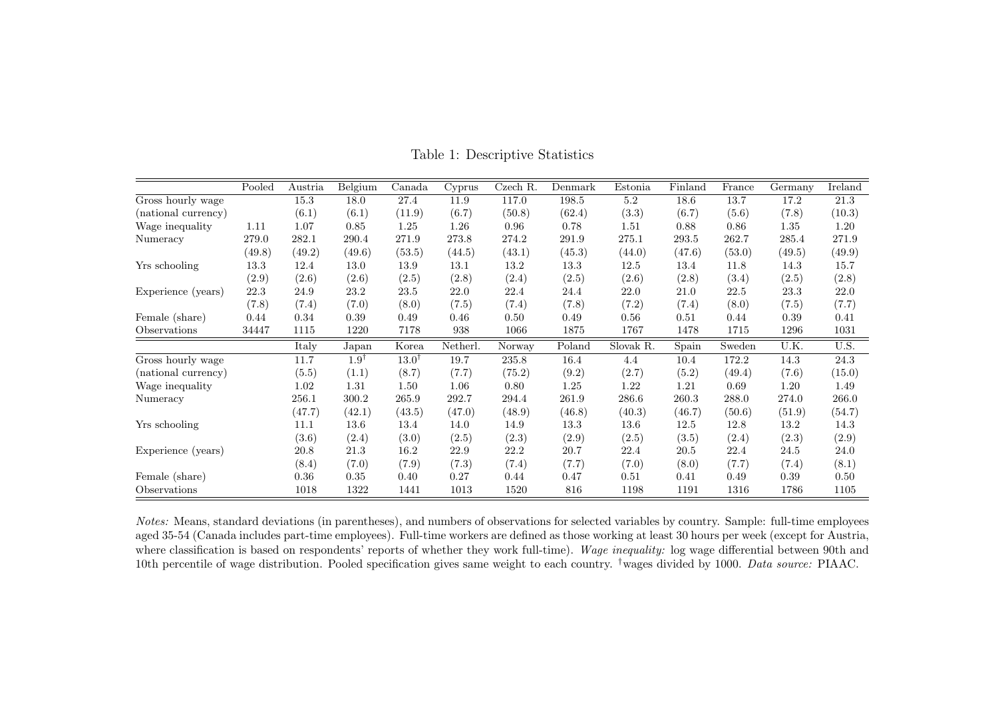|                     | Pooled | Austria | Belgium         | Canada           | Cyprus   | Czech R. | Denmark | Estonia   | Finland | France | Germany | Ireland |
|---------------------|--------|---------|-----------------|------------------|----------|----------|---------|-----------|---------|--------|---------|---------|
| Gross hourly wage   |        | 15.3    | 18.0            | 27.4             | 11.9     | 117.0    | 198.5   | 5.2       | 18.6    | 13.7   | 17.2    | 21.3    |
| (national currency) |        | (6.1)   | (6.1)           | (11.9)           | (6.7)    | (50.8)   | (62.4)  | (3.3)     | (6.7)   | (5.6)  | (7.8)   | (10.3)  |
| Wage inequality     | 1.11   | 1.07    | 0.85            | 1.25             | 1.26     | 0.96     | 0.78    | 1.51      | 0.88    | 0.86   | 1.35    | 1.20    |
| Numeracy            | 279.0  | 282.1   | 290.4           | 271.9            | 273.8    | 274.2    | 291.9   | 275.1     | 293.5   | 262.7  | 285.4   | 271.9   |
|                     | (49.8) | (49.2)  | (49.6)          | (53.5)           | (44.5)   | (43.1)   | (45.3)  | (44.0)    | (47.6)  | (53.0) | (49.5)  | (49.9)  |
| Yrs schooling       | 13.3   | 12.4    | 13.0            | 13.9             | 13.1     | 13.2     | 13.3    | 12.5      | 13.4    | 11.8   | 14.3    | 15.7    |
|                     | (2.9)  | (2.6)   | (2.6)           | (2.5)            | (2.8)    | (2.4)    | (2.5)   | (2.6)     | (2.8)   | (3.4)  | (2.5)   | (2.8)   |
| Experience (years)  | 22.3   | 24.9    | 23.2            | 23.5             | 22.0     | 22.4     | 24.4    | 22.0      | 21.0    | 22.5   | 23.3    | 22.0    |
|                     | (7.8)  | (7.4)   | (7.0)           | (8.0)            | (7.5)    | (7.4)    | (7.8)   | (7.2)     | (7.4)   | (8.0)  | (7.5)   | (7.7)   |
| Female (share)      | 0.44   | 0.34    | 0.39            | 0.49             | 0.46     | 0.50     | 0.49    | 0.56      | 0.51    | 0.44   | 0.39    | 0.41    |
| Observations        | 34447  | 1115    | 1220            | 7178             | 938      | 1066     | 1875    | 1767      | 1478    | 1715   | 1296    | 1031    |
|                     |        | Italy   | Japan           | Korea            | Netherl. | Norway   | Poland  | Slovak R. | Spain   | Sweden | U.K.    | U.S.    |
| Gross hourly wage   |        | 11.7    | $1.9^{\dagger}$ | $13.0^{\dagger}$ | 19.7     | 235.8    | 16.4    | 4.4       | 10.4    | 172.2  | 14.3    | 24.3    |
| (national currency) |        | (5.5)   | (1.1)           | (8.7)            | (7.7)    | (75.2)   | (9.2)   | (2.7)     | (5.2)   | (49.4) | (7.6)   | (15.0)  |
| Wage inequality     |        | 1.02    | 1.31            | 1.50             | 1.06     | 0.80     | 1.25    | 1.22      | 1.21    | 0.69   | 1.20    | 1.49    |
| Numeracy            |        | 256.1   | 300.2           | 265.9            | 292.7    | 294.4    | 261.9   | 286.6     | 260.3   | 288.0  | 274.0   | 266.0   |
|                     |        | (47.7)  | (42.1)          | (43.5)           | (47.0)   | (48.9)   | (46.8)  | (40.3)    | (46.7)  | (50.6) | (51.9)  | (54.7)  |
| Yrs schooling       |        | 11.1    | 13.6            | 13.4             | 14.0     | 14.9     | 13.3    | 13.6      | 12.5    | 12.8   | 13.2    | 14.3    |
|                     |        | (3.6)   | (2.4)           | (3.0)            | (2.5)    | (2.3)    | (2.9)   | (2.5)     | (3.5)   | (2.4)  | (2.3)   | (2.9)   |
| Experience (years)  |        | 20.8    | 21.3            | 16.2             | 22.9     | 22.2     | 20.7    | 22.4      | 20.5    | 22.4   | 24.5    | 24.0    |
|                     |        | (8.4)   | (7.0)           | (7.9)            | (7.3)    | (7.4)    | (7.7)   | (7.0)     | (8.0)   | (7.7)  | (7.4)   | (8.1)   |
| Female (share)      |        | 0.36    | 0.35            | 0.40             | 0.27     | 0.44     | 0.47    | 0.51      | 0.41    | 0.49   | 0.39    | 0.50    |
| Observations        |        | 1018    | 1322            | 1441             | 1013     | 1520     | 816     | 1198      | 1191    | 1316   | 1786    | 1105    |

Table 1: Descriptive Statistics

*Notes:* Means, standard deviations (in parentheses), and numbers of observations for selected variables by country. Sample: full-time employees aged 35-54 (Canada includes part-time employees). Full-time workers are defined as those working at least <sup>30</sup> hours per week (except for Austria, where classification is based on respondents' reports of whether they work full-time). *Wage inequality:* log wage differential between 90th and10th percentile of wage distribution. Pooled specification gives same weight to each country. *†*wages divided by 1000. *Data source:* PIAAC.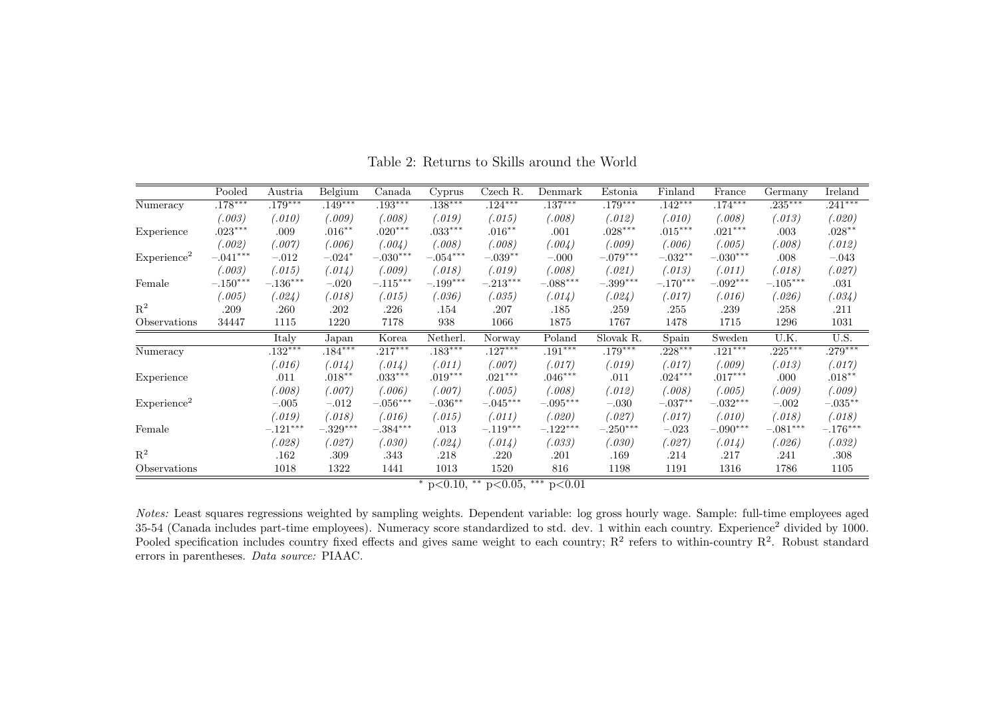|                         | Pooled     | Austria    | Belgium                | Canada     | Cyprus     | Czech R.                     | Denmark    | Estonia    | Finland    | France                 | Germany    | Ireland            |
|-------------------------|------------|------------|------------------------|------------|------------|------------------------------|------------|------------|------------|------------------------|------------|--------------------|
| Numeracy                | $.178***$  | $.179***$  | $.149***$              | $.193***$  | $.138***$  | $.124***$                    | $.137***$  | $.179***$  | $.142***$  | $.174***$              | $.235***$  | $.241***$          |
|                         | (.003)     | (.010)     | (.009)                 | (.008)     | (.019)     | (.015)                       | 0.008)     | (.012)     | (.010)     | (.008)                 | (.013)     | (.020)             |
| Experience              | $.023***$  | .009       | $.016***$              | $.020***$  | $.033***$  | $.016***$                    | .001       | $.028***$  | $.015***$  | $.021***$              | .003       | $.028***$          |
|                         | (.002)     | (.007)     | (.006)                 | (.004)     | (.008)     | (.008)                       | (.004)     | (.009)     | (.006)     | (.005)                 | (.008)     | (.012)             |
| Experience <sup>2</sup> | $-.041***$ | $-.012$    | $-.024*$               | $-.030***$ | $-.054***$ | $-.039**$                    | $-.000$    | $-.079***$ | $-.032**$  | $-.030***$             | .008       | $-.043$            |
|                         | (.003)     | (.015)     | (.014)                 | (.009)     | (.018)     | (.019)                       | (.008)     | (.021)     | (.013)     | (.011)                 | (.018)     | (.027)             |
| Female                  | $-.150***$ | $-.136***$ | $-.020$                | $-.115***$ | $-.199***$ | $-.213***$                   | $-.088***$ | $-.399***$ | $-.170***$ | $-.092***$             | $-.105***$ | .031               |
|                         | (.005)     | (.024)     | (.018)                 | (.015)     | (.036)     | (.035)                       | (.014)     | (.024)     | (.017)     | 0.016)                 | (.026)     | (.034)             |
| $R^2$                   | .209       | .260       | .202                   | .226       | .154       | .207                         | .185       | .259       | .255       | .239                   | .258       | .211               |
| Observations            | 34447      | 1115       | 1220                   | 7178       | 938        | 1066                         | 1875       | 1767       | 1478       | 1715                   | 1296       | 1031               |
|                         |            | Italy      | Japan                  | Korea      | Netherl.   | Norway                       | Poland     | Slovak R.  | Spain      | Sweden                 | U.K.       | U.S.               |
| Numeracy                |            | $.132***$  | $.184***$              | $.217***$  | $.183***$  | $.127***$                    | $.191***$  | $.179***$  | $.228***$  | $.121***$              | $.225***$  | $.279***$          |
|                         |            | (.016)     | (.014)                 | (.014)     | (.011)     | (.007)                       | (.017)     | (.019)     | (.017)     | (.009)                 | (.013)     | (.017)             |
| Experience              |            | .011       | $.018***$              | $.033***$  | $.019***$  | $.021***$                    | $.046***$  | .011       | $.024***$  | $.017***$              | .000       | $.018***$          |
|                         |            | 0.008)     | (.007)                 | (.006)     | 0.007)     | (.005)                       | (.008)     | 0.012)     | (.008)     | (.005)                 | (.009)     | (.009)             |
| Experience <sup>2</sup> |            | $-.005$    | $-.012$                | $-.056***$ | $-.036***$ | $-.045***$                   | $-.095***$ | $-.030$    | $-.037**$  | $-.032***$             | $-.002$    | $-.035^{\ast\ast}$ |
|                         |            | (.019)     | (.018)                 | (.016)     | 0.015)     | (.011)                       | (.020)     | (.027)     | (.017)     | (.010)                 | (.018)     | (.018)             |
| Female                  |            | $-.121***$ | $-.329^{\ast\ast\ast}$ | $-.384***$ | .013       | $-.119***$                   | $-.122***$ | $-.250***$ | $-.023$    | $-.090^{\ast\ast\ast}$ | $-.081***$ | $-.176***$         |
|                         |            | (.028)     | (.027)                 | (.030)     | (.024)     | (.014)                       | (.033)     | (.030)     | (.027)     | (.014)                 | (.026)     | (.032)             |
| $\mathbf{R}^2$          |            | .162       | .309                   | .343       | .218       | .220                         | .201       | .169       | .214       | .217                   | .241       | .308               |
| Observations            |            | 1018       | 1322                   | 1441       | 1013       | 1520                         | 816        | 1198       | 1191       | 1316                   | 1786       | 1105               |
|                         |            |            |                        |            |            | $p<0.10$ , ** $p<0.05$ , *** | p<0.01     |            |            |                        |            |                    |

Table 2: Returns to Skills around the World

*Notes:* Least squares regressions weighted by sampling weights. Dependent variable: log gross hourly wage. Sample: full-time employees aged35-54 (Canada includes part-time employees). Numeracy score standardized to std. dev. 1 within each country. Experience<sup>2</sup> divided by 1000. Pooled specification includes country fixed effects and gives same weight to each country;  $R^2$  refers to within-country  $R^2$ . Robust standard errors in parentheses. *Data source:* PIAAC.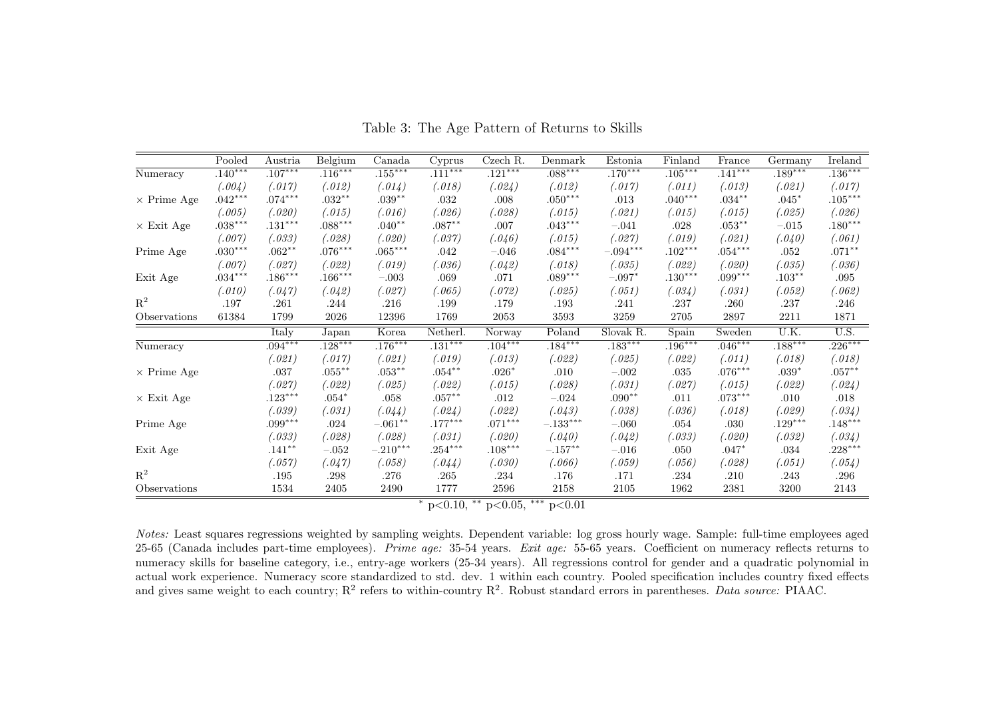|                    | Pooled    | Austria   | Belgium   | Canada     | Cyprus    | Czech R.  | Denmark    | Estonia    | Finland               | France       | Germany   | Ireland                  |
|--------------------|-----------|-----------|-----------|------------|-----------|-----------|------------|------------|-----------------------|--------------|-----------|--------------------------|
| Numeracy           | $.140***$ | $.107***$ | $.116***$ | $.155***$  | $.111***$ | $.121***$ | $.088***$  | $.170***$  | $.105***$             | $.141***$    | $.189***$ | $.136***$                |
|                    | (.004)    | (.017)    | (.012)    | (.014)     | (.018)    | (.024)    | (.012)     | (.017)     | (.011)                | (.013)       | (.021)    | (.017)                   |
| $\times$ Prime Age | $.042***$ | $.074***$ | $.032**$  | $.039**$   | .032      | .008      | $.050***$  | .013       | $.040***$             | $.034***$    | $.045*$   | $.105***$                |
|                    | (.005)    | (.020)    | (.015)    | (.016)     | (.026)    | 0.028)    | (.015)     | (.021)     | (.015)                | (.015)       | (.025)    | (.026)                   |
| $\times$ Exit Age  | $.038***$ | $.131***$ | $.088***$ | $.040**$   | $.087**$  | .007      | $.043***$  | $-.041$    | .028                  | $.053***$    | $-.015$   | $.180***$                |
|                    | (.007)    | (.033)    | (.028)    | (.020)     | (.037)    | (.046)    | (.015)     | (.027)     | (.019)                | (.021)       | (.040)    | (.061)                   |
| Prime Age          | $.030***$ | $.062**$  | $.076***$ | $.065***$  | .042      | $-.046$   | $.084***$  | $-.094***$ | $.102^{\ast\ast\ast}$ | $.054***$    | .052      | $.071***$                |
|                    | (.007)    | (.027)    | (.022)    | (.019)     | (.036)    | (.042)    | (.018)     | (.035)     | (.022)                | (.020)       | (.035)    | (.036)                   |
| Exit Age           | $.034***$ | $.186***$ | $.166***$ | $-.003$    | .069      | .071      | $.089***$  | $-.097*$   | $.130***$             | $.099^{***}$ | $.103***$ | .095                     |
|                    | (.010)    | (.047)    | (.042)    | (.027)     | (.065)    | .072)     | (.025)     | (.051)     | (.034)                | (.031)       | (.052)    | (.062)                   |
| $R^2$              | .197      | .261      | .244      | .216       | .199      | .179      | .193       | .241       | .237                  | .260         | $.237\,$  | .246                     |
| Observations       | 61384     | 1799      | 2026      | 12396      | 1769      | $\,2053$  | $3593\,$   | 3259       | $\bf 2705$            | 2897         | 2211      | $1871\,$                 |
|                    |           | Italy     | Japan     | Korea      | Netherl.  | Norway    | Poland     | Slovak R.  | Spain                 | Sweden       | U.K.      | $\overline{\text{U.S.}}$ |
| Numeracy           |           | $.094***$ | $.128***$ | $.176***$  | $.131***$ | $.104***$ | $.184***$  | $.183***$  | $.196***$             | $.046***$    | $.188***$ | $.226***$                |
|                    |           | (.021)    | (.017)    | (.021)     | (.019)    | (.013)    | (.022)     | (.025)     | (.022)                | (.011)       | (.018)    | (.018)                   |
| $\times$ Prime Age |           | .037      | $.055***$ | $.053***$  | $.054***$ | $.026*$   | .010       | $-.002$    | .035                  | $.076***$    | $.039*$   | $.057**$                 |
|                    |           | (.027)    | (.022)    | (.025)     | (.022)    | (.015)    | (.028)     | (.031)     | (.027)                | (.015)       | (.022)    | (.024)                   |
| $\times$ Exit Age  |           | $.123***$ | $.054*$   | .058       | $.057***$ | .012      | $-.024$    | $.090**$   | .011                  | $.073***$    | .010      | .018                     |
|                    |           | (.039)    | (.031)    | (.044)     | (.024)    | (.022)    | (.043)     | (.038)     | (.036)                | (.018)       | (.029)    | (.034)                   |
| Prime Age          |           | $.099***$ | .024      | $-.061**$  | $.177***$ | $.071***$ | $-.133***$ | $-.060$    | .054                  | .030         | $.129***$ | $.148***$                |
|                    |           | (.033)    | (.028)    | (.028)     | (.031)    | (.020)    | (.040)     | (.042)     | 4.033)                | (.020)       | (.032)    | (.034)                   |
| Exit Age           |           | $.141***$ | $-.052$   | $-.210***$ | $.254***$ | $.108***$ | $-.157***$ | $-.016$    | .050                  | $.047*$      | .034      | $.228***$                |
|                    |           | (.057)    | (.047)    | (.058)     | (.044)    | (.030)    | (.066)     | (.059)     | 0.056)                | (.028)       | (.051)    | (.054)                   |
| $R^2$              |           | .195      | .298      | .276       | .265      | .234      | .176       | .171       | .234                  | .210         | .243      | .296                     |
| Observations       |           | 1534      | 2405      | 2490       | 1777      | 2596      | 2158       | 2105       | 1962                  | 2381         | 3200      | 2143                     |

Table 3: The Age Pattern of Returns to Skills

*∗* p*<sup>&</sup>lt;*0.10, *∗∗* <sup>p</sup>*<sup>&</sup>lt;*0.05, *∗∗∗* <sup>p</sup>*<*0.01

*Notes:* Least squares regressions weighted by sampling weights. Dependent variable: log gross hourly wage. Sample: full-time employees aged 25-65 (Canada includes part-time employees). *Prime age:* 35-54 years. *Exit age:* 55-65 years. Coefficient on numeracy reflects returns to numeracy skills for baseline category, i.e., entry-age workers (25-34 years). All regressions control for gender and <sup>a</sup> quadratic polynomial in actual work experience. Numeracy score standardized to std. dev. 1 within each country. Pooled specification includes country fixed effectsand gives same weight to each country;  $R^2$  refers to within-country  $R^2$ . Robust standard errors in parentheses. *Data source:* PIAAC.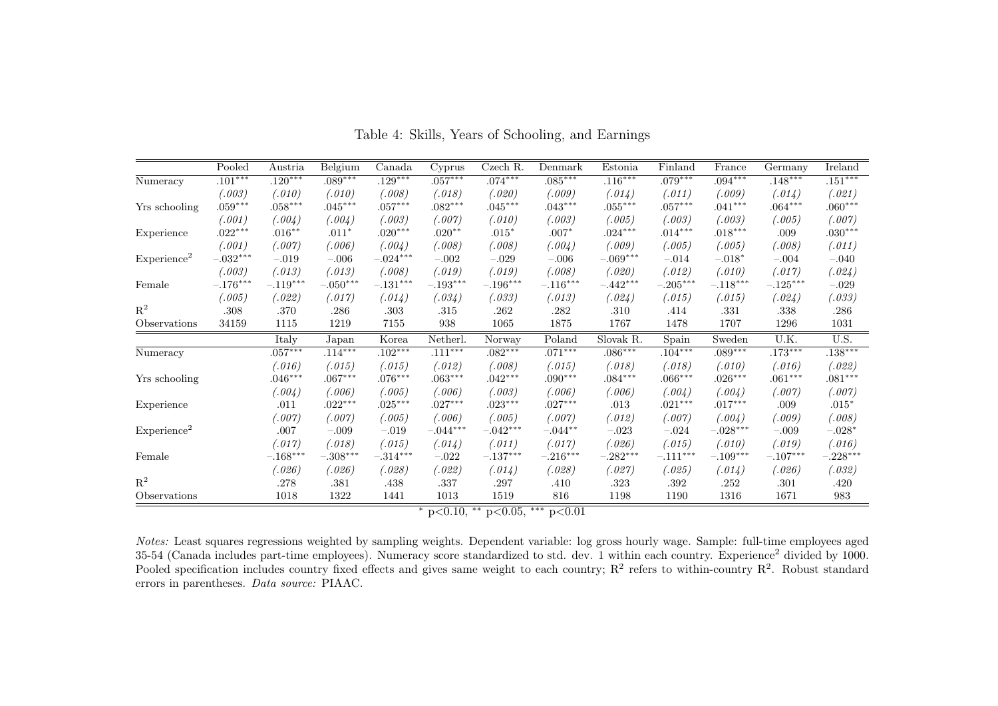|                         | Pooled                 | Austria                | Belgium                | Canada                 | Cyprus     | Czech R.   | Denmark    | Estonia    | Finland               | $\operatorname{France}$ | Germany                | Ireland           |
|-------------------------|------------------------|------------------------|------------------------|------------------------|------------|------------|------------|------------|-----------------------|-------------------------|------------------------|-------------------|
| Numeracy                | $.101***$              | $.120***$              | $.089***$              | $.129***$              | $.057***$  | $.074***$  | $.085***$  | $.116***$  | $.079***$             | $.094***$               | $.148***$              | $.151***$         |
|                         | (.003)                 | (.010)                 | (.010)                 | (.008)                 | (.018)     | (.020)     | (.009)     | (.014)     | (.011)                | (.009)                  | (.014)                 | (.021)            |
| Yrs schooling           | $.059***$              | $.058***$              | $.045***$              | $.057***$              | $.082***$  | $.045***$  | $.043***$  | $.055***$  | $.057^{\ast\ast\ast}$ | $.041***$               | $.064***$              | $.060***$         |
|                         | (.001)                 | (.004)                 | (.004)                 | (.003)                 | (.007)     | (.010)     | (.003)     | (.005)     | (.003)                | (.003)                  | (.005)                 | (.007)            |
| Experience              | $.022***$              | $.016***$              | $.011*$                | $.020***$              | $.020**$   | $.015*$    | $.007*$    | $.024***$  | $.014***$             | $.018^{\ast\ast\ast}$   | .009                   | $.030***$         |
|                         | (.001)                 | (.007)                 | (.006)                 | (.004)                 | (.008)     | (.008)     | (.004)     | (.009)     | (.005)                | (.005)                  | (.008)                 | (.011)            |
| Experience <sup>2</sup> | $-.032***$             | $-.019$                | $-.006$                | $-.024***$             | $-.002$    | $-.029$    | $-.006$    | $-.069***$ | $-.014$               | $-.018*$                | $-.004$                | $-.040$           |
|                         | (.003)                 | (.013)                 | (.013)                 | (.008)                 | (.019)     | (.019)     | (.008)     | (.020)     | (.012)                | (.010)                  | (.017)                 | (.024)            |
| Female                  | $-.176^{\ast\ast\ast}$ | $-.119***$             | $-.050^{\ast\ast\ast}$ | $-.131***$             | $-.193***$ | $-.196***$ | $-.116***$ | $-.442***$ | $-.205***$            | $-.118^{\ast\ast\ast}$  | $-.125^{\ast\ast\ast}$ | $-.029\,$         |
|                         | (.005)                 | (.022)                 | (.017)                 | (.014)                 | (.034)     | (.033)     | (.013)     | (.024)     | (.015)                | (.015)                  | (.024)                 | (.033)            |
| $R^2$                   | .308                   | .370                   | .286                   | $.303\,$               | .315       | .262       | .282       | .310       | .414                  | .331                    | .338                   | .286              |
| Observations            | 34159                  | 1115                   | 1219                   | 7155                   | 938        | 1065       | 1875       | 1767       | 1478                  | 1707                    | 1296                   | 1031              |
|                         |                        | Italy                  | Japan                  | Korea                  | Netherl.   | Norway     | Poland     | Slovak R.  | Spain                 | Sweden                  | U.K.                   | $\overline{U.S.}$ |
| Numeracy                |                        | $.057***$              | $.114***$              | $.102***$              | $.111***$  | $.082***$  | $.071***$  | $.086***$  | $.104***$             | $.089***$               | $.173***$              | $.138***$         |
|                         |                        | (.016)                 | (.015)                 | (.015)                 | (.012)     | (.008)     | (.015)     | (.018)     | (.018)                | (.010)                  | (.016)                 | (.022)            |
| Yrs schooling           |                        | $.046***$              | $.067***$              | $.076***$              | $.063***$  | $.042***$  | $.090***$  | $.084***$  | $.066***$             | $.026***$               | $.061***$              | $.081***$         |
|                         |                        | (.004)                 | (.006)                 | (.005)                 | (.006)     | (.003)     | (.006)     | 0.006)     | (.004)                | (.004)                  | (.007)                 | (.007)            |
| Experience              |                        | .011                   | $.022***$              | $.025***$              | $.027***$  | $.023***$  | $.027***$  | .013       | $.021***$             | $.017***$               | .009                   | $.015*$           |
|                         |                        | (.007)                 | (.007)                 | (.005)                 | (.006)     | (.005)     | (.007)     | 0.012)     | (.007)                | (.004)                  | (.009)                 | (.008)            |
| Experience <sup>2</sup> |                        | .007                   | $-.009$                | $-.019$                | $-.044***$ | $-.042***$ | $-.044***$ | $-.023$    | $-.024$               | $-.028^{\ast\ast\ast}$  | $-.009$                | $-.028*$          |
|                         |                        | (.017)                 | (.018)                 | (.015)                 | (.014)     | (.011)     | (.017)     | (.026)     | (.015)                | (.010)                  | (.019)                 | (.016)            |
| Female                  |                        | $-.168^{\ast\ast\ast}$ | $-.308^{\ast\ast\ast}$ | $-.314^{\ast\ast\ast}$ | $-.022$    | $-.137***$ | $-.216***$ | $-.282***$ | $-.111***$            | $-.109***$              | $-.107***$             | $-.228***$        |
|                         |                        | (.026)                 | (.026)                 | (.028)                 | (.022)     | (.014)     | (.028)     | 4.027)     | (.025)                | (.014)                  | (.026)                 | (.032)            |
| $\mathbf{R}^2$          |                        | .278                   | .381                   | .438                   | .337       | .297       | .410       | .323       | .392                  | .252                    | .301                   | .420              |
| Observations            |                        | 1018                   | 1322                   | 1441                   | 1013       | 1519       | 816        | 1198       | 1190                  | 1316                    | 1671                   | 983               |

Table 4: Skills, Years of Schooling, and Earnings

*∗* p*<*0.10, *∗∗* p*<*0.05, *∗∗∗* p*<*0.01

*Notes:* Least squares regressions weighted by sampling weights. Dependent variable: log gross hourly wage. Sample: full-time employees aged35-54 (Canada includes part-time employees). Numeracy score standardized to std. dev. 1 within each country. Experience<sup>2</sup> divided by 1000 35-54 (Canada includes part-time employees). Numeracy score standardized to std. dev. 1 within each country. Experience<sup>2</sup> divided by 1000.<br>Pooled specification includes country fixed effects and gives same weight to each errors in parentheses. *Data source:* PIAAC.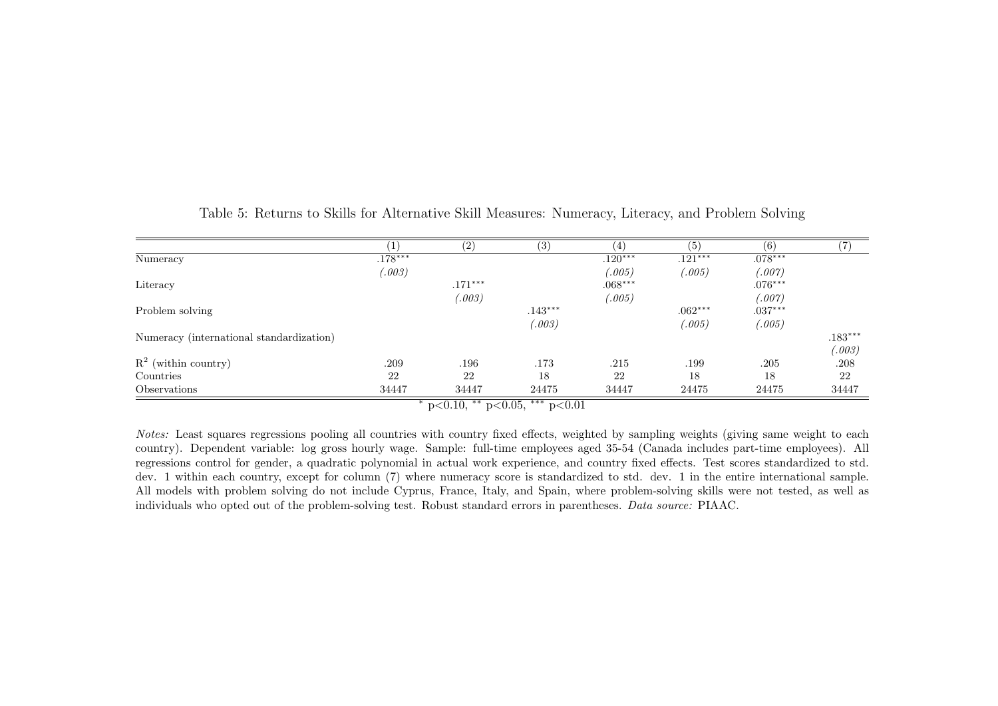|                                          | $\left( 1\right)$ | (2)                                               | (3)       | (4)       | (5)       | (6)       | 7)        |
|------------------------------------------|-------------------|---------------------------------------------------|-----------|-----------|-----------|-----------|-----------|
| Numeracy                                 | $.178***$         |                                                   |           | $.120***$ | $.121***$ | $.078***$ |           |
|                                          | (.003)            |                                                   |           | (.005)    | (.005)    | (.007)    |           |
| Literacy                                 |                   | $.171***$                                         |           | $.068***$ |           | $.076***$ |           |
|                                          |                   | (.003)                                            |           | (.005)    |           | (.007)    |           |
| Problem solving                          |                   |                                                   | $.143***$ |           | $.062***$ | $.037***$ |           |
|                                          |                   |                                                   | (.003)    |           | (.005)    | (.005)    |           |
| Numeracy (international standardization) |                   |                                                   |           |           |           |           | $.183***$ |
|                                          |                   |                                                   |           |           |           |           | (.003)    |
| $R^2$ (within country)                   | .209              | .196                                              | .173      | .215      | .199      | .205      | .208      |
| Countries                                | 22                | 22                                                | 18        | 22        | 18        | 18        | 22        |
| Observations                             | 34447             | 34447                                             | 24475     | 34447     | 24475     | 24475     | 34447     |
|                                          |                   | $*$ $\sim$ 0.10 $**$ $\sim$ 0.0 $***$ $\sim$ 0.01 |           |           |           |           |           |

Table 5: Returns to Skills for Alternative Skill Measures: Numeracy, Literacy, and Problem Solving

 p*<*0.10, *∗∗* p*<*0.05, *∗∗∗* p*<*0.01

*Notes:* Least squares regressions pooling all countries with country fixed effects, weighted by sampling weights (giving same weight to each country). Dependent variable: log gross hourly wage. Sample: full-time employees aged 35-54 (Canada includes part-time employees). All regressions control for gender, <sup>a</sup> quadratic polynomial in actual work experience, and country fixed effects. Test scores standardized to std. dev. <sup>1</sup> within each country, except for column (7) where numeracy score is standardized to std. dev. <sup>1</sup> in the entire international sample. All models with problem solving do not include Cyprus, France, Italy, and Spain, where problem-solving skills were not tested, as well asindividuals who opted out of the problem-solving test. Robust standard errors in parentheses. *Data source:* PIAAC.